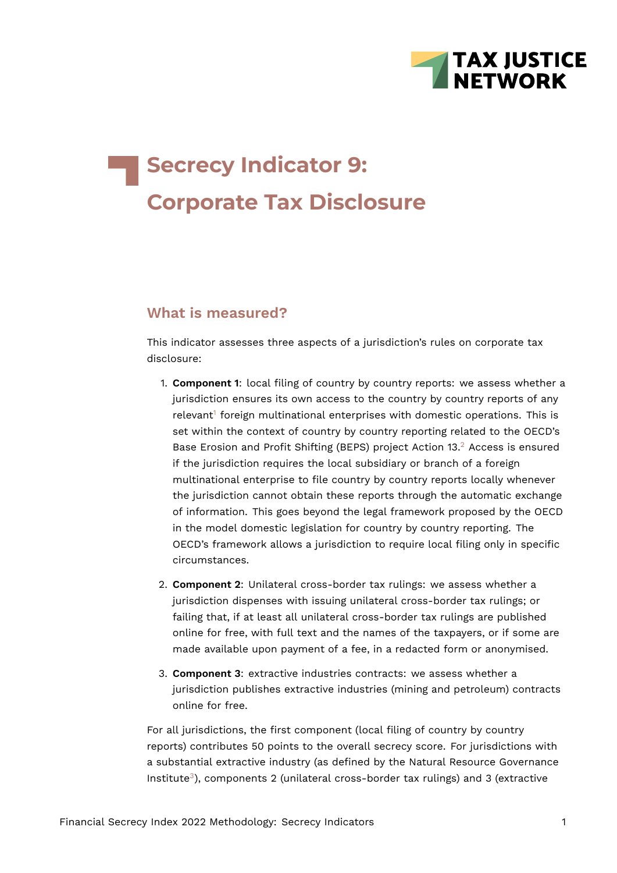

# **Secrecy Indicator 9: Corporate Tax Disclosure**

## **What is measured?**

This indicator assesses three aspects of a jurisdiction's rules on corporate tax disclosure:

- <span id="page-0-1"></span><span id="page-0-0"></span>1. **Component 1**: local filing of country by country reports: we assess whether a jurisdiction ensures its own access to the country by country reports of any relevant<sup>[1](#page-23-0)</sup> foreign multinational enterprises with domestic operations. This is set within the context of country by country reporting related to the OECD's Base Erosion and Profit Shifting (BEPS) project Action 13.<sup>[2](#page-23-1)</sup> Access is ensured if the jurisdiction requires the local subsidiary or branch of a foreign multinational enterprise to file country by country reports locally whenever the jurisdiction cannot obtain these reports through the automatic exchange of information. This goes beyond the legal framework proposed by the OECD in the model domestic legislation for country by country reporting. The OECD's framework allows a jurisdiction to require local filing only in specific circumstances.
- 2. **Component 2**: Unilateral cross-border tax rulings: we assess whether a jurisdiction dispenses with issuing unilateral cross-border tax rulings; or failing that, if at least all unilateral cross-border tax rulings are published online for free, with full text and the names of the taxpayers, or if some are made available upon payment of a fee, in a redacted form or anonymised.
- 3. **Component 3**: extractive industries contracts: we assess whether a jurisdiction publishes extractive industries (mining and petroleum) contracts online for free.

<span id="page-0-2"></span>For all jurisdictions, the first component (local filing of country by country reports) contributes 50 points to the overall secrecy score. For jurisdictions with a substantial extractive industry (as defined by the Natural Resource Governance Institute<sup>[3](#page-23-2)</sup>), components 2 (unilateral cross-border tax rulings) and 3 (extractive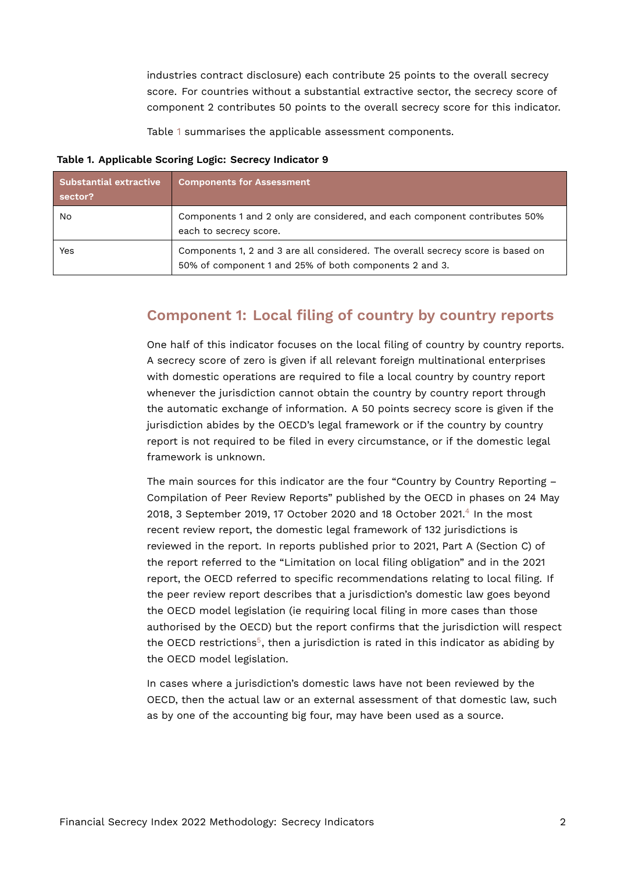industries contract disclosure) each contribute 25 points to the overall secrecy score. For countries without a substantial extractive sector, the secrecy score of component 2 contributes 50 points to the overall secrecy score for this indicator.

<span id="page-1-0"></span>Table [1](#page-1-0) summarises the applicable assessment components.

#### **Table 1. Applicable Scoring Logic: Secrecy Indicator 9**

| <b>Substantial extractive</b><br>sector? | <b>Components for Assessment</b>                                                                                                          |
|------------------------------------------|-------------------------------------------------------------------------------------------------------------------------------------------|
| No                                       | Components 1 and 2 only are considered, and each component contributes 50%<br>each to secrecy score.                                      |
| Yes                                      | Components 1, 2 and 3 are all considered. The overall secrecy score is based on<br>50% of component 1 and 25% of both components 2 and 3. |

#### **Component 1: Local filing of country by country reports**

One half of this indicator focuses on the local filing of country by country reports. A secrecy score of zero is given if all relevant foreign multinational enterprises with domestic operations are required to file a local country by country report whenever the jurisdiction cannot obtain the country by country report through the automatic exchange of information. A 50 points secrecy score is given if the jurisdiction abides by the OECD's legal framework or if the country by country report is not required to be filed in every circumstance, or if the domestic legal framework is unknown.

<span id="page-1-1"></span>The main sources for this indicator are the four "Country by Country Reporting – Compilation of Peer Review Reports" published by the OECD in phases on 24 May 2018, 3 September 2019, 17 October 2020 and 18 October 2021.<sup>[4](#page-23-3)</sup> In the most recent review report, the domestic legal framework of 132 jurisdictions is reviewed in the report. In reports published prior to 2021, Part A (Section C) of the report referred to the "Limitation on local filing obligation" and in the 2021 report, the OECD referred to specific recommendations relating to local filing. If the peer review report describes that a jurisdiction's domestic law goes beyond the OECD model legislation (ie requiring local filing in more cases than those authorised by the OECD) but the report confirms that the jurisdiction will respect the OECD restrictions<sup>[5](#page-23-4)</sup>, then a jurisdiction is rated in this indicator as abiding by the OECD model legislation.

<span id="page-1-2"></span>In cases where a jurisdiction's domestic laws have not been reviewed by the OECD, then the actual law or an external assessment of that domestic law, such as by one of the accounting big four, may have been used as a source.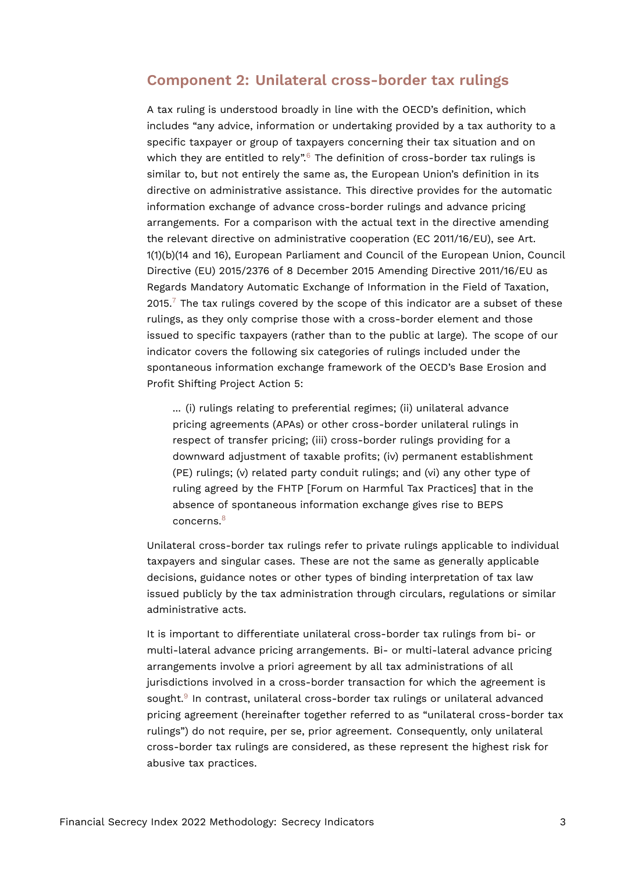#### **Component 2: Unilateral cross-border tax rulings**

<span id="page-2-0"></span>A tax ruling is understood broadly in line with the OECD's definition, which includes "any advice, information or undertaking provided by a tax authority to a specific taxpayer or group of taxpayers concerning their tax situation and on which they are entitled to rely".<sup>[6](#page-23-5)</sup> The definition of cross-border tax rulings is similar to, but not entirely the same as, the European Union's definition in its directive on administrative assistance. This directive provides for the automatic information exchange of advance cross-border rulings and advance pricing arrangements. For a comparison with the actual text in the directive amending the relevant directive on administrative cooperation (EC 2011/16/EU), see Art. 1(1)(b)(14 and 16), European Parliament and Council of the European Union, Council Directive (EU) 2015/2376 of 8 December 2015 Amending Directive 2011/16/EU as Regards Mandatory Automatic Exchange of Information in the Field of Taxation,  $2015$ .<sup>[7](#page-23-6)</sup> The tax rulings covered by the scope of this indicator are a subset of these rulings, as they only comprise those with a cross-border element and those issued to specific taxpayers (rather than to the public at large). The scope of our indicator covers the following six categories of rulings included under the spontaneous information exchange framework of the OECD's Base Erosion and Profit Shifting Project Action 5:

<span id="page-2-1"></span>... (i) rulings relating to preferential regimes; (ii) unilateral advance pricing agreements (APAs) or other cross-border unilateral rulings in respect of transfer pricing; (iii) cross-border rulings providing for a downward adjustment of taxable profits; (iv) permanent establishment (PE) rulings; (v) related party conduit rulings; and (vi) any other type of ruling agreed by the FHTP [Forum on Harmful Tax Practices] that in the absence of spontaneous information exchange gives rise to BEPS concerns.<sup>[8](#page-24-0)</sup>

<span id="page-2-2"></span>Unilateral cross-border tax rulings refer to private rulings applicable to individual taxpayers and singular cases. These are not the same as generally applicable decisions, guidance notes or other types of binding interpretation of tax law issued publicly by the tax administration through circulars, regulations or similar administrative acts.

<span id="page-2-3"></span>It is important to differentiate unilateral cross-border tax rulings from bi- or multi-lateral advance pricing arrangements. Bi- or multi-lateral advance pricing arrangements involve a priori agreement by all tax administrations of all jurisdictions involved in a cross-border transaction for which the agreement is sought.<sup>[9](#page-24-1)</sup> In contrast, unilateral cross-border tax rulings or unilateral advanced pricing agreement (hereinafter together referred to as "unilateral cross-border tax rulings") do not require, per se, prior agreement. Consequently, only unilateral cross-border tax rulings are considered, as these represent the highest risk for abusive tax practices.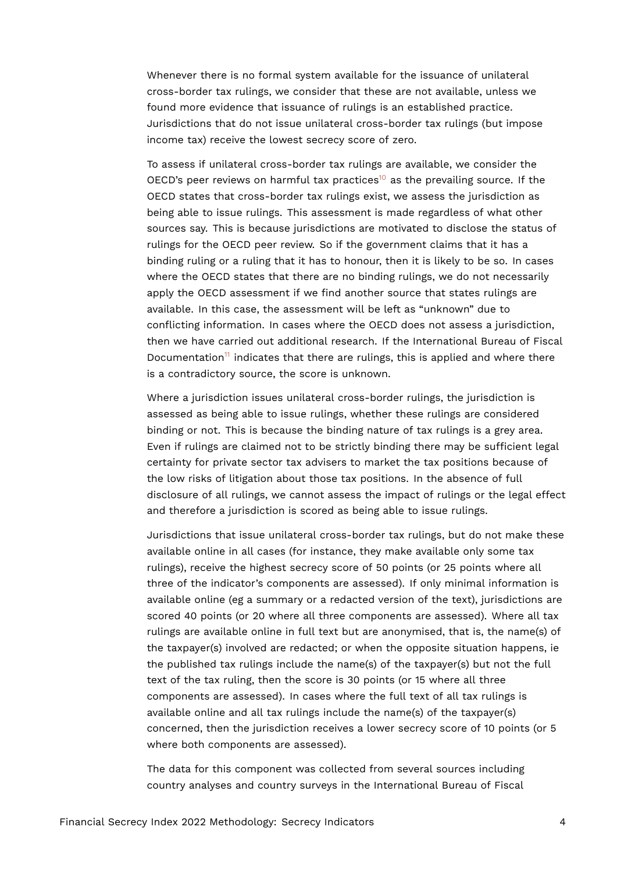Whenever there is no formal system available for the issuance of unilateral cross-border tax rulings, we consider that these are not available, unless we found more evidence that issuance of rulings is an established practice. Jurisdictions that do not issue unilateral cross-border tax rulings (but impose income tax) receive the lowest secrecy score of zero.

<span id="page-3-0"></span>To assess if unilateral cross-border tax rulings are available, we consider the OECD's peer reviews on harmful tax practices<sup>[10](#page-24-2)</sup> as the prevailing source. If the OECD states that cross-border tax rulings exist, we assess the jurisdiction as being able to issue rulings. This assessment is made regardless of what other sources say. This is because jurisdictions are motivated to disclose the status of rulings for the OECD peer review. So if the government claims that it has a binding ruling or a ruling that it has to honour, then it is likely to be so. In cases where the OECD states that there are no binding rulings, we do not necessarily apply the OECD assessment if we find another source that states rulings are available. In this case, the assessment will be left as "unknown" due to conflicting information. In cases where the OECD does not assess a jurisdiction, then we have carried out additional research. If the International Bureau of Fiscal Documentation<sup>[11](#page-24-3)</sup> indicates that there are rulings, this is applied and where there is a contradictory source, the score is unknown.

<span id="page-3-1"></span>Where a jurisdiction issues unilateral cross-border rulings, the jurisdiction is assessed as being able to issue rulings, whether these rulings are considered binding or not. This is because the binding nature of tax rulings is a grey area. Even if rulings are claimed not to be strictly binding there may be sufficient legal certainty for private sector tax advisers to market the tax positions because of the low risks of litigation about those tax positions. In the absence of full disclosure of all rulings, we cannot assess the impact of rulings or the legal effect and therefore a jurisdiction is scored as being able to issue rulings.

Jurisdictions that issue unilateral cross-border tax rulings, but do not make these available online in all cases (for instance, they make available only some tax rulings), receive the highest secrecy score of 50 points (or 25 points where all three of the indicator's components are assessed). If only minimal information is available online (eg a summary or a redacted version of the text), jurisdictions are scored 40 points (or 20 where all three components are assessed). Where all tax rulings are available online in full text but are anonymised, that is, the name(s) of the taxpayer(s) involved are redacted; or when the opposite situation happens, ie the published tax rulings include the name(s) of the taxpayer(s) but not the full text of the tax ruling, then the score is 30 points (or 15 where all three components are assessed). In cases where the full text of all tax rulings is available online and all tax rulings include the name(s) of the taxpayer(s) concerned, then the jurisdiction receives a lower secrecy score of 10 points (or 5 where both components are assessed).

The data for this component was collected from several sources including country analyses and country surveys in the International Bureau of Fiscal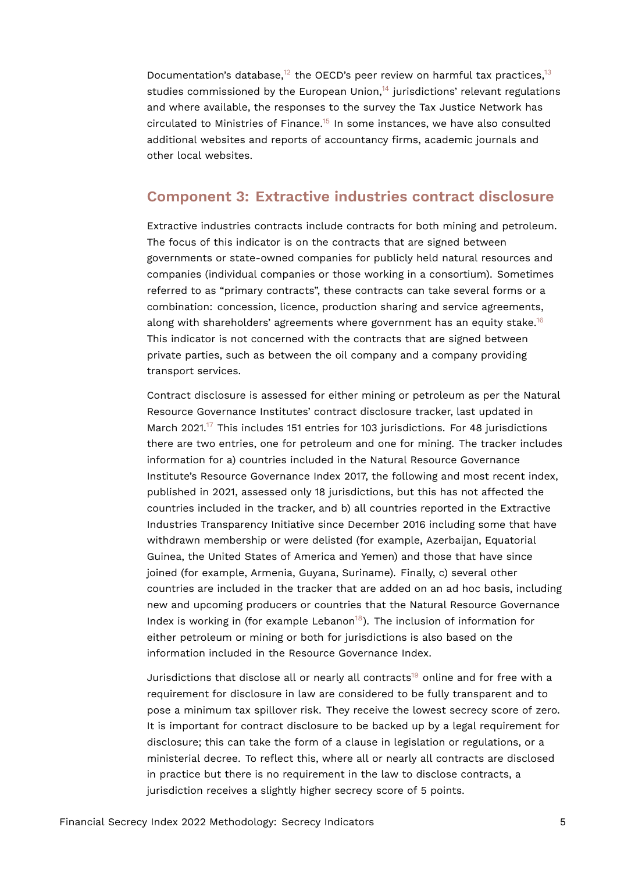<span id="page-4-3"></span><span id="page-4-2"></span><span id="page-4-1"></span><span id="page-4-0"></span>Documentation's database,<sup>[12](#page-24-4)</sup> the OECD's peer review on harmful tax practices.<sup>[13](#page-24-5)</sup> studies commissioned by the European Union, $14$  jurisdictions' relevant regulations and where available, the responses to the survey the Tax Justice Network has circulated to Ministries of Finance.[15](#page-24-7) In some instances, we have also consulted additional websites and reports of accountancy firms, academic journals and other local websites.

#### **Component 3: Extractive industries contract disclosure**

Extractive industries contracts include contracts for both mining and petroleum. The focus of this indicator is on the contracts that are signed between governments or state-owned companies for publicly held natural resources and companies (individual companies or those working in a consortium). Sometimes referred to as "primary contracts", these contracts can take several forms or a combination: concession, licence, production sharing and service agreements, along with shareholders' agreements where government has an equity stake.<sup>[16](#page-24-8)</sup> This indicator is not concerned with the contracts that are signed between private parties, such as between the oil company and a company providing transport services.

<span id="page-4-5"></span><span id="page-4-4"></span>Contract disclosure is assessed for either mining or petroleum as per the Natural Resource Governance Institutes' contract disclosure tracker, last updated in March 2021.<sup>[17](#page-24-9)</sup> This includes 151 entries for 103 jurisdictions. For 48 jurisdictions there are two entries, one for petroleum and one for mining. The tracker includes information for a) countries included in the Natural Resource Governance Institute's Resource Governance Index 2017, the following and most recent index, published in 2021, assessed only 18 jurisdictions, but this has not affected the countries included in the tracker, and b) all countries reported in the Extractive Industries Transparency Initiative since December 2016 including some that have withdrawn membership or were delisted (for example, Azerbaijan, Equatorial Guinea, the United States of America and Yemen) and those that have since joined (for example, Armenia, Guyana, Suriname). Finally, c) several other countries are included in the tracker that are added on an ad hoc basis, including new and upcoming producers or countries that the Natural Resource Governance Index is working in (for example Lebanon<sup>[18](#page-24-10)</sup>). The inclusion of information for either petroleum or mining or both for jurisdictions is also based on the information included in the Resource Governance Index.

<span id="page-4-7"></span><span id="page-4-6"></span>Jurisdictions that disclose all or nearly all contracts<sup>[19](#page-24-11)</sup> online and for free with a requirement for disclosure in law are considered to be fully transparent and to pose a minimum tax spillover risk. They receive the lowest secrecy score of zero. It is important for contract disclosure to be backed up by a legal requirement for disclosure; this can take the form of a clause in legislation or regulations, or a ministerial decree. To reflect this, where all or nearly all contracts are disclosed in practice but there is no requirement in the law to disclose contracts, a jurisdiction receives a slightly higher secrecy score of 5 points.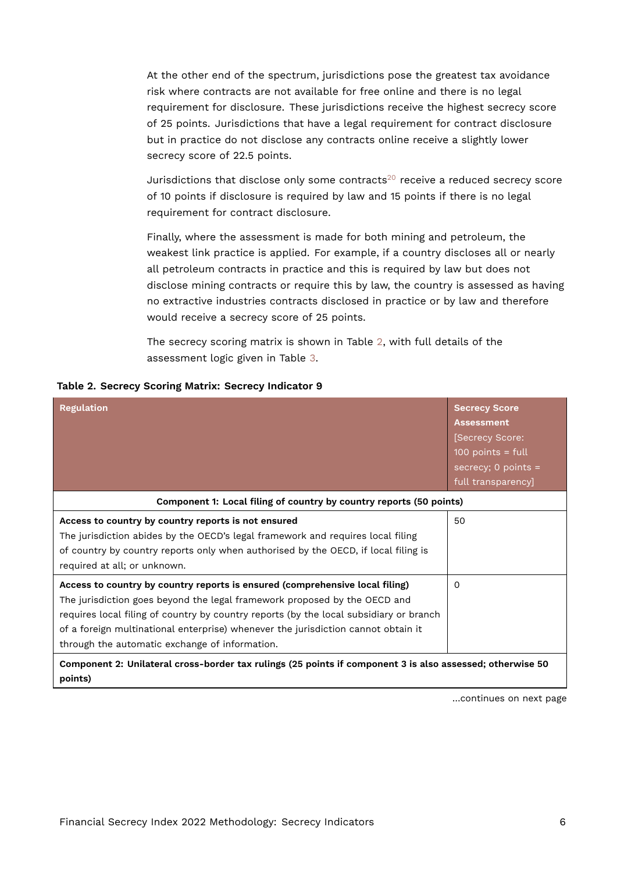At the other end of the spectrum, jurisdictions pose the greatest tax avoidance risk where contracts are not available for free online and there is no legal requirement for disclosure. These jurisdictions receive the highest secrecy score of 25 points. Jurisdictions that have a legal requirement for contract disclosure but in practice do not disclose any contracts online receive a slightly lower secrecy score of 22.5 points.

<span id="page-5-1"></span>Jurisdictions that disclose only some contracts<sup>[20](#page-25-0)</sup> receive a reduced secrecy score of 10 points if disclosure is required by law and 15 points if there is no legal requirement for contract disclosure.

Finally, where the assessment is made for both mining and petroleum, the weakest link practice is applied. For example, if a country discloses all or nearly all petroleum contracts in practice and this is required by law but does not disclose mining contracts or require this by law, the country is assessed as having no extractive industries contracts disclosed in practice or by law and therefore would receive a secrecy score of 25 points.

<span id="page-5-0"></span>The secrecy scoring matrix is shown in Table [2](#page-5-0), with full details of the assessment logic given in Table [3.](#page-17-0)

|  |  |  |  |  | Table 2. Secrecy Scoring Matrix: Secrecy Indicator 9 |  |
|--|--|--|--|--|------------------------------------------------------|--|
|--|--|--|--|--|------------------------------------------------------|--|

| <b>Regulation</b>                                                                                                                                                                                                                                                                                                                                                                          | <b>Secrecy Score</b><br><b>Assessment</b><br>[Secrecy Score:<br>$100$ points = full<br>secrecy; $0$ points =<br>full transparency] |
|--------------------------------------------------------------------------------------------------------------------------------------------------------------------------------------------------------------------------------------------------------------------------------------------------------------------------------------------------------------------------------------------|------------------------------------------------------------------------------------------------------------------------------------|
| Component 1: Local filing of country by country reports (50 points)                                                                                                                                                                                                                                                                                                                        |                                                                                                                                    |
| Access to country by country reports is not ensured<br>The jurisdiction abides by the OECD's legal framework and requires local filing<br>of country by country reports only when authorised by the OECD, if local filing is<br>required at all; or unknown.                                                                                                                               | 50                                                                                                                                 |
| Access to country by country reports is ensured (comprehensive local filing)<br>The jurisdiction goes beyond the legal framework proposed by the OECD and<br>requires local filing of country by country reports (by the local subsidiary or branch<br>of a foreign multinational enterprise) whenever the jurisdiction cannot obtain it<br>through the automatic exchange of information. | $\Omega$                                                                                                                           |
| Component 2: Unilateral cross-border tax rulings (25 points if component 3 is also assessed; otherwise 50<br>points)                                                                                                                                                                                                                                                                       |                                                                                                                                    |

…continues on next page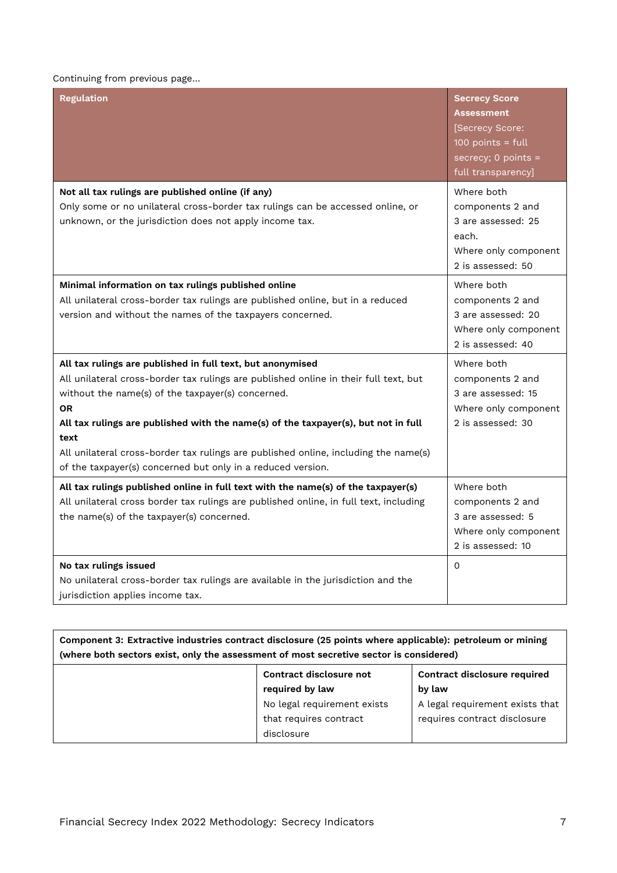#### Continuing from previous page…

| <b>Regulation</b>                                                                                                                                                                                                                                                                                                                                                                                                                                                        | <b>Secrecy Score</b><br><b>Assessment</b><br>[Secrecy Score:<br>$100$ points = full<br>secrecy; $0$ points =<br>full transparency] |
|--------------------------------------------------------------------------------------------------------------------------------------------------------------------------------------------------------------------------------------------------------------------------------------------------------------------------------------------------------------------------------------------------------------------------------------------------------------------------|------------------------------------------------------------------------------------------------------------------------------------|
| Not all tax rulings are published online (if any)<br>Only some or no unilateral cross-border tax rulings can be accessed online, or<br>unknown, or the jurisdiction does not apply income tax.                                                                                                                                                                                                                                                                           | Where both<br>components 2 and<br>3 are assessed: 25<br>each.<br>Where only component<br>2 is assessed: 50                         |
| Minimal information on tax rulings published online<br>All unilateral cross-border tax rulings are published online, but in a reduced<br>version and without the names of the taxpayers concerned.                                                                                                                                                                                                                                                                       | Where both<br>components 2 and<br>3 are assessed: 20<br>Where only component<br>2 is assessed: 40                                  |
| All tax rulings are published in full text, but anonymised<br>All unilateral cross-border tax rulings are published online in their full text, but<br>without the name(s) of the taxpayer(s) concerned.<br><b>OR</b><br>All tax rulings are published with the name(s) of the taxpayer(s), but not in full<br>text<br>All unilateral cross-border tax rulings are published online, including the name(s)<br>of the taxpayer(s) concerned but only in a reduced version. | Where both<br>components 2 and<br>3 are assessed: 15<br>Where only component<br>2 is assessed: 30                                  |
| All tax rulings published online in full text with the name(s) of the taxpayer(s)<br>All unilateral cross border tax rulings are published online, in full text, including<br>the name(s) of the taxpayer(s) concerned.                                                                                                                                                                                                                                                  | Where both<br>components 2 and<br>3 are assessed: 5<br>Where only component<br>2 is assessed: 10                                   |
| No tax rulings issued<br>No unilateral cross-border tax rulings are available in the jurisdiction and the<br>jurisdiction applies income tax.                                                                                                                                                                                                                                                                                                                            | $\Omega$                                                                                                                           |

| Component 3: Extractive industries contract disclosure (25 points where applicable): petroleum or mining |
|----------------------------------------------------------------------------------------------------------|
| (where both sectors exist, only the assessment of most secretive sector is considered)                   |

| Contract disclosure not     | <b>Contract disclosure required</b> |
|-----------------------------|-------------------------------------|
| required by law             | by law                              |
| No legal requirement exists | A legal requirement exists that     |
| that requires contract      | requires contract disclosure        |
| disclosure                  |                                     |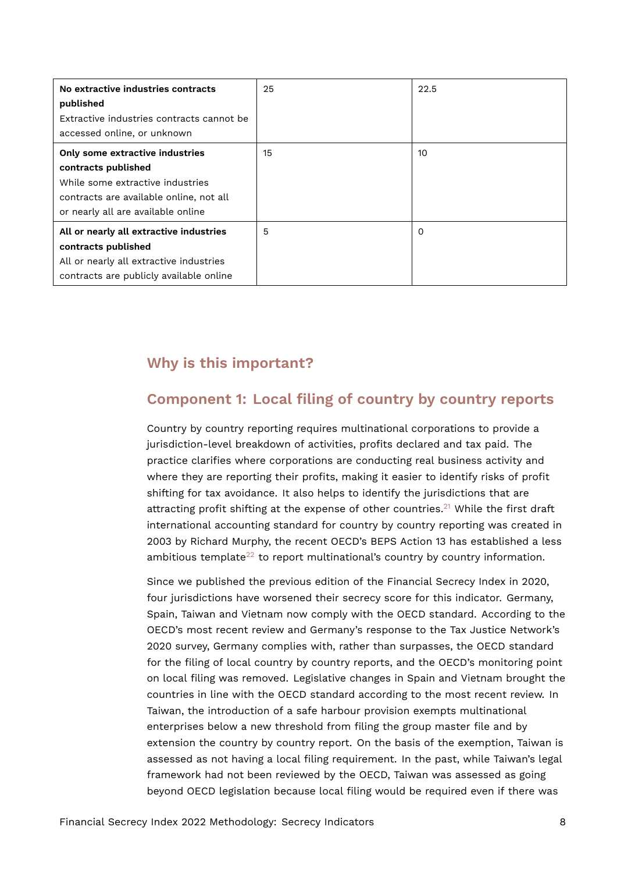| No extractive industries contracts<br>published<br>Extractive industries contracts cannot be<br>accessed online, or unknown                                                 | 25 | 22.5     |
|-----------------------------------------------------------------------------------------------------------------------------------------------------------------------------|----|----------|
| Only some extractive industries<br>contracts published<br>While some extractive industries<br>contracts are available online, not all<br>or nearly all are available online | 15 | 10       |
| All or nearly all extractive industries<br>contracts published<br>All or nearly all extractive industries<br>contracts are publicly available online                        | 5  | $\Omega$ |

## **Why is this important?**

## **Component 1: Local filing of country by country reports**

Country by country reporting requires multinational corporations to provide a jurisdiction-level breakdown of activities, profits declared and tax paid. The practice clarifies where corporations are conducting real business activity and where they are reporting their profits, making it easier to identify risks of profit shifting for tax avoidance. It also helps to identify the jurisdictions that are attracting profit shifting at the expense of other countries.<sup>[21](#page-25-1)</sup> While the first draft international accounting standard for country by country reporting was created in 2003 by Richard Murphy, the recent OECD's BEPS Action 13 has established a less ambitious template<sup>[22](#page-25-2)</sup> to report multinational's country by country information.

<span id="page-7-1"></span><span id="page-7-0"></span>Since we published the previous edition of the Financial Secrecy Index in 2020, four jurisdictions have worsened their secrecy score for this indicator. Germany, Spain, Taiwan and Vietnam now comply with the OECD standard. According to the OECD's most recent review and Germany's response to the Tax Justice Network's 2020 survey, Germany complies with, rather than surpasses, the OECD standard for the filing of local country by country reports, and the OECD's monitoring point on local filing was removed. Legislative changes in Spain and Vietnam brought the countries in line with the OECD standard according to the most recent review. In Taiwan, the introduction of a safe harbour provision exempts multinational enterprises below a new threshold from filing the group master file and by extension the country by country report. On the basis of the exemption, Taiwan is assessed as not having a local filing requirement. In the past, while Taiwan's legal framework had not been reviewed by the OECD, Taiwan was assessed as going beyond OECD legislation because local filing would be required even if there was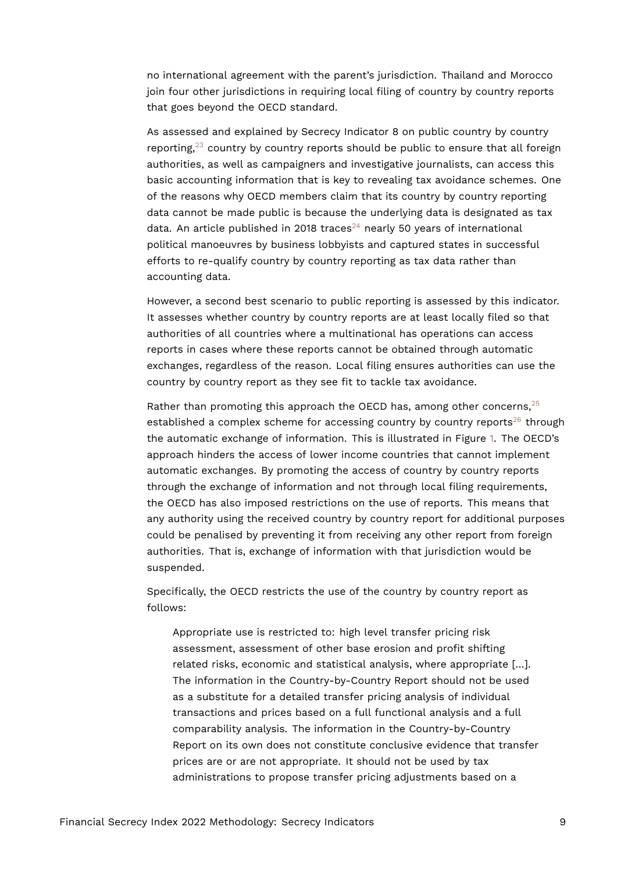no international agreement with the parent's jurisdiction. Thailand and Morocco join four other jurisdictions in requiring local filing of country by country reports that goes beyond the OECD standard.

<span id="page-8-0"></span>As assessed and explained by Secrecy Indicator 8 on public country by country reporting, $23$  country by country reports should be public to ensure that all foreign authorities, as well as campaigners and investigative journalists, can access this basic accounting information that is key to revealing tax avoidance schemes. One of the reasons why OECD members claim that its country by country reporting data cannot be made public is because the underlying data is designated as tax data. An article published in 2018 traces<sup>[24](#page-25-4)</sup> nearly 50 years of international political manoeuvres by business lobbyists and captured states in successful efforts to re-qualify country by country reporting as tax data rather than accounting data.

<span id="page-8-1"></span>However, a second best scenario to public reporting is assessed by this indicator. It assesses whether country by country reports are at least locally filed so that authorities of all countries where a multinational has operations can access reports in cases where these reports cannot be obtained through automatic exchanges, regardless of the reason. Local filing ensures authorities can use the country by country report as they see fit to tackle tax avoidance.

<span id="page-8-3"></span><span id="page-8-2"></span>Rather than promoting this approach the OECD has, among other concerns, [25](#page-25-5) established a complex scheme for accessing country by country reports<sup>[26](#page-25-6)</sup> through the automatic exchange of information. This is illustrated in Figure [1.](#page-10-0) The OECD's approach hinders the access of lower income countries that cannot implement automatic exchanges. By promoting the access of country by country reports through the exchange of information and not through local filing requirements, the OECD has also imposed restrictions on the use of reports. This means that any authority using the received country by country report for additional purposes could be penalised by preventing it from receiving any other report from foreign authorities. That is, exchange of information with that jurisdiction would be suspended.

Specifically, the OECD restricts the use of the country by country report as follows:

Appropriate use is restricted to: high level transfer pricing risk assessment, assessment of other base erosion and profit shifting related risks, economic and statistical analysis, where appropriate […]. The information in the Country-by-Country Report should not be used as a substitute for a detailed transfer pricing analysis of individual transactions and prices based on a full functional analysis and a full comparability analysis. The information in the Country-by-Country Report on its own does not constitute conclusive evidence that transfer prices are or are not appropriate. It should not be used by tax administrations to propose transfer pricing adjustments based on a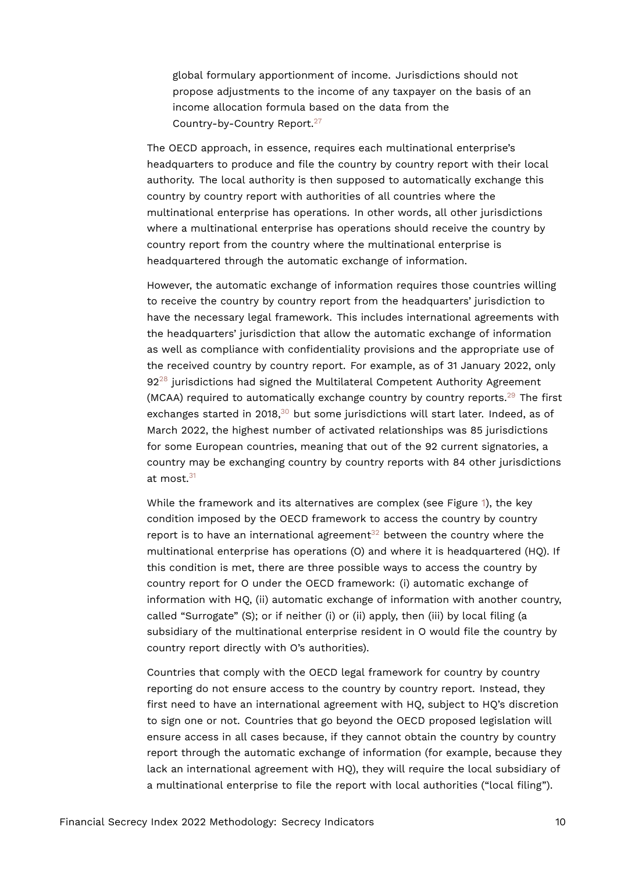<span id="page-9-0"></span>global formulary apportionment of income. Jurisdictions should not propose adjustments to the income of any taxpayer on the basis of an income allocation formula based on the data from the Country-by-Country Report.[27](#page-25-7)

The OECD approach, in essence, requires each multinational enterprise's headquarters to produce and file the country by country report with their local authority. The local authority is then supposed to automatically exchange this country by country report with authorities of all countries where the multinational enterprise has operations. In other words, all other jurisdictions where a multinational enterprise has operations should receive the country by country report from the country where the multinational enterprise is headquartered through the automatic exchange of information.

<span id="page-9-1"></span>However, the automatic exchange of information requires those countries willing to receive the country by country report from the headquarters' jurisdiction to have the necessary legal framework. This includes international agreements with the headquarters' jurisdiction that allow the automatic exchange of information as well as compliance with confidentiality provisions and the appropriate use of the received country by country report. For example, as of 31 January 2022, only  $92^{28}$  $92^{28}$  $92^{28}$  jurisdictions had signed the Multilateral Competent Authority Agreement (MCAA) required to automatically exchange country by country reports.<sup>[29](#page-25-9)</sup> The first exchanges started in 2018, $30$  but some jurisdictions will start later. Indeed, as of March 2022, the highest number of activated relationships was 85 jurisdictions for some European countries, meaning that out of the 92 current signatories, a country may be exchanging country by country reports with 84 other jurisdictions at most.<sup>[31](#page-25-11)</sup>

<span id="page-9-5"></span><span id="page-9-4"></span><span id="page-9-3"></span><span id="page-9-2"></span>While the framework and its alternatives are complex (see Figure [1\)](#page-10-0), the key condition imposed by the OECD framework to access the country by country report is to have an international agreement<sup>[32](#page-25-12)</sup> between the country where the multinational enterprise has operations (O) and where it is headquartered (HQ). If this condition is met, there are three possible ways to access the country by country report for O under the OECD framework: (i) automatic exchange of information with HQ, (ii) automatic exchange of information with another country, called "Surrogate" (S); or if neither (i) or (ii) apply, then (iii) by local filing (a subsidiary of the multinational enterprise resident in O would file the country by country report directly with O's authorities).

Countries that comply with the OECD legal framework for country by country reporting do not ensure access to the country by country report. Instead, they first need to have an international agreement with HQ, subject to HQ's discretion to sign one or not. Countries that go beyond the OECD proposed legislation will ensure access in all cases because, if they cannot obtain the country by country report through the automatic exchange of information (for example, because they lack an international agreement with HQ), they will require the local subsidiary of a multinational enterprise to file the report with local authorities ("local filing").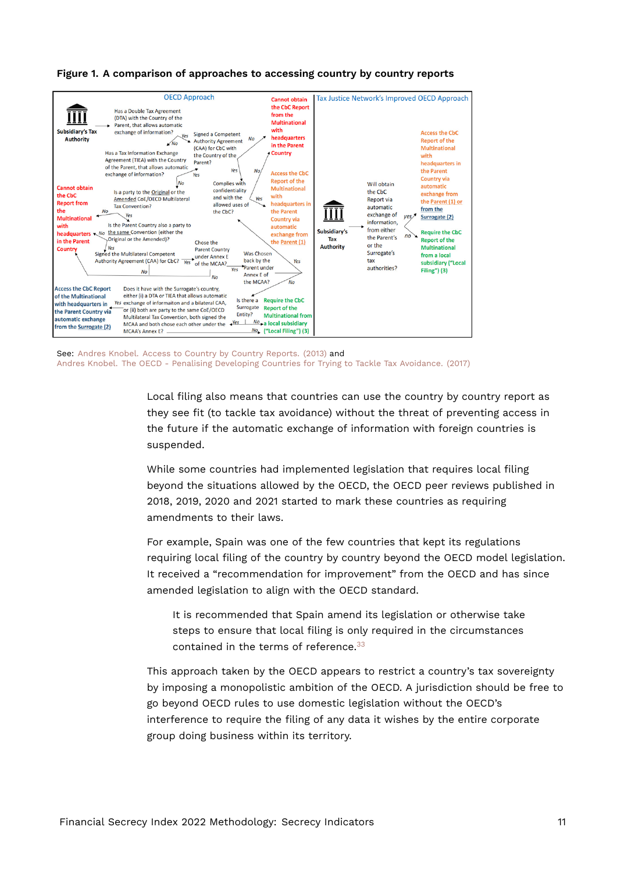

#### <span id="page-10-0"></span>**Figure 1. A comparison of approaches to accessing country by country reports**

See: [Andres Knobel. Access to Country by Country Reports. \(2013\)](https://www.taxjustice.net/wp-content/uploads/2013/04/access-to-cbcr-comic-march-1.pdf) and [Andres Knobel. The OECD - Penalising Developing Countries for Trying to Tackle Tax Avoidance. \(2017\)](https://taxjustice.net/2017/03/07/19628/)

Local filing also means that countries can use the country by country report as they see fit (to tackle tax avoidance) without the threat of preventing access in the future if the automatic exchange of information with foreign countries is suspended.

While some countries had implemented legislation that requires local filing beyond the situations allowed by the OECD, the OECD peer reviews published in 2018, 2019, 2020 and 2021 started to mark these countries as requiring amendments to their laws.

For example, Spain was one of the few countries that kept its regulations requiring local filing of the country by country beyond the OECD model legislation. It received a "recommendation for improvement" from the OECD and has since amended legislation to align with the OECD standard.

<span id="page-10-1"></span>It is recommended that Spain amend its legislation or otherwise take steps to ensure that local filing is only required in the circumstances contained in the terms of reference.<sup>[33](#page-25-13)</sup>

This approach taken by the OECD appears to restrict a country's tax sovereignty by imposing a monopolistic ambition of the OECD. A jurisdiction should be free to go beyond OECD rules to use domestic legislation without the OECD's interference to require the filing of any data it wishes by the entire corporate group doing business within its territory.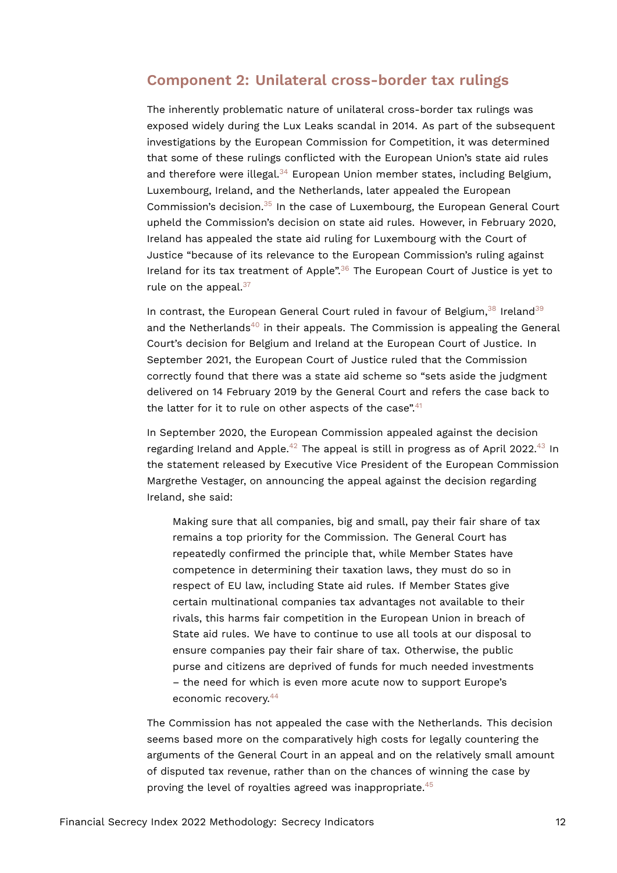#### **Component 2: Unilateral cross-border tax rulings**

<span id="page-11-1"></span><span id="page-11-0"></span>The inherently problematic nature of unilateral cross-border tax rulings was exposed widely during the Lux Leaks scandal in 2014. As part of the subsequent investigations by the European Commission for Competition, it was determined that some of these rulings conflicted with the European Union's state aid rules and therefore were illegal.<sup>[34](#page-26-0)</sup> European Union member states, including Belgium, Luxembourg, Ireland, and the Netherlands, later appealed the European Commission's decision. $35$  In the case of Luxembourg, the European General Court upheld the Commission's decision on state aid rules. However, in February 2020, Ireland has appealed the state aid ruling for Luxembourg with the Court of Justice "because of its relevance to the European Commission's ruling against Ireland for its tax treatment of Apple".[36](#page-26-2) The European Court of Justice is yet to rule on the appeal. $37$ 

<span id="page-11-6"></span><span id="page-11-5"></span><span id="page-11-4"></span><span id="page-11-3"></span><span id="page-11-2"></span>In contrast, the European General Court ruled in favour of Belgium,  $38$  Ireland  $39$ and the Netherlands<sup>[40](#page-26-6)</sup> in their appeals. The Commission is appealing the General Court's decision for Belgium and Ireland at the European Court of Justice. In September 2021, the European Court of Justice ruled that the Commission correctly found that there was a state aid scheme so "sets aside the judgment delivered on 14 February 2019 by the General Court and refers the case back to the latter for it to rule on other aspects of the case". $41$ 

In September 2020, the European Commission appealed against the decision regarding Ireland and Apple.<sup>[42](#page-26-8)</sup> The appeal is still in progress as of April 2022.<sup>[43](#page-26-9)</sup> In the statement released by Executive Vice President of the European Commission Margrethe Vestager, on announcing the appeal against the decision regarding Ireland, she said:

<span id="page-11-9"></span><span id="page-11-8"></span><span id="page-11-7"></span>Making sure that all companies, big and small, pay their fair share of tax remains a top priority for the Commission. The General Court has repeatedly confirmed the principle that, while Member States have competence in determining their taxation laws, they must do so in respect of EU law, including State aid rules. If Member States give certain multinational companies tax advantages not available to their rivals, this harms fair competition in the European Union in breach of State aid rules. We have to continue to use all tools at our disposal to ensure companies pay their fair share of tax. Otherwise, the public purse and citizens are deprived of funds for much needed investments – the need for which is even more acute now to support Europe's economic recovery.[44](#page-26-10)

<span id="page-11-11"></span><span id="page-11-10"></span>The Commission has not appealed the case with the Netherlands. This decision seems based more on the comparatively high costs for legally countering the arguments of the General Court in an appeal and on the relatively small amount of disputed tax revenue, rather than on the chances of winning the case by proving the level of royalties agreed was inappropriate.[45](#page-26-11)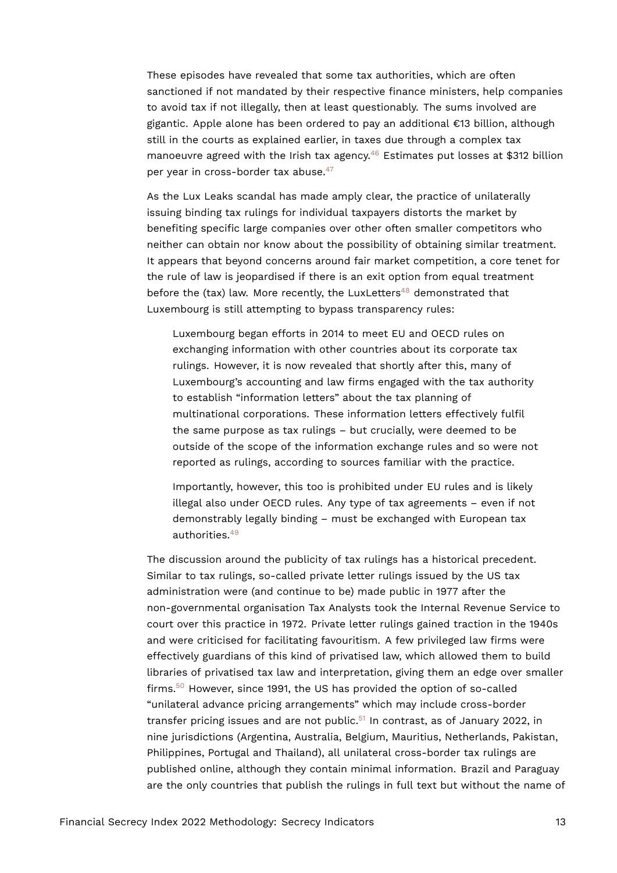These episodes have revealed that some tax authorities, which are often sanctioned if not mandated by their respective finance ministers, help companies to avoid tax if not illegally, then at least questionably. The sums involved are gigantic. Apple alone has been ordered to pay an additional €13 billion, although still in the courts as explained earlier, in taxes due through a complex tax manoeuvre agreed with the Irish tax agency.<sup>[46](#page-27-0)</sup> Estimates put losses at \$312 billion per year in cross-border tax abuse.<sup>[47](#page-27-1)</sup>

<span id="page-12-1"></span><span id="page-12-0"></span>As the Lux Leaks scandal has made amply clear, the practice of unilaterally issuing binding tax rulings for individual taxpayers distorts the market by benefiting specific large companies over other often smaller competitors who neither can obtain nor know about the possibility of obtaining similar treatment. It appears that beyond concerns around fair market competition, a core tenet for the rule of law is jeopardised if there is an exit option from equal treatment before the (tax) law. More recently, the LuxLetters<sup>[48](#page-27-2)</sup> demonstrated that Luxembourg is still attempting to bypass transparency rules:

<span id="page-12-2"></span>Luxembourg began efforts in 2014 to meet EU and OECD rules on exchanging information with other countries about its corporate tax rulings. However, it is now revealed that shortly after this, many of Luxembourg's accounting and law firms engaged with the tax authority to establish "information letters" about the tax planning of multinational corporations. These information letters effectively fulfil the same purpose as tax rulings – but crucially, were deemed to be outside of the scope of the information exchange rules and so were not reported as rulings, according to sources familiar with the practice.

<span id="page-12-3"></span>Importantly, however, this too is prohibited under EU rules and is likely illegal also under OECD rules. Any type of tax agreements – even if not demonstrably legally binding – must be exchanged with European tax authorities.[49](#page-27-3)

<span id="page-12-5"></span><span id="page-12-4"></span>The discussion around the publicity of tax rulings has a historical precedent. Similar to tax rulings, so-called private letter rulings issued by the US tax administration were (and continue to be) made public in 1977 after the non-governmental organisation Tax Analysts took the Internal Revenue Service to court over this practice in 1972. Private letter rulings gained traction in the 1940s and were criticised for facilitating favouritism. A few privileged law firms were effectively guardians of this kind of privatised law, which allowed them to build libraries of privatised tax law and interpretation, giving them an edge over smaller firms.[50](#page-27-4) However, since 1991, the US has provided the option of so-called "unilateral advance pricing arrangements" which may include cross-border transfer pricing issues and are not public. $51$  In contrast, as of January 2022, in nine jurisdictions (Argentina, Australia, Belgium, Mauritius, Netherlands, Pakistan, Philippines, Portugal and Thailand), all unilateral cross-border tax rulings are published online, although they contain minimal information. Brazil and Paraguay are the only countries that publish the rulings in full text but without the name of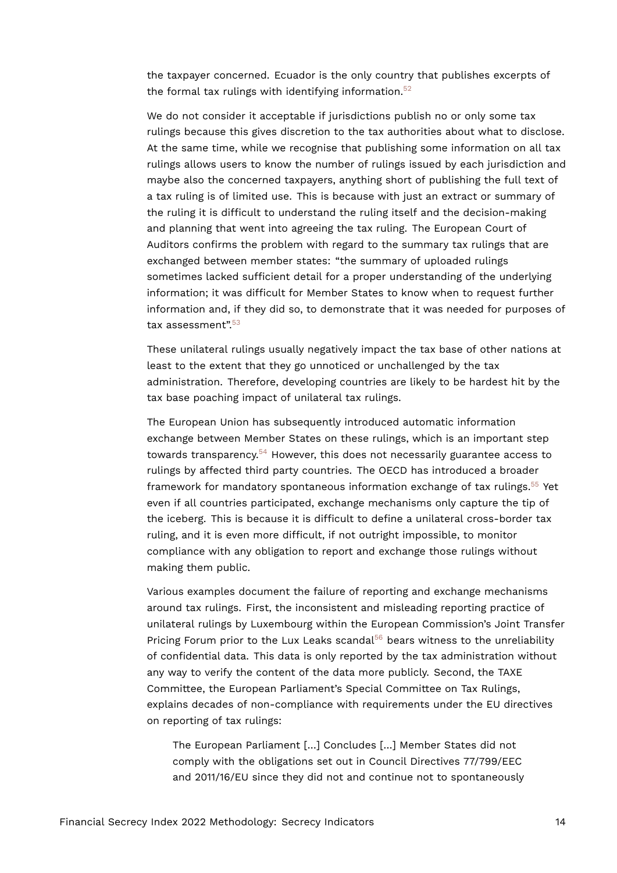<span id="page-13-0"></span>the taxpayer concerned. Ecuador is the only country that publishes excerpts of the formal tax rulings with identifying information.<sup>[52](#page-27-6)</sup>

We do not consider it acceptable if jurisdictions publish no or only some tax rulings because this gives discretion to the tax authorities about what to disclose. At the same time, while we recognise that publishing some information on all tax rulings allows users to know the number of rulings issued by each jurisdiction and maybe also the concerned taxpayers, anything short of publishing the full text of a tax ruling is of limited use. This is because with just an extract or summary of the ruling it is difficult to understand the ruling itself and the decision-making and planning that went into agreeing the tax ruling. The European Court of Auditors confirms the problem with regard to the summary tax rulings that are exchanged between member states: "the summary of uploaded rulings sometimes lacked sufficient detail for a proper understanding of the underlying information; it was difficult for Member States to know when to request further information and, if they did so, to demonstrate that it was needed for purposes of tax assessment".<sup>[53](#page-27-7)</sup>

<span id="page-13-1"></span>These unilateral rulings usually negatively impact the tax base of other nations at least to the extent that they go unnoticed or unchallenged by the tax administration. Therefore, developing countries are likely to be hardest hit by the tax base poaching impact of unilateral tax rulings.

<span id="page-13-3"></span><span id="page-13-2"></span>The European Union has subsequently introduced automatic information exchange between Member States on these rulings, which is an important step towards transparency.<sup>[54](#page-27-8)</sup> However, this does not necessarily guarantee access to rulings by affected third party countries. The OECD has introduced a broader framework for mandatory spontaneous information exchange of tax rulings.<sup>[55](#page-27-9)</sup> Yet even if all countries participated, exchange mechanisms only capture the tip of the iceberg. This is because it is difficult to define a unilateral cross-border tax ruling, and it is even more difficult, if not outright impossible, to monitor compliance with any obligation to report and exchange those rulings without making them public.

Various examples document the failure of reporting and exchange mechanisms around tax rulings. First, the inconsistent and misleading reporting practice of unilateral rulings by Luxembourg within the European Commission's Joint Transfer Pricing Forum prior to the Lux Leaks scandal<sup>[56](#page-28-0)</sup> bears witness to the unreliability of confidential data. This data is only reported by the tax administration without any way to verify the content of the data more publicly. Second, the TAXE Committee, the European Parliament's Special Committee on Tax Rulings, explains decades of non-compliance with requirements under the EU directives on reporting of tax rulings:

<span id="page-13-4"></span>The European Parliament […] Concludes […] Member States did not comply with the obligations set out in Council Directives 77/799/EEC and 2011/16/EU since they did not and continue not to spontaneously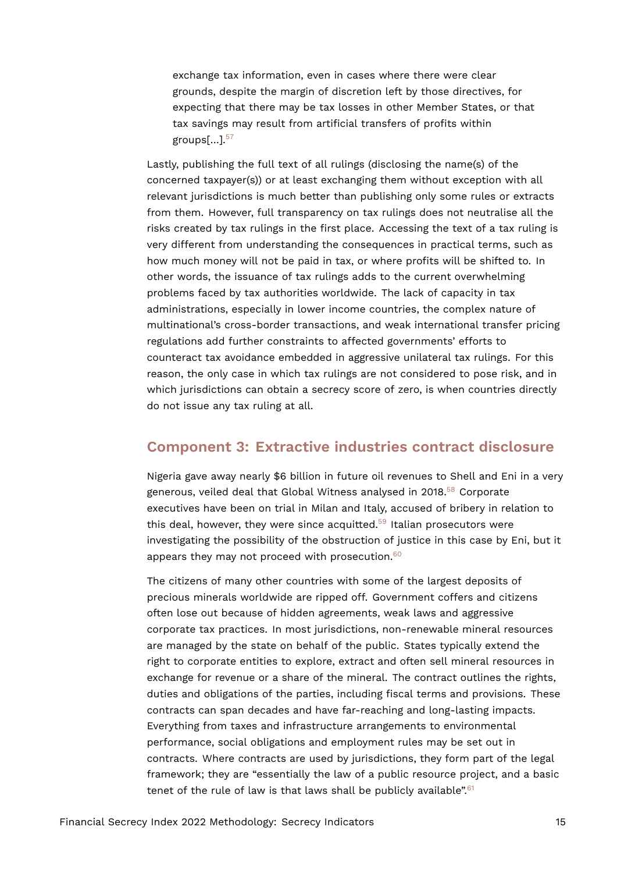<span id="page-14-0"></span>exchange tax information, even in cases where there were clear grounds, despite the margin of discretion left by those directives, for expecting that there may be tax losses in other Member States, or that tax savings may result from artificial transfers of profits within groups $\left[ \ldots \right]$ .  $57$ 

Lastly, publishing the full text of all rulings (disclosing the name(s) of the concerned taxpayer(s)) or at least exchanging them without exception with all relevant jurisdictions is much better than publishing only some rules or extracts from them. However, full transparency on tax rulings does not neutralise all the risks created by tax rulings in the first place. Accessing the text of a tax ruling is very different from understanding the consequences in practical terms, such as how much money will not be paid in tax, or where profits will be shifted to. In other words, the issuance of tax rulings adds to the current overwhelming problems faced by tax authorities worldwide. The lack of capacity in tax administrations, especially in lower income countries, the complex nature of multinational's cross-border transactions, and weak international transfer pricing regulations add further constraints to affected governments' efforts to counteract tax avoidance embedded in aggressive unilateral tax rulings. For this reason, the only case in which tax rulings are not considered to pose risk, and in which jurisdictions can obtain a secrecy score of zero, is when countries directly do not issue any tax ruling at all.

### **Component 3: Extractive industries contract disclosure**

<span id="page-14-2"></span><span id="page-14-1"></span>Nigeria gave away nearly \$6 billion in future oil revenues to Shell and Eni in a very generous, veiled deal that Global Witness analysed in 2018.[58](#page-28-2) Corporate executives have been on trial in Milan and Italy, accused of bribery in relation to this deal, however, they were since acquitted. $59$  Italian prosecutors were investigating the possibility of the obstruction of justice in this case by Eni, but it appears they may not proceed with prosecution.<sup>[60](#page-28-4)</sup>

<span id="page-14-4"></span><span id="page-14-3"></span>The citizens of many other countries with some of the largest deposits of precious minerals worldwide are ripped off. Government coffers and citizens often lose out because of hidden agreements, weak laws and aggressive corporate tax practices. In most jurisdictions, non-renewable mineral resources are managed by the state on behalf of the public. States typically extend the right to corporate entities to explore, extract and often sell mineral resources in exchange for revenue or a share of the mineral. The contract outlines the rights, duties and obligations of the parties, including fiscal terms and provisions. These contracts can span decades and have far-reaching and long-lasting impacts. Everything from taxes and infrastructure arrangements to environmental performance, social obligations and employment rules may be set out in contracts. Where contracts are used by jurisdictions, they form part of the legal framework; they are "essentially the law of a public resource project, and a basic tenet of the rule of law is that laws shall be publicly available".<sup>[61](#page-28-5)</sup>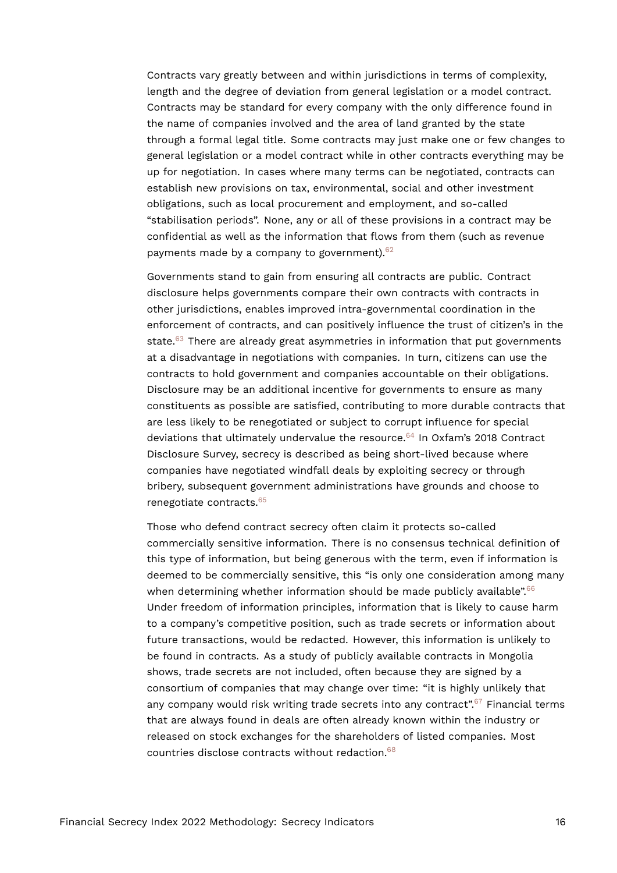Contracts vary greatly between and within jurisdictions in terms of complexity, length and the degree of deviation from general legislation or a model contract. Contracts may be standard for every company with the only difference found in the name of companies involved and the area of land granted by the state through a formal legal title. Some contracts may just make one or few changes to general legislation or a model contract while in other contracts everything may be up for negotiation. In cases where many terms can be negotiated, contracts can establish new provisions on tax, environmental, social and other investment obligations, such as local procurement and employment, and so-called "stabilisation periods". None, any or all of these provisions in a contract may be confidential as well as the information that flows from them (such as revenue payments made by a company to government).<sup>[62](#page-28-6)</sup>

<span id="page-15-1"></span><span id="page-15-0"></span>Governments stand to gain from ensuring all contracts are public. Contract disclosure helps governments compare their own contracts with contracts in other jurisdictions, enables improved intra-governmental coordination in the enforcement of contracts, and can positively influence the trust of citizen's in the state. $63$  There are already great asymmetries in information that put governments at a disadvantage in negotiations with companies. In turn, citizens can use the contracts to hold government and companies accountable on their obligations. Disclosure may be an additional incentive for governments to ensure as many constituents as possible are satisfied, contributing to more durable contracts that are less likely to be renegotiated or subject to corrupt influence for special deviations that ultimately undervalue the resource.<sup>[64](#page-28-8)</sup> In Oxfam's 2018 Contract Disclosure Survey, secrecy is described as being short-lived because where companies have negotiated windfall deals by exploiting secrecy or through bribery, subsequent government administrations have grounds and choose to renegotiate contracts.[65](#page-28-9)

<span id="page-15-6"></span><span id="page-15-5"></span><span id="page-15-4"></span><span id="page-15-3"></span><span id="page-15-2"></span>Those who defend contract secrecy often claim it protects so-called commercially sensitive information. There is no consensus technical definition of this type of information, but being generous with the term, even if information is deemed to be commercially sensitive, this "is only one consideration among many when determining whether information should be made publicly available".<sup>[66](#page-28-10)</sup> Under freedom of information principles, information that is likely to cause harm to a company's competitive position, such as trade secrets or information about future transactions, would be redacted. However, this information is unlikely to be found in contracts. As a study of publicly available contracts in Mongolia shows, trade secrets are not included, often because they are signed by a consortium of companies that may change over time: "it is highly unlikely that any company would risk writing trade secrets into any contract".<sup>[67](#page-29-0)</sup> Financial terms that are always found in deals are often already known within the industry or released on stock exchanges for the shareholders of listed companies. Most countries disclose contracts without redaction.[68](#page-29-1)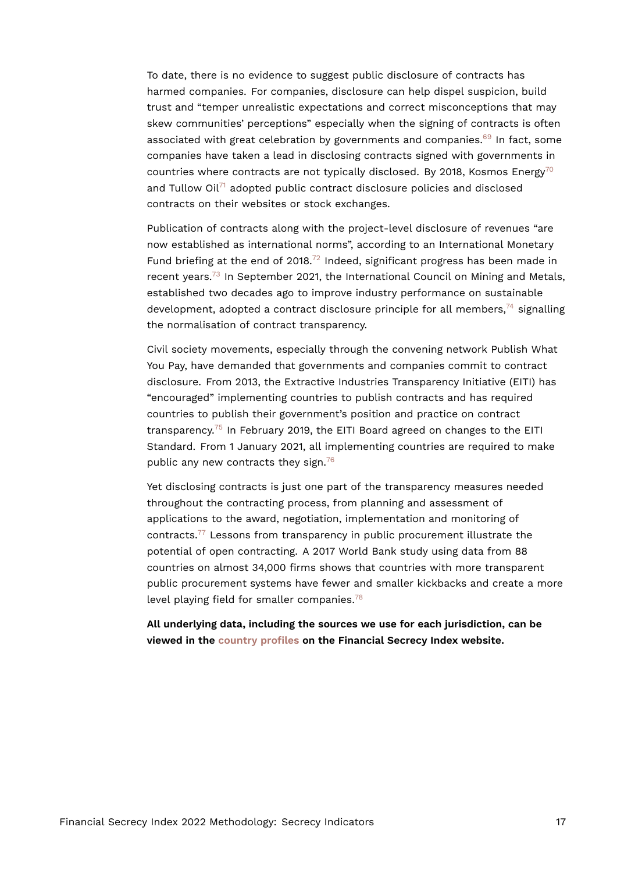<span id="page-16-0"></span>To date, there is no evidence to suggest public disclosure of contracts has harmed companies. For companies, disclosure can help dispel suspicion, build trust and "temper unrealistic expectations and correct misconceptions that may skew communities' perceptions" especially when the signing of contracts is often associated with great celebration by governments and companies.<sup>[69](#page-29-2)</sup> In fact, some companies have taken a lead in disclosing contracts signed with governments in countries where contracts are not typically disclosed. By 2018, Kosmos Energy<sup>[70](#page-29-3)</sup> and Tullow Oil $71$  adopted public contract disclosure policies and disclosed contracts on their websites or stock exchanges.

<span id="page-16-4"></span><span id="page-16-3"></span><span id="page-16-2"></span><span id="page-16-1"></span>Publication of contracts along with the project-level disclosure of revenues "are now established as international norms", according to an International Monetary Fund briefing at the end of 2018. $^{72}$  $^{72}$  $^{72}$  Indeed, significant progress has been made in recent years. $73$  In September 2021, the International Council on Mining and Metals, established two decades ago to improve industry performance on sustainable development, adopted a contract disclosure principle for all members,  $74$  signalling the normalisation of contract transparency.

<span id="page-16-5"></span>Civil society movements, especially through the convening network Publish What You Pay, have demanded that governments and companies commit to contract disclosure. From 2013, the Extractive Industries Transparency Initiative (EITI) has "encouraged" implementing countries to publish contracts and has required countries to publish their government's position and practice on contract transparency.[75](#page-29-8) In February 2019, the EITI Board agreed on changes to the EITI Standard. From 1 January 2021, all implementing countries are required to make public any new contracts they sign.<sup>[76](#page-29-9)</sup>

<span id="page-16-8"></span><span id="page-16-7"></span><span id="page-16-6"></span>Yet disclosing contracts is just one part of the transparency measures needed throughout the contracting process, from planning and assessment of applications to the award, negotiation, implementation and monitoring of contracts.[77](#page-29-10) Lessons from transparency in public procurement illustrate the potential of open contracting. A 2017 World Bank study using data from 88 countries on almost 34,000 firms shows that countries with more transparent public procurement systems have fewer and smaller kickbacks and create a more level playing field for smaller companies.<sup>[78](#page-29-11)</sup>

<span id="page-16-9"></span>**All underlying data, including the sources we use for each jurisdiction, can be viewed in the [country profiles](https://fsi.taxjustice.net/country-detail) on the Financial Secrecy Index website.**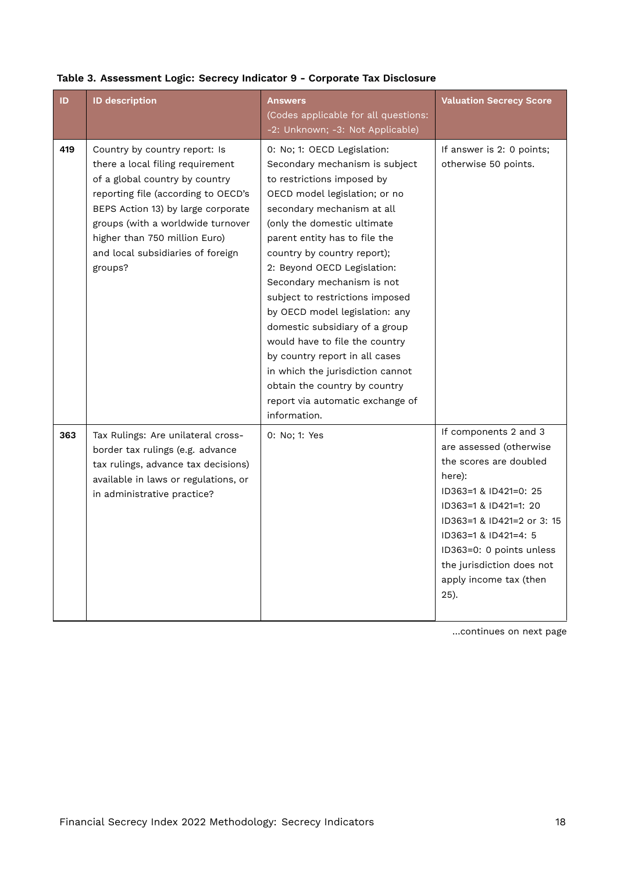| ID  | <b>ID description</b>                                                                                                                                                                                                                                                                                  | <b>Answers</b><br>(Codes applicable for all questions:<br>-2: Unknown; -3: Not Applicable)                                                                                                                                                                                                                                                                                                                                                                                                                                                                                                                                 | <b>Valuation Secrecy Score</b>                                                                                                                                                                                                                                                          |
|-----|--------------------------------------------------------------------------------------------------------------------------------------------------------------------------------------------------------------------------------------------------------------------------------------------------------|----------------------------------------------------------------------------------------------------------------------------------------------------------------------------------------------------------------------------------------------------------------------------------------------------------------------------------------------------------------------------------------------------------------------------------------------------------------------------------------------------------------------------------------------------------------------------------------------------------------------------|-----------------------------------------------------------------------------------------------------------------------------------------------------------------------------------------------------------------------------------------------------------------------------------------|
| 419 | Country by country report: Is<br>there a local filing requirement<br>of a global country by country<br>reporting file (according to OECD's<br>BEPS Action 13) by large corporate<br>groups (with a worldwide turnover<br>higher than 750 million Euro)<br>and local subsidiaries of foreign<br>groups? | 0: No; 1: OECD Legislation:<br>Secondary mechanism is subject<br>to restrictions imposed by<br>OECD model legislation; or no<br>secondary mechanism at all<br>(only the domestic ultimate<br>parent entity has to file the<br>country by country report);<br>2: Beyond OECD Legislation:<br>Secondary mechanism is not<br>subject to restrictions imposed<br>by OECD model legislation: any<br>domestic subsidiary of a group<br>would have to file the country<br>by country report in all cases<br>in which the jurisdiction cannot<br>obtain the country by country<br>report via automatic exchange of<br>information. | If answer is 2: 0 points;<br>otherwise 50 points.                                                                                                                                                                                                                                       |
| 363 | Tax Rulings: Are unilateral cross-<br>border tax rulings (e.g. advance<br>tax rulings, advance tax decisions)<br>available in laws or regulations, or<br>in administrative practice?                                                                                                                   | 0: No; 1: Yes                                                                                                                                                                                                                                                                                                                                                                                                                                                                                                                                                                                                              | If components 2 and 3<br>are assessed (otherwise<br>the scores are doubled<br>here):<br>ID363=1 & ID421=0: 25<br>ID363=1 & ID421=1: 20<br>ID363=1 & ID421=2 or 3: 15<br>ID363=1 & ID421=4: 5<br>ID363=0: 0 points unless<br>the jurisdiction does not<br>apply income tax (then<br>25). |

## <span id="page-17-0"></span>Table 3. Assessment Logic: Secrecy Indicator 9 - Corporate Tax Disclosure

…continues on next page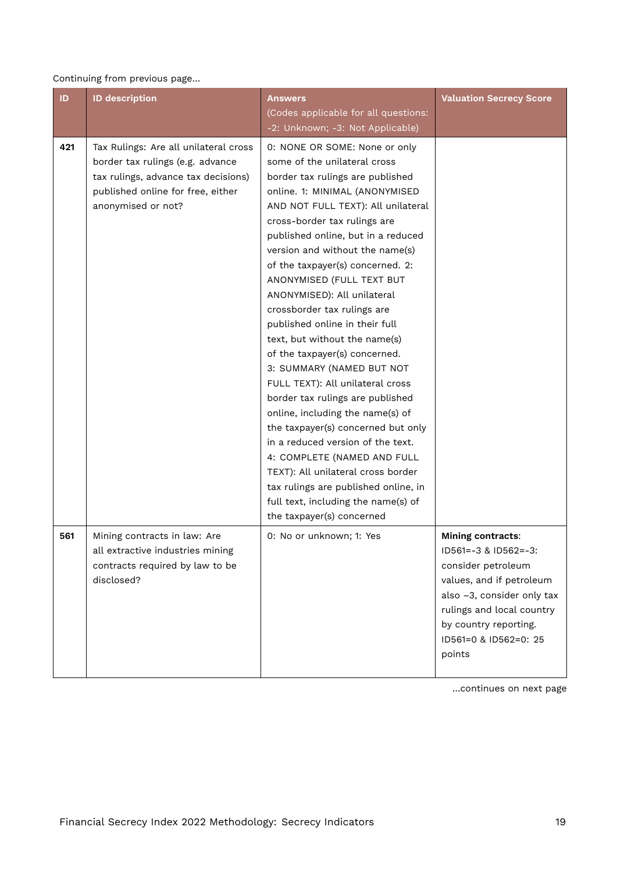#### Continuing from previous page…

| ID  | <b>ID description</b>                                                                                                                                                       | <b>Answers</b><br>(Codes applicable for all questions:<br>-2: Unknown; -3: Not Applicable)                                                                                                                                                                                                                                                                                                                                                                                                                                                                                                                                                                                                                                                                                                                                                                                                                                 | <b>Valuation Secrecy Score</b>                                                                                                                                                                                                  |
|-----|-----------------------------------------------------------------------------------------------------------------------------------------------------------------------------|----------------------------------------------------------------------------------------------------------------------------------------------------------------------------------------------------------------------------------------------------------------------------------------------------------------------------------------------------------------------------------------------------------------------------------------------------------------------------------------------------------------------------------------------------------------------------------------------------------------------------------------------------------------------------------------------------------------------------------------------------------------------------------------------------------------------------------------------------------------------------------------------------------------------------|---------------------------------------------------------------------------------------------------------------------------------------------------------------------------------------------------------------------------------|
| 421 | Tax Rulings: Are all unilateral cross<br>border tax rulings (e.g. advance<br>tax rulings, advance tax decisions)<br>published online for free, either<br>anonymised or not? | 0: NONE OR SOME: None or only<br>some of the unilateral cross<br>border tax rulings are published<br>online. 1: MINIMAL (ANONYMISED<br>AND NOT FULL TEXT): All unilateral<br>cross-border tax rulings are<br>published online, but in a reduced<br>version and without the name(s)<br>of the taxpayer(s) concerned. 2:<br>ANONYMISED (FULL TEXT BUT<br>ANONYMISED): All unilateral<br>crossborder tax rulings are<br>published online in their full<br>text, but without the name(s)<br>of the taxpayer(s) concerned.<br>3: SUMMARY (NAMED BUT NOT<br>FULL TEXT): All unilateral cross<br>border tax rulings are published<br>online, including the name(s) of<br>the taxpayer(s) concerned but only<br>in a reduced version of the text.<br>4: COMPLETE (NAMED AND FULL<br>TEXT): All unilateral cross border<br>tax rulings are published online, in<br>full text, including the name(s) of<br>the taxpayer(s) concerned |                                                                                                                                                                                                                                 |
| 561 | Mining contracts in law: Are<br>all extractive industries mining<br>contracts required by law to be<br>disclosed?                                                           | 0: No or unknown; 1: Yes                                                                                                                                                                                                                                                                                                                                                                                                                                                                                                                                                                                                                                                                                                                                                                                                                                                                                                   | <b>Mining contracts:</b><br>ID561 = - 3 & ID562 = - 3:<br>consider petroleum<br>values, and if petroleum<br>also -3, consider only tax<br>rulings and local country<br>by country reporting.<br>ID561=0 & ID562=0: 25<br>points |

…continues on next page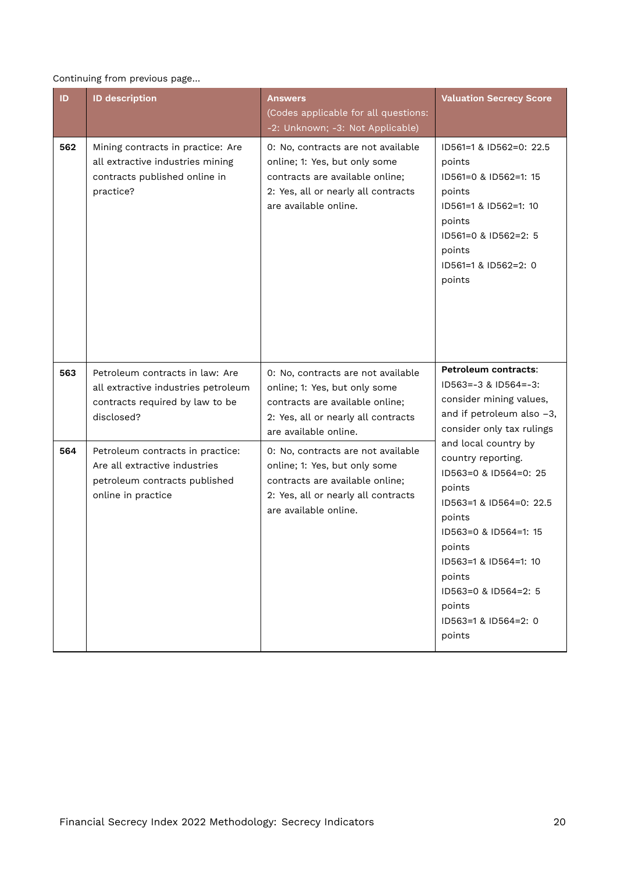#### Continuing from previous page…

| ID  | <b>ID description</b>                                                                                                    | <b>Answers</b><br>(Codes applicable for all questions:<br>-2: Unknown; -3: Not Applicable)                                                                             | <b>Valuation Secrecy Score</b>                                                                                                                                                                                                                               |
|-----|--------------------------------------------------------------------------------------------------------------------------|------------------------------------------------------------------------------------------------------------------------------------------------------------------------|--------------------------------------------------------------------------------------------------------------------------------------------------------------------------------------------------------------------------------------------------------------|
| 562 | Mining contracts in practice: Are<br>all extractive industries mining<br>contracts published online in<br>practice?      | 0: No, contracts are not available<br>online; 1: Yes, but only some<br>contracts are available online;<br>2: Yes, all or nearly all contracts<br>are available online. | ID561=1 & ID562=0: 22.5<br>points<br>ID561=0 & ID562=1: 15<br>points<br>ID561=1 & ID562=1: 10<br>points<br>ID561=0 & ID562=2: 5<br>points<br>ID561=1 & ID562=2: 0<br>points                                                                                  |
| 563 | Petroleum contracts in law: Are<br>all extractive industries petroleum<br>contracts required by law to be<br>disclosed?  | 0: No, contracts are not available<br>online; 1: Yes, but only some<br>contracts are available online;<br>2: Yes, all or nearly all contracts<br>are available online. | Petroleum contracts:<br>$ID563=-3$ & $ID564=-3$ :<br>consider mining values,<br>and if petroleum also -3,<br>consider only tax rulings                                                                                                                       |
| 564 | Petroleum contracts in practice:<br>Are all extractive industries<br>petroleum contracts published<br>online in practice | 0: No, contracts are not available<br>online; 1: Yes, but only some<br>contracts are available online;<br>2: Yes, all or nearly all contracts<br>are available online. | and local country by<br>country reporting.<br>ID563=0 & ID564=0: 25<br>points<br>ID563=1 & ID564=0: 22.5<br>points<br>ID563=0 & ID564=1: 15<br>points<br>ID563=1 & ID564=1: 10<br>points<br>ID563=0 & ID564=2: 5<br>points<br>ID563=1 & ID564=2: 0<br>points |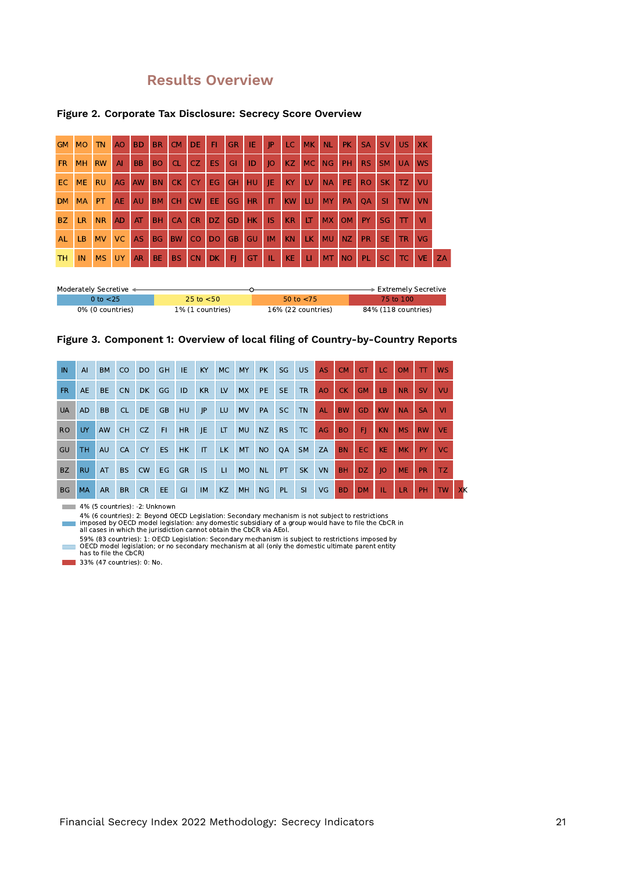## **Results Overview**

| <b>GM</b> | <b>MO</b> | <b>TN</b> | A <sub>O</sub> | <b>BD</b> | <b>BR</b> | <b>CM</b> | <b>DE</b> | FI.            | <b>GR</b> | IE        | IP        | LC.       | <b>MK</b> | <b>NL</b> | <b>PK</b> | <b>SA</b> | <b>SV</b> | US.       | <b>XK</b> |
|-----------|-----------|-----------|----------------|-----------|-----------|-----------|-----------|----------------|-----------|-----------|-----------|-----------|-----------|-----------|-----------|-----------|-----------|-----------|-----------|
| <b>FR</b> | <b>MH</b> | <b>RW</b> | AI             | <b>BB</b> | <b>BO</b> | <b>CL</b> | CZ        | <b>ES</b>      | GI        | ID        | O         | KZ        | <b>MC</b> | NG        | <b>PH</b> | <b>RS</b> | <b>SM</b> | <b>UA</b> | <b>WS</b> |
| EC.       | <b>ME</b> | <b>RU</b> | AG             | AW        | <b>BN</b> | CK.       | <b>CY</b> | EG             | <b>GH</b> | HU        | JE        | <b>KY</b> | LV        | <b>NA</b> | PE.       | <b>RO</b> | <b>SK</b> | TZ.       | VU        |
| <b>DM</b> | <b>MA</b> | PT        | <b>AE</b>      | AU        | <b>BM</b> | <b>CH</b> | <b>CW</b> | EE.            | GG        | HR        | IT.       | <b>KW</b> | LU        | <b>MY</b> | <b>PA</b> | <b>OA</b> | <b>SI</b> | <b>TW</b> | <b>VN</b> |
| <b>BZ</b> | LR.       | <b>NR</b> | <b>AD</b>      | AT        | <b>BH</b> | <b>CA</b> | <b>CR</b> | DZ.            | GD        | <b>HK</b> | <b>IS</b> | KR        | LT        | <b>MX</b> | <b>OM</b> | <b>PY</b> | <b>SG</b> | π         | VI        |
| <b>AL</b> | LB.       | <b>MV</b> | <b>VC</b>      | <b>AS</b> | <b>BG</b> | <b>BW</b> | CO        | D <sub>O</sub> | <b>GB</b> | GU        | <b>IM</b> | <b>KN</b> | LK.       | <b>MU</b> | NZ        | <b>PR</b> | <b>SE</b> | <b>TR</b> | <b>VG</b> |
| TН        | IN        | <b>MS</b> | <b>UY</b>      | <b>AR</b> | BE.       | BS.       | <b>CN</b> | <b>DK</b>      | FI        | GT        | IL.       | <b>KE</b> | u         | <b>MT</b> | <b>NO</b> | <b>PL</b> | <b>SC</b> | TC.       | <b>VE</b> |

#### **Figure 2. Corporate Tax Disclosure: Secrecy Score Overview**

| Moderately Secretive < |                  |                    | $\overline{\phantom{1}}$ Extremely Secretive |
|------------------------|------------------|--------------------|----------------------------------------------|
| 0 to <25               | 25 to $<$ 50     | 50 to $< 75$       | 75 to 100                                    |
| 0% (0 countries)       | 1% (1 countries) | 16% (22 countries) | 84% (118 countries)                          |

#### **Figure 3. Component 1: Overview of local filing of Country-by-Country Reports**

| <b>IN</b> | AI        | <b>BM</b> | <sub>co</sub> | <b>DO</b> | <b>GH</b> | IE.       | KY           | <b>MC</b>    | <b>MY</b> | <b>PK</b> | SG        | US.       | <b>AS</b> | <b>CM</b>      | <b>GT</b> | LC.       | <b>OM</b> | TT        | <b>WS</b> |    |
|-----------|-----------|-----------|---------------|-----------|-----------|-----------|--------------|--------------|-----------|-----------|-----------|-----------|-----------|----------------|-----------|-----------|-----------|-----------|-----------|----|
| <b>FR</b> | <b>AE</b> | <b>BE</b> | <b>CN</b>     | <b>DK</b> | GG        | ID        | KR           | LV           | <b>MX</b> | PE.       | <b>SE</b> | <b>TR</b> | <b>AO</b> | CK             | <b>GM</b> | LB.       | <b>NR</b> | <b>SV</b> | VU        |    |
| <b>UA</b> | <b>AD</b> | <b>BB</b> | <b>CL</b>     | <b>DE</b> | <b>GB</b> | <b>HU</b> | P            | LU           | <b>MV</b> | PA        | <b>SC</b> | <b>TN</b> | <b>AL</b> | <b>BW</b>      | <b>GD</b> | <b>KW</b> | <b>NA</b> | <b>SA</b> | VI.       |    |
| <b>RO</b> | UY .      | AW        | <b>CH</b>     | CZ        | F1        | <b>HR</b> | JE           | LT           | <b>MU</b> | NZ        | <b>RS</b> | TC        | AG        | BO.            | FI.       | <b>KN</b> | <b>MS</b> | <b>RW</b> | <b>VE</b> |    |
| GU        | TH.       | <b>AU</b> | CA            | <b>CY</b> | <b>ES</b> | HK        | $\mathsf{I}$ | LK.          | <b>MT</b> | <b>NO</b> | QA        | <b>SM</b> | ZA        | <b>BN</b>      | EC.       | <b>KE</b> | <b>MK</b> | PY.       | VC.       |    |
| <b>BZ</b> | <b>RU</b> | AT        | <b>BS</b>     | <b>CW</b> | <b>EG</b> | <b>GR</b> | <b>IS</b>    | $\mathbf{H}$ | <b>MO</b> | <b>NL</b> | PT        | <b>SK</b> | <b>VN</b> | <b>BH</b>      | DZ.       | 10        | <b>ME</b> | <b>PR</b> | TZ.       |    |
| <b>BG</b> | <b>MA</b> | <b>AR</b> | <b>BR</b>     | CR.       | EE.       | GI        | <b>IM</b>    | <b>KZ</b>    | MH        | <b>NG</b> | PL        | <b>SI</b> | VG        | B <sub>D</sub> | DM.       | л.        | LR.       | <b>PH</b> | <b>TW</b> | XK |

4% (5 countries): -2: Unknown

4% (6 countries): 2: Beyond OECD Legislation: Secondary mechanism is not subject to restrictions<br>imposed by OECD model legislation: any domestic subsidiary of a group would have to file the CbCR in<br>all cases in which the j

59% (83 countries): 1: OECD Legislation: Secondary mechanism is subject to restrictions imposed by OECD model legislation; or no secondary mechanism at all (only the domestic ultimate parent entity has to file the CbCR)

**33% (47 countries): 0: No.** 

×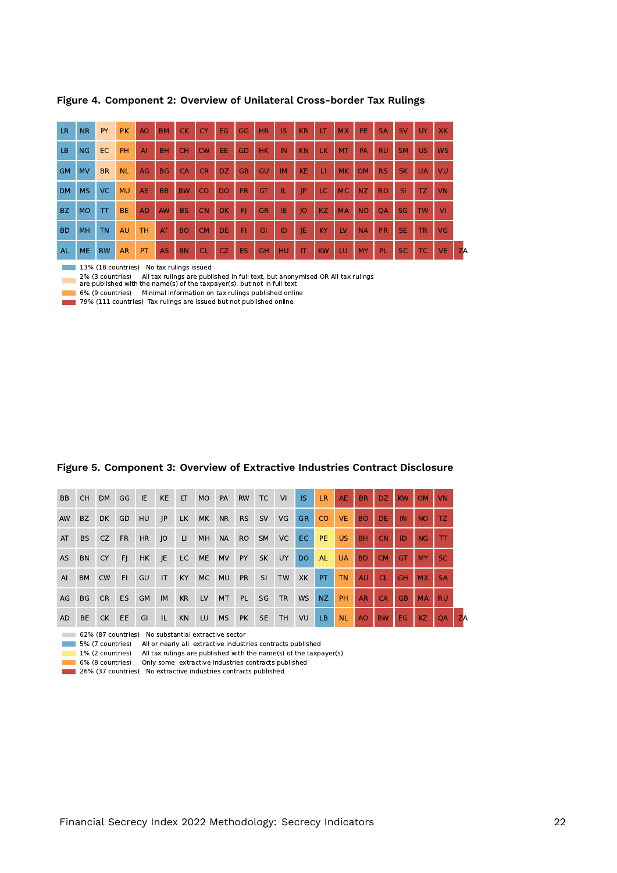| <b>LR</b> | <b>NR</b> | PY        | <b>PK</b> | A <sub>O</sub> | <b>BM</b> | <b>CK</b> | <b>CY</b> | EG.            | <b>GG</b> | <b>HR</b> | IS        | <b>KR</b> | LT        | <b>MX</b> | PE.       | <b>SA</b> | <b>SV</b> | UY.       | <b>XK</b>               |
|-----------|-----------|-----------|-----------|----------------|-----------|-----------|-----------|----------------|-----------|-----------|-----------|-----------|-----------|-----------|-----------|-----------|-----------|-----------|-------------------------|
| LB.       | NG        | EC        | PH        | A <sub>l</sub> | <b>BH</b> | <b>CH</b> | CW        | EE.            | GD        | <b>HK</b> | IN        | <b>KN</b> | LK.       | <b>MT</b> | PA        | <b>RU</b> | <b>SM</b> | US.       | <b>WS</b>               |
| <b>GM</b> | <b>MV</b> | <b>BR</b> | <b>NL</b> | AG             | <b>BG</b> | <b>CA</b> | <b>CR</b> | <b>DZ</b>      | <b>GB</b> | GU        | <b>IM</b> | <b>KE</b> | П         | <b>MK</b> | <b>OM</b> | <b>RS</b> | <b>SK</b> | <b>UA</b> | VU                      |
| <b>DM</b> | <b>MS</b> | VC.       | <b>MU</b> | <b>AE</b>      | <b>BB</b> | <b>BW</b> | <b>CO</b> | D <sub>O</sub> | <b>FR</b> | GT        | IL.       | P         | LC.       | <b>MC</b> | NZ        | <b>RO</b> | <b>SI</b> | TZ.       | <b>VN</b>               |
| <b>BZ</b> | <b>MO</b> | T         | <b>BE</b> | <b>AD</b>      | <b>AW</b> | <b>BS</b> | <b>CN</b> | <b>DK</b>      | FI        | <b>GR</b> | ΙE        | 0         | KZ        | <b>MA</b> | <b>NO</b> | <b>OA</b> | <b>SG</b> | <b>TW</b> | $\overline{\mathsf{v}}$ |
| <b>BD</b> | <b>MH</b> | <b>TN</b> | AU        | <b>TH</b>      | AT        | <b>BO</b> | <b>CM</b> | <b>DE</b>      | <b>FI</b> | GI        | ID        | IE        | KY        | LV        | <b>NA</b> | <b>PR</b> | SE.       | <b>TR</b> | <b>VG</b>               |
| <b>AL</b> | <b>ME</b> | <b>RW</b> | <b>AR</b> | PT             | <b>AS</b> | <b>BN</b> | <b>CL</b> | <b>CZ</b>      | ES        | <b>GH</b> | HU        | IT        | <b>KW</b> | LU        | MY        | PL        | SC.       | <b>TC</b> | <b>VE</b>               |

**Figure 4. Component 2: Overview of Unilateral Cross-border Tax Rulings**

13% (18 countries) No tax rulings issued

2% (3 countries) All tax rulings are published in full text, but anonymised OR All tax rulings are published with the name(s) of the taxpayer(s), but not in full text

6% (9 countries) Minimal information on tax rulings published online 79% (111 countries) Tax rulings are issued but not published online

#### **Figure 5. Component 3: Overview of Extractive Industries Contract Disclosure**

| B <sub>B</sub> | CH.       | <b>DM</b> | GG        | IE.       | <b>KE</b> | LT.       | <b>MO</b> | PA        | <b>RW</b> | TC            | VI        | IS.       | LR.       | <b>AE</b> | <b>BR</b> | DZ.       | KW        | <b>OM</b> | <b>VN</b> |    |
|----------------|-----------|-----------|-----------|-----------|-----------|-----------|-----------|-----------|-----------|---------------|-----------|-----------|-----------|-----------|-----------|-----------|-----------|-----------|-----------|----|
| AW             | BZ.       | <b>DK</b> | GD        | <b>HU</b> | P         | LK        | <b>MK</b> | <b>NR</b> | <b>RS</b> | <b>SV</b>     | VG        | <b>GR</b> | <b>CO</b> | <b>VE</b> | BO.       | DE.       | IN        | NO.       | TZ.       |    |
| AT             | BS        | CZ        | <b>FR</b> | <b>HR</b> | IO        | LL.       | MH        | <b>NA</b> | <b>RO</b> | <b>SM</b>     | VC        | EC.       | PE.       | US.       | <b>BH</b> | <b>CN</b> | ID        | NG        | Ш         |    |
| <b>AS</b>      | <b>BN</b> | <b>CY</b> | FI.       | HK.       | IE.       | LC        | ME        | <b>MV</b> | <b>PY</b> | <b>SK</b>     | <b>UY</b> | <b>DO</b> | <b>AL</b> | <b>UA</b> | <b>BD</b> | CM.       | GT        | <b>MY</b> | SC.       |    |
| AI             | <b>BM</b> | <b>CW</b> | FI.       | GU        | IT        | KY.       | MC        | <b>MU</b> | <b>PR</b> | <sup>SI</sup> | <b>TW</b> | XK        | <b>PT</b> | <b>TN</b> | AU.       | <b>CL</b> | <b>GH</b> | <b>MX</b> | <b>SA</b> |    |
| AG             | BG CR     |           | ES        | <b>GM</b> | <b>IM</b> | <b>KR</b> | LV        | MT        | <b>PL</b> | SG            | <b>TR</b> | <b>WS</b> | NZ        | PH        | <b>AR</b> | CA.       | <b>GB</b> | <b>MA</b> | <b>RU</b> |    |
| <b>AD</b>      | <b>BE</b> | CK        | EE.       | GI        | IL.       | <b>KN</b> | LU        | <b>MS</b> | <b>PK</b> | <b>SE</b>     | <b>TH</b> | VU        | <b>LB</b> | <b>NL</b> | AO        | <b>BW</b> | EG.       | <b>KZ</b> | <b>OA</b> | ZA |

62% (87 countries) No substantial extractive sector

5% (7 countries) All or nearly all extractive industries contracts published

1% (2 countries) All tax rulings are published with the name(s) of the taxpayer(s)

6% (8 countries) Only some extractive industries contracts published

**26% (37 countries)** No extractive industries contracts published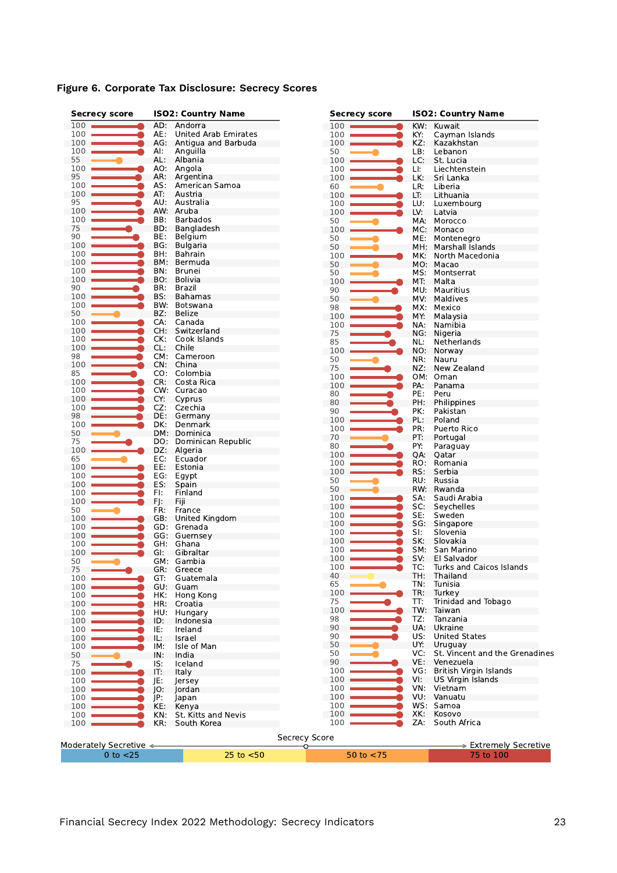|  |  |  | Figure 6. Corporate Tax Disclosure: Secrecy Scores |  |  |
|--|--|--|----------------------------------------------------|--|--|
|--|--|--|----------------------------------------------------|--|--|

| <b>Secrecy score</b>   |     | <b>ISO2: Country Name</b> | <b>Secrecy score</b> |            | <b>ISO2: Country Name</b>      |
|------------------------|-----|---------------------------|----------------------|------------|--------------------------------|
| $100$ $\blacksquare$   | AD: | Andorra                   | $100 -$              | KW:        | Kuwait                         |
| 100                    | AE: | United Arab Emirates      | 100                  | KY:        | Cayman Islands                 |
| 100                    | AG: | Antigua and Barbuda       | 100                  | KZ:        | Kazakhstan                     |
| 100                    | AI: | Anguilla                  | 50                   | LB:        | Lebanon                        |
| 55                     | AL: | Albania                   | 100                  | LC:        | St. Lucia                      |
| 100                    | AO: | Angola                    | 100                  | LI:        | Liechtenstein                  |
| 95                     | AR: | Argentina                 | 100                  | LK:        | Sri Lanka                      |
| 100                    | AS: | American Samoa            | 60                   | LR:        | Liberia                        |
| 100                    | AT: | Austria                   | 100                  | LT:        | Lithuania                      |
| 95                     | AU: | Australia                 | 100                  | LU:        | Luxembourg                     |
| 100                    | AW: | Aruba                     | 100                  | LV:        | Latvia                         |
| 100                    | BB: | <b>Barbados</b>           | 50                   | MA:        | Morocco                        |
| 75                     | BD: | Bangladesh                | 100                  | MC:        | Monaco                         |
| 90                     | BE: | Belgium                   | 50                   | ME:        | Montenegro                     |
| 100                    | BG: | <b>Bulgaria</b>           | 50                   | MH:        | Marshall Islands               |
| 100                    | BH. | Bahrain                   | 100                  | MK:        | North Macedonia                |
| 100                    | BM: | Bermuda                   | 50                   |            | MO: Macao                      |
| 100                    | BN. | Brunei                    | 50                   | MS:        | Montserrat                     |
| 100                    | BO. | Bolivia                   | 100                  | MT:        | Malta                          |
| 90                     | BR: | Brazil                    | 90                   | MU:        | Mauritius                      |
| 100                    | BS: | Bahamas                   | 50                   | MV.        | Maldives                       |
| 100                    | BW. | Botswana                  | 98                   | MX:        | Mexico                         |
| 50                     | BZ: | Belize                    | 100                  | MY:        | Malaysia                       |
| 100                    | CA: | Canada                    | 100                  | NA:        | Namibia                        |
| 100                    | CH: | Switzerland               | 75                   | NG:        | Nigeria                        |
| 100                    | CK: | Cook Islands              | 85                   | NL:        | Netherlands                    |
| 100                    | CL: | Chile                     | 100                  | NO:        | Norway                         |
| 98                     |     | CM: Cameroon              | 50                   | NR:        | Nauru                          |
| 100                    | CN: | China                     | 75                   | NZ:        | New Zealand                    |
| 85                     |     | CO: Colombia              | 100                  |            | OM: Oman                       |
| 100                    | CR: | Costa Rica                | 100                  | PA:        | Panama                         |
| 100                    |     | CW: Curacao               | 80                   | PE:        | Peru                           |
| 100                    | CY: | Cyprus                    | 80                   | PH:        | Philippines                    |
| 100                    | CZ: | Czechia                   | 90                   | PK:        | Pakistan                       |
| 98                     | DE: | Germany                   | 100                  | PL:        | Poland                         |
| 100                    | DK: | Denmark                   | 100                  | PR:        | Puerto Rico                    |
| 50                     |     | DM: Dominica              | 70                   | PT:        |                                |
| 75                     | DO: | Dominican Republic        | 80                   |            | Portugal                       |
| 100                    | DZ: | Algeria                   |                      | PY:        | Paraguay                       |
| 65                     | EC: | Ecuador                   | 100                  | QA:        | Qatar                          |
| 100                    | EE: | Estonia                   | 100                  | RO:<br>RS: | Romania                        |
| 100                    | EG: | Egypt                     | 100                  |            | Serbia                         |
| 100                    | ES: | Spain                     | 50                   | RU:        | Russia                         |
| 100                    | FI: | Finland                   | 50                   |            | RW: Rwanda                     |
| 100                    | FJ: | Fiji                      | 100                  | SA:        | Saudi Arabia                   |
| 50                     | FR: | France                    | 100                  | SC:        | Seychelles                     |
| 100                    | GB: | United Kingdom            | 100                  | SE:        | Sweden                         |
| 100                    | GD: | Grenada                   | 100                  | SG:        | Singapore                      |
| 100                    | GG: | Guernsey                  | 100                  | SI:        | Slovenia                       |
| 100                    | GH. | Ghana                     | 100                  | SK:        | Slovakia                       |
| 100                    | GI. | Gibraltar                 | 100                  | SM:        | San Marino                     |
| 50                     |     | GM: Gambia                | 100                  | SV:        | El Salvador                    |
| 75                     |     | GR: Greece                | 100                  | TC:        | Turks and Caicos Islands       |
| 100                    | GT: | Guatemala                 | 40                   | TH:        | Thailand                       |
| 100                    | GU: | Guam                      | 65                   | TN:        | Tunisia                        |
| 100                    | HK: | Hong Kong                 | 100                  | TR:        | Turkey                         |
| 100                    | HR: | Croatia                   | 75                   | TT:        | Trinidad and Tobago            |
| 100                    | HU: | Hungary                   | 100                  | TW:        | Taiwan                         |
| 100                    | ID: | Indonesia                 | 98                   | TZ:        | Tanzania                       |
| 100                    | IE: | Ireland                   | 90                   | UA:        | Ukraine                        |
| 100                    | IL: | Israel                    | 90                   | US:        | <b>United States</b>           |
| 100                    | IM: | Isle of Man               | 50                   | UY:        | Uruguay                        |
| 50                     | IN: | India                     | 50                   | VC:        | St. Vincent and the Grenadines |
| 75                     | IS: | Iceland                   | 90                   | VE.        | Venezuela                      |
| 100                    | IT: | Italy                     | 100                  | VG:        | British Virgin Islands         |
| 100                    | JE: | Jersey                    | 100                  | VI:        | US Virgin Islands              |
| 100                    | IO: | Jordan                    | 100                  | VN:        | Vietnam                        |
| 100                    | JP: | Japan                     | 100                  | VU:        | Vanuatu                        |
| 100                    | KE: | Kenya                     | 100                  | WS:        | Samoa                          |
| 100                    | KN: | St. Kitts and Nevis       | 100                  | XK:        | Kosovo                         |
| 100                    | KR: | South Korea               | 100                  | ZA:        | South Africa                   |
|                        |     |                           |                      |            |                                |
|                        |     |                           | Secrecy Score        |            |                                |
| Moderately Secretive < |     |                           | O                    |            | > Extremely Secretive          |
| $0$ to $<$ 25          |     | 25 to $<$ 50              | 50 to $<$ 75         |            | 75 to 100                      |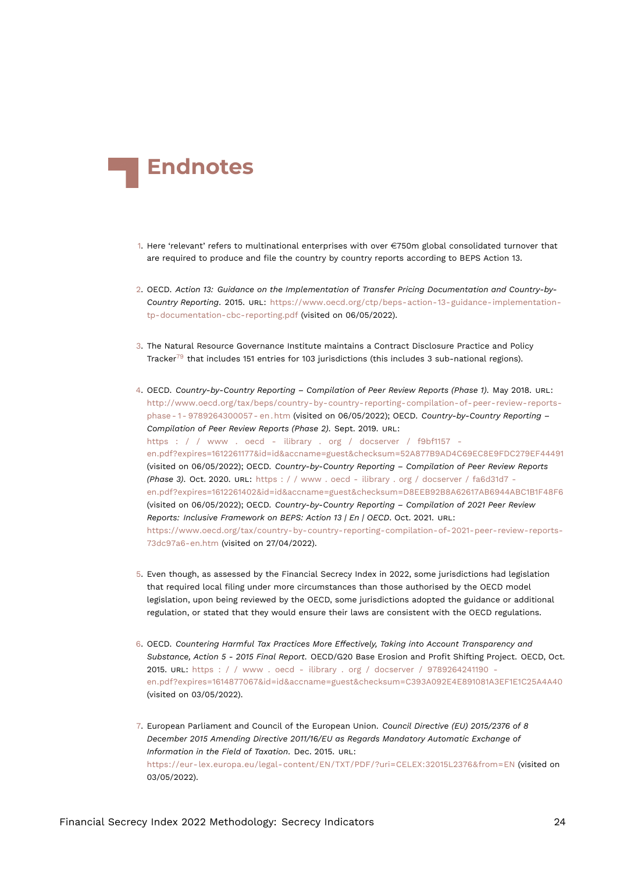<span id="page-23-10"></span>

- <span id="page-23-0"></span>[1.](#page-0-0) Here 'relevant' refers to multinational enterprises with over  $\in$ 750m global consolidated turnover that are required to produce and file the country by country reports according to BEPS Action 13.
- <span id="page-23-1"></span>[2.](#page-0-1) OECD. *Action 13: Guidance on the Implementation of Transfer Pricing Documentation and Country-by-Country Reporting*. 2015. URL: [https://www.oecd.org/ctp/beps-action-13-guidance-implementation](https://www.oecd.org/ctp/beps-action-13-guidance-implementation-tp-documentation-cbc-reporting.pdf)[tp-documentation-cbc-reporting.pdf](https://www.oecd.org/ctp/beps-action-13-guidance-implementation-tp-documentation-cbc-reporting.pdf) (visited on 06/05/2022).
- <span id="page-23-9"></span><span id="page-23-2"></span>[3.](#page-0-2) The Natural Resource Governance Institute maintains a Contract Disclosure Practice and Policy Tracker<sup>[79](#page-30-0)</sup> that includes 151 entries for 103 jurisdictions (this includes 3 sub-national regions).
- <span id="page-23-7"></span><span id="page-23-3"></span>[4.](#page-1-1) OECD. *Country-by-Country Reporting – Compilation of Peer Review Reports (Phase 1)*. May 2018. URL: [http://www.oecd.org/tax/beps/country-by-country-reporting-compilation-of-peer-review-reports](http://www.oecd.org/tax/beps/country-by-country-reporting-compilation-of-peer-review-reports-phase-1-9789264300057-en.htm)[phase - 1 - 9789264300057 - en . htm](http://www.oecd.org/tax/beps/country-by-country-reporting-compilation-of-peer-review-reports-phase-1-9789264300057-en.htm) (visited on 06/05/2022); OECD. *Country-by-Country Reporting – Compilation of Peer Review Reports (Phase 2)*. Sept. 2019. URL: [https : / / www . oecd - ilibrary . org / docserver / f9bf1157](https://www.oecd-ilibrary.org/docserver/f9bf1157-en.pdf?expires=1612261177&id=id&accname=guest&checksum=52A877B9AD4C69EC8E9FDC279EF44491)  [en.pdf?expires=1612261177&id=id&accname=guest&checksum=52A877B9AD4C69EC8E9FDC279EF44491](https://www.oecd-ilibrary.org/docserver/f9bf1157-en.pdf?expires=1612261177&id=id&accname=guest&checksum=52A877B9AD4C69EC8E9FDC279EF44491) (visited on 06/05/2022); OECD. *Country-by-Country Reporting – Compilation of Peer Review Reports (Phase 3)*. Oct. 2020. URL: [https : / / www . oecd - ilibrary . org / docserver / fa6d31d7](https://www.oecd-ilibrary.org/docserver/fa6d31d7-en.pdf?expires=1612261402&id=id&accname=guest&checksum=D8EEB92B8A62617AB6944ABC1B1F48F6)  [en.pdf?expires=1612261402&id=id&accname=guest&checksum=D8EEB92B8A62617AB6944ABC1B1F48F6](https://www.oecd-ilibrary.org/docserver/fa6d31d7-en.pdf?expires=1612261402&id=id&accname=guest&checksum=D8EEB92B8A62617AB6944ABC1B1F48F6) (visited on 06/05/2022); OECD. *Country-by-Country Reporting – Compilation of 2021 Peer Review Reports: Inclusive Framework on BEPS: Action 13 | En | OECD*. Oct. 2021. URL: [https://www.oecd.org/tax/country-by-country-reporting-compilation-of-2021-peer-review-reports-](https://www.oecd.org/tax/country-by-country-reporting-compilation-of-2021-peer-review-reports-73dc97a6-en.htm)[73dc97a6-en.htm](https://www.oecd.org/tax/country-by-country-reporting-compilation-of-2021-peer-review-reports-73dc97a6-en.htm) (visited on 27/04/2022).
- <span id="page-23-4"></span>[5.](#page-1-2) Even though, as assessed by the Financial Secrecy Index in 2022, some jurisdictions had legislation that required local filing under more circumstances than those authorised by the OECD model legislation, upon being reviewed by the OECD, some jurisdictions adopted the guidance or additional regulation, or stated that they would ensure their laws are consistent with the OECD regulations.
- <span id="page-23-5"></span>[6.](#page-2-0) OECD. *Countering Harmful Tax Practices More Effectively, Taking into Account Transparency and Substance, Action 5 - 2015 Final Report*. OECD/G20 Base Erosion and Profit Shifting Project. OECD, Oct. 2015. URL: [https : / / www . oecd - ilibrary . org / docserver / 9789264241190](https://www.oecd-ilibrary.org/docserver/9789264241190-en.pdf?expires=1614877067&id=id&accname=guest&checksum=C393A092E4E891081A3EF1E1C25A4A40)  [en.pdf?expires=1614877067&id=id&accname=guest&checksum=C393A092E4E891081A3EF1E1C25A4A40](https://www.oecd-ilibrary.org/docserver/9789264241190-en.pdf?expires=1614877067&id=id&accname=guest&checksum=C393A092E4E891081A3EF1E1C25A4A40) (visited on 03/05/2022).
- <span id="page-23-8"></span><span id="page-23-6"></span>[7.](#page-2-1) European Parliament and Council of the European Union. *Council Directive (EU) 2015/2376 of 8 December 2015 Amending Directive 2011/16/EU as Regards Mandatory Automatic Exchange of Information in the Field of Taxation*. Dec. 2015. URL: <https://eur-lex.europa.eu/legal-content/EN/TXT/PDF/?uri=CELEX:32015L2376&from=EN> (visited on 03/05/2022).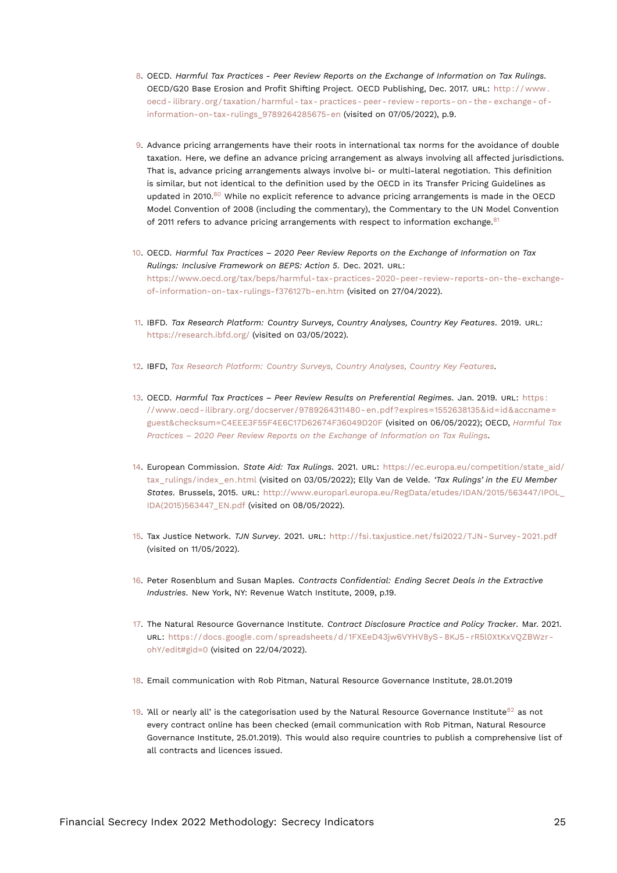- <span id="page-24-21"></span><span id="page-24-15"></span><span id="page-24-0"></span>[8.](#page-2-2) OECD. *Harmful Tax Practices - Peer Review Reports on the Exchange of Information on Tax Rulings*. OECD/G20 Base Erosion and Profit Shifting Project. OECD Publishing, Dec. 2017. URL: [http : / / www .](http://www.oecd-ilibrary.org/taxation/harmful-tax-practices-peer-review-reports-on-the-exchange-of-information-on-tax-rulings_9789264285675-en) [oecd- ilibrary.org/taxation/harmful- tax- practices- peer- review- reports- on- the- exchange- of](http://www.oecd-ilibrary.org/taxation/harmful-tax-practices-peer-review-reports-on-the-exchange-of-information-on-tax-rulings_9789264285675-en)[information-on-tax-rulings\\_9789264285675-en](http://www.oecd-ilibrary.org/taxation/harmful-tax-practices-peer-review-reports-on-the-exchange-of-information-on-tax-rulings_9789264285675-en) (visited on 07/05/2022), p.9.
- <span id="page-24-18"></span><span id="page-24-1"></span>[9.](#page-2-3) Advance pricing arrangements have their roots in international tax norms for the avoidance of double taxation. Here, we define an advance pricing arrangement as always involving all affected jurisdictions. That is, advance pricing arrangements always involve bi- or multi-lateral negotiation. This definition is similar, but not identical to the definition used by the OECD in its Transfer Pricing Guidelines as updated in 2010.<sup>[80](#page-30-1)</sup> While no explicit reference to advance pricing arrangements is made in the OECD Model Convention of 2008 (including the commentary), the Commentary to the UN Model Convention of 2011 refers to advance pricing arrangements with respect to information exchange.<sup>[81](#page-30-2)</sup>
- <span id="page-24-19"></span><span id="page-24-13"></span><span id="page-24-2"></span>[10.](#page-3-0) OECD. *Harmful Tax Practices – 2020 Peer Review Reports on the Exchange of Information on Tax Rulings: Inclusive Framework on BEPS: Action 5*. Dec. 2021. URL: [https://www.oecd.org/tax/beps/harmful-tax-practices-2020-peer-review-reports-on-the-exchange](https://www.oecd.org/tax/beps/harmful-tax-practices-2020-peer-review-reports-on-the-exchange-of-information-on-tax-rulings-f376127b-en.htm)[of-information-on-tax-rulings-f376127b-en.htm](https://www.oecd.org/tax/beps/harmful-tax-practices-2020-peer-review-reports-on-the-exchange-of-information-on-tax-rulings-f376127b-en.htm) (visited on 27/04/2022).
- <span id="page-24-12"></span><span id="page-24-3"></span>[11.](#page-3-1) IBFD. *Tax Research Platform: Country Surveys, Country Analyses, Country Key Features*. 2019. URL: <https://research.ibfd.org/> (visited on 03/05/2022).
- <span id="page-24-4"></span>[12.](#page-4-0) IBFD, *[Tax Research Platform: Country Surveys, Country Analyses, Country Key Features](#page-24-12)*.
- <span id="page-24-5"></span>[13.](#page-4-1) OECD. *Harmful Tax Practices – Peer Review Results on Preferential Regimes*. Jan. 2019. URL: [https :](https://www.oecd-ilibrary.org/docserver/9789264311480-en.pdf?expires=1552638135&id=id&accname=guest&checksum=C4EEE3F55F4E6C17D62674F36049D20F) [//www.oecd- ilibrary.org/docserver/9789264311480- en.pdf?expires=1552638135&id=id&accname=](https://www.oecd-ilibrary.org/docserver/9789264311480-en.pdf?expires=1552638135&id=id&accname=guest&checksum=C4EEE3F55F4E6C17D62674F36049D20F) [guest&checksum=C4EEE3F55F4E6C17D62674F36049D20F](https://www.oecd-ilibrary.org/docserver/9789264311480-en.pdf?expires=1552638135&id=id&accname=guest&checksum=C4EEE3F55F4E6C17D62674F36049D20F) (visited on 06/05/2022); OECD, *[Harmful Tax](#page-24-13) [Practices – 2020 Peer Review Reports on the Exchange of Information on Tax Rulings](#page-24-13)*.
- <span id="page-24-14"></span><span id="page-24-6"></span>[14.](#page-4-2) European Commission. *State Aid: Tax Rulings*. 2021. URL: [https://ec.europa.eu/competition/state\\_aid/](https://ec.europa.eu/competition/state_aid/tax_rulings/index_en.html) [tax\\_rulings/index\\_en.html](https://ec.europa.eu/competition/state_aid/tax_rulings/index_en.html) (visited on 03/05/2022); Elly Van de Velde. *'Tax Rulings' in the EU Member States*. Brussels, 2015. URL: [http://www.europarl.europa.eu/RegData/etudes/IDAN/2015/563447/IPOL\\_](http://www.europarl.europa.eu/RegData/etudes/IDAN/2015/563447/IPOL_IDA(2015)563447_EN.pdf) [IDA\(2015\)563447\\_EN.pdf](http://www.europarl.europa.eu/RegData/etudes/IDAN/2015/563447/IPOL_IDA(2015)563447_EN.pdf) (visited on 08/05/2022).
- <span id="page-24-7"></span>[15.](#page-4-3) Tax Justice Network. *TJN Survey*. 2021. URL: [http://fsi.taxjustice.net/fsi2022/TJN- Survey- 2021.pdf](http://fsi.taxjustice.net/fsi2022/TJN-Survey-2021.pdf) (visited on 11/05/2022).
- <span id="page-24-16"></span><span id="page-24-8"></span>[16.](#page-4-4) Peter Rosenblum and Susan Maples. *Contracts Confidential: Ending Secret Deals in the Extractive Industries*. New York, NY: Revenue Watch Institute, 2009, p.19.
- <span id="page-24-17"></span><span id="page-24-9"></span>[17.](#page-4-5) The Natural Resource Governance Institute. *Contract Disclosure Practice and Policy Tracker*. Mar. 2021. URL: [https://docs.google.com/spreadsheets/d/1FXEeD43jw6VYHV8yS- 8KJ5- rR5l0XtKxVQZBWzr](https://docs.google.com/spreadsheets/d/1FXEeD43jw6VYHV8yS-8KJ5-rR5l0XtKxVQZBWzr-ohY/edit#gid=0)[ohY/edit#gid=0](https://docs.google.com/spreadsheets/d/1FXEeD43jw6VYHV8yS-8KJ5-rR5l0XtKxVQZBWzr-ohY/edit#gid=0) (visited on 22/04/2022).
- <span id="page-24-10"></span>[18.](#page-4-6) Email communication with Rob Pitman, Natural Resource Governance Institute, 28.01.2019
- <span id="page-24-20"></span><span id="page-24-11"></span>[19.](#page-4-7) 'All or nearly all' is the categorisation used by the Natural Resource Governance Institute  $82$  as not every contract online has been checked (email communication with Rob Pitman, Natural Resource Governance Institute, 25.01.2019). This would also require countries to publish a comprehensive list of all contracts and licences issued.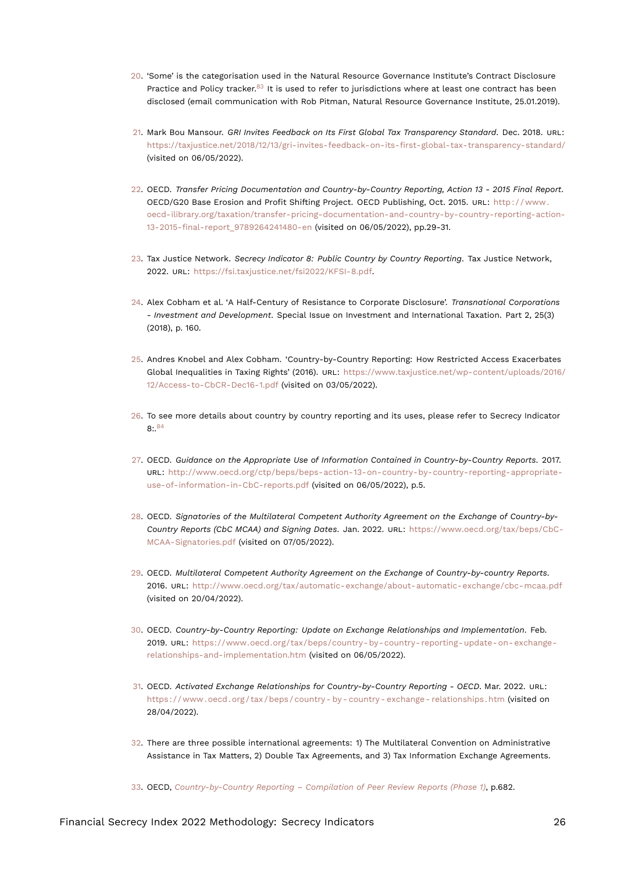- <span id="page-25-17"></span><span id="page-25-14"></span><span id="page-25-0"></span>[20.](#page-5-1) 'Some' is the categorisation used in the Natural Resource Governance Institute's Contract Disclosure Practice and Policy tracker.<sup>[83](#page-30-4)</sup> It is used to refer to jurisdictions where at least one contract has been disclosed (email communication with Rob Pitman, Natural Resource Governance Institute, 25.01.2019).
- <span id="page-25-1"></span>[21.](#page-7-0) Mark Bou Mansour. *GRI Invites Feedback on Its First Global Tax Transparency Standard*. Dec. 2018. URL: <https://taxjustice.net/2018/12/13/gri-invites-feedback-on-its-first-global-tax-transparency-standard/> (visited on 06/05/2022).
- <span id="page-25-2"></span>[22.](#page-7-1) OECD. *Transfer Pricing Documentation and Country-by-Country Reporting, Action 13 - 2015 Final Report*. OECD/G20 Base Erosion and Profit Shifting Project. OECD Publishing, Oct. 2015. URL: [http : / / www .](http://www.oecd-ilibrary.org/taxation/transfer-pricing-documentation-and-country-by-country-reporting-action-13-2015-final-report_9789264241480-en) [oecd-ilibrary.org/taxation/transfer-pricing-documentation-and-country-by-country-reporting-action-](http://www.oecd-ilibrary.org/taxation/transfer-pricing-documentation-and-country-by-country-reporting-action-13-2015-final-report_9789264241480-en)[13-2015-final-report\\_9789264241480-en](http://www.oecd-ilibrary.org/taxation/transfer-pricing-documentation-and-country-by-country-reporting-action-13-2015-final-report_9789264241480-en) (visited on 06/05/2022), pp.29-31.
- <span id="page-25-16"></span><span id="page-25-3"></span>[23.](#page-8-0) Tax Justice Network. *Secrecy Indicator 8: Public Country by Country Reporting*. Tax Justice Network, 2022. URL: <https://fsi.taxjustice.net/fsi2022/KFSI-8.pdf>.
- <span id="page-25-4"></span>[24.](#page-8-1) Alex Cobham et al. 'A Half-Century of Resistance to Corporate Disclosure'. *Transnational Corporations - Investment and Development*. Special Issue on Investment and International Taxation. Part 2, 25(3) (2018), p. 160.
- <span id="page-25-5"></span>[25.](#page-8-2) Andres Knobel and Alex Cobham. 'Country-by-Country Reporting: How Restricted Access Exacerbates Global Inequalities in Taxing Rights' (2016). URL: [https://www.taxjustice.net/wp-content/uploads/2016/](https://www.taxjustice.net/wp-content/uploads/2016/12/Access-to-CbCR-Dec16-1.pdf) [12/Access-to-CbCR-Dec16-1.pdf](https://www.taxjustice.net/wp-content/uploads/2016/12/Access-to-CbCR-Dec16-1.pdf) (visited on 03/05/2022).
- <span id="page-25-15"></span><span id="page-25-6"></span>[26.](#page-8-3) To see more details about country by country reporting and its uses, please refer to Secrecy Indicator 8:.[84](#page-30-5)
- <span id="page-25-7"></span>[27.](#page-9-0) OECD. *Guidance on the Appropriate Use of Information Contained in Country-by-Country Reports*. 2017. URL: [http://www.oecd.org/ctp/beps/beps-action-13-on-country-by-country-reporting-appropriate](http://www.oecd.org/ctp/beps/beps-action-13-on-country-by-country-reporting-appropriate-use-of-information-in-CbC-reports.pdf)[use-of-information-in-CbC-reports.pdf](http://www.oecd.org/ctp/beps/beps-action-13-on-country-by-country-reporting-appropriate-use-of-information-in-CbC-reports.pdf) (visited on 06/05/2022), p.5.
- <span id="page-25-8"></span>[28.](#page-9-1) OECD. *Signatories of the Multilateral Competent Authority Agreement on the Exchange of Country-by-Country Reports (CbC MCAA) and Signing Dates*. Jan. 2022. URL: [https://www.oecd.org/tax/beps/CbC-](https://www.oecd.org/tax/beps/CbC-MCAA-Signatories.pdf)[MCAA-Signatories.pdf](https://www.oecd.org/tax/beps/CbC-MCAA-Signatories.pdf) (visited on 07/05/2022).
- <span id="page-25-9"></span>[29.](#page-9-2) OECD. *Multilateral Competent Authority Agreement on the Exchange of Country-by-country Reports*. 2016. URL: <http://www.oecd.org/tax/automatic-exchange/about-automatic-exchange/cbc-mcaa.pdf> (visited on 20/04/2022).
- <span id="page-25-10"></span>[30.](#page-9-3) OECD. *Country-by-Country Reporting: Update on Exchange Relationships and Implementation*. Feb. 2019. URL: [https://www.oecd.org/tax/beps/country- by- country- reporting- update- on- exchange](https://www.oecd.org/tax/beps/country-by-country-reporting-update-on-exchange-relationships-and-implementation.htm)[relationships-and-implementation.htm](https://www.oecd.org/tax/beps/country-by-country-reporting-update-on-exchange-relationships-and-implementation.htm) (visited on 06/05/2022).
- <span id="page-25-11"></span>[31.](#page-9-4) OECD. *Activated Exchange Relationships for Country-by-Country Reporting - OECD*. Mar. 2022. URL: [https : / / www . oecd . org / tax / beps / country - by - country - exchange - relationships . htm](https://www.oecd.org/tax/beps/country-by-country-exchange-relationships.htm) (visited on 28/04/2022).
- <span id="page-25-12"></span>[32.](#page-9-5) There are three possible international agreements: 1) The Multilateral Convention on Administrative Assistance in Tax Matters, 2) Double Tax Agreements, and 3) Tax Information Exchange Agreements.
- <span id="page-25-13"></span>[33.](#page-10-1) OECD, *[Country-by-Country Reporting – Compilation of Peer Review Reports \(Phase 1\)](#page-23-7)*, p.682.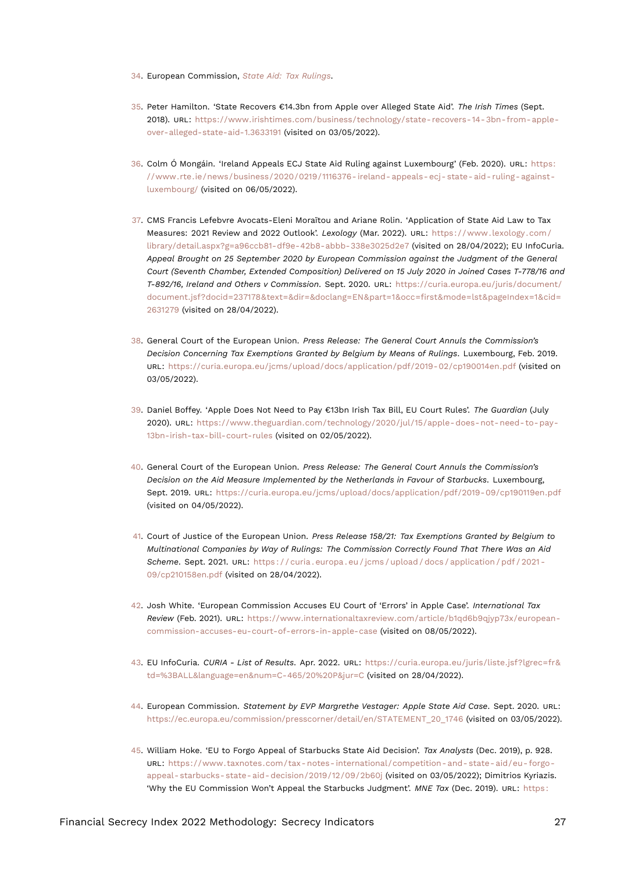- <span id="page-26-12"></span><span id="page-26-0"></span>[34.](#page-11-0) European Commission, *[State Aid: Tax Rulings](#page-24-14)*.
- <span id="page-26-1"></span>[35.](#page-11-1) Peter Hamilton. 'State Recovers €14.3bn from Apple over Alleged State Aid'. *The Irish Times* (Sept. 2018). URL: [https://www.irishtimes.com/business/technology/state-recovers-14-3bn-from-apple](https://www.irishtimes.com/business/technology/state-recovers-14-3bn-from-apple-over-alleged-state-aid-1.3633191)[over-alleged-state-aid-1.3633191](https://www.irishtimes.com/business/technology/state-recovers-14-3bn-from-apple-over-alleged-state-aid-1.3633191) (visited on 03/05/2022).
- <span id="page-26-2"></span>[36.](#page-11-2) Colm Ó Mongáin. 'Ireland Appeals ECJ State Aid Ruling against Luxembourg' (Feb. 2020). URL: [https:](https://www.rte.ie/news/business/2020/0219/1116376-ireland-appeals-ecj-state-aid-ruling-against-luxembourg/) [//www.rte.ie/news/business/2020/0219/1116376- ireland- appeals- ecj- state- aid- ruling- against](https://www.rte.ie/news/business/2020/0219/1116376-ireland-appeals-ecj-state-aid-ruling-against-luxembourg/)[luxembourg/](https://www.rte.ie/news/business/2020/0219/1116376-ireland-appeals-ecj-state-aid-ruling-against-luxembourg/) (visited on 06/05/2022).
- <span id="page-26-3"></span>[37.](#page-11-3) CMS Francis Lefebvre Avocats-Eleni Moraïtou and Ariane Rolin. 'Application of State Aid Law to Tax Measures: 2021 Review and 2022 Outlook'. *Lexology* (Mar. 2022). URL: [https://www.lexology.com/](https://www.lexology.com/library/detail.aspx?g=a96ccb81-df9e-42b8-abbb-338e3025d2e7) [library/detail.aspx?g=a96ccb81-df9e-42b8-abbb-338e3025d2e7](https://www.lexology.com/library/detail.aspx?g=a96ccb81-df9e-42b8-abbb-338e3025d2e7) (visited on 28/04/2022); EU InfoCuria. *Appeal Brought on 25 September 2020 by European Commission against the Judgment of the General Court (Seventh Chamber, Extended Composition) Delivered on 15 July 2020 in Joined Cases T-778/16 and T-892/16, Ireland and Others v Commission*. Sept. 2020. URL: [https://curia.europa.eu/juris/document/](https://curia.europa.eu/juris/document/document.jsf?docid=237178&text=&dir=&doclang=EN&part=1&occ=first&mode=lst&pageIndex=1&cid=2631279) [document.jsf?docid=237178&text=&dir=&doclang=EN&part=1&occ=first&mode=lst&pageIndex=1&cid=](https://curia.europa.eu/juris/document/document.jsf?docid=237178&text=&dir=&doclang=EN&part=1&occ=first&mode=lst&pageIndex=1&cid=2631279) [2631279](https://curia.europa.eu/juris/document/document.jsf?docid=237178&text=&dir=&doclang=EN&part=1&occ=first&mode=lst&pageIndex=1&cid=2631279) (visited on 28/04/2022).
- <span id="page-26-4"></span>[38.](#page-11-4) General Court of the European Union. *Press Release: The General Court Annuls the Commission's Decision Concerning Tax Exemptions Granted by Belgium by Means of Rulings*. Luxembourg, Feb. 2019. URL: <https://curia.europa.eu/jcms/upload/docs/application/pdf/2019-02/cp190014en.pdf> (visited on 03/05/2022).
- <span id="page-26-5"></span>[39.](#page-11-5) Daniel Boffey. 'Apple Does Not Need to Pay €13bn Irish Tax Bill, EU Court Rules'. *The Guardian* (July 2020). URL: [https://www.theguardian.com/technology/2020/jul/15/apple-does-not-need-to-pay-](https://www.theguardian.com/technology/2020/jul/15/apple-does-not-need-to-pay-13bn-irish-tax-bill-court-rules)[13bn-irish-tax-bill-court-rules](https://www.theguardian.com/technology/2020/jul/15/apple-does-not-need-to-pay-13bn-irish-tax-bill-court-rules) (visited on 02/05/2022).
- <span id="page-26-6"></span>[40.](#page-11-6) General Court of the European Union. *Press Release: The General Court Annuls the Commission's Decision on the Aid Measure Implemented by the Netherlands in Favour of Starbucks*. Luxembourg, Sept. 2019. URL: <https://curia.europa.eu/jcms/upload/docs/application/pdf/2019-09/cp190119en.pdf> (visited on 04/05/2022).
- <span id="page-26-7"></span>[41.](#page-11-7) Court of Justice of the European Union. *Press Release 158/21: Tax Exemptions Granted by Belgium to Multinational Companies by Way of Rulings: The Commission Correctly Found That There Was an Aid Scheme*. Sept. 2021. URL: [https : / / curia . europa . eu / jcms / upload / docs / application / pdf / 2021 -](https://curia.europa.eu/jcms/upload/docs/application/pdf/2021-09/cp210158en.pdf) [09/cp210158en.pdf](https://curia.europa.eu/jcms/upload/docs/application/pdf/2021-09/cp210158en.pdf) (visited on 28/04/2022).
- <span id="page-26-8"></span>[42.](#page-11-8) Josh White. 'European Commission Accuses EU Court of 'Errors' in Apple Case'. *International Tax Review* (Feb. 2021). URL: [https://www.internationaltaxreview.com/article/b1qd6b9qjyp73x/european](https://www.internationaltaxreview.com/article/b1qd6b9qjyp73x/european-commission-accuses-eu-court-of-errors-in-apple-case)[commission-accuses-eu-court-of-errors-in-apple-case](https://www.internationaltaxreview.com/article/b1qd6b9qjyp73x/european-commission-accuses-eu-court-of-errors-in-apple-case) (visited on 08/05/2022).
- <span id="page-26-9"></span>[43.](#page-11-9) EU InfoCuria. *CURIA - List of Results*. Apr. 2022. URL: [https://curia.europa.eu/juris/liste.jsf?lgrec=fr&](https://curia.europa.eu/juris/liste.jsf?lgrec=fr&td=%3BALL&language=en&num=C-465/20%20P&jur=C) [td=%3BALL&language=en&num=C-465/20%20P&jur=C](https://curia.europa.eu/juris/liste.jsf?lgrec=fr&td=%3BALL&language=en&num=C-465/20%20P&jur=C) (visited on 28/04/2022).
- <span id="page-26-10"></span>[44.](#page-11-10) European Commission. *Statement by EVP Margrethe Vestager: Apple State Aid Case*. Sept. 2020. URL: [https://ec.europa.eu/commission/presscorner/detail/en/STATEMENT\\_20\\_1746](https://ec.europa.eu/commission/presscorner/detail/en/STATEMENT_20_1746) (visited on 03/05/2022).
- <span id="page-26-11"></span>[45.](#page-11-11) William Hoke. 'EU to Forgo Appeal of Starbucks State Aid Decision'. *Tax Analysts* (Dec. 2019), p. 928. URL: [https://www.taxnotes.com/tax- notes- international/competition- and- state- aid/eu- forgo](https://www.taxnotes.com/tax-notes-international/competition-and-state-aid/eu-forgo-appeal-starbucks-state-aid-decision/2019/12/09/2b60j)[appeal- starbucks- state- aid- decision/2019/12/09/2b60j](https://www.taxnotes.com/tax-notes-international/competition-and-state-aid/eu-forgo-appeal-starbucks-state-aid-decision/2019/12/09/2b60j) (visited on 03/05/2022); Dimitrios Kyriazis. 'Why the EU Commission Won't Appeal the Starbucks Judgment'. *MNE Tax* (Dec. 2019). URL: [https :](https://mnetax.com/why-the-eu-commission-wont-appeal-the-starbucks-judgment-37043)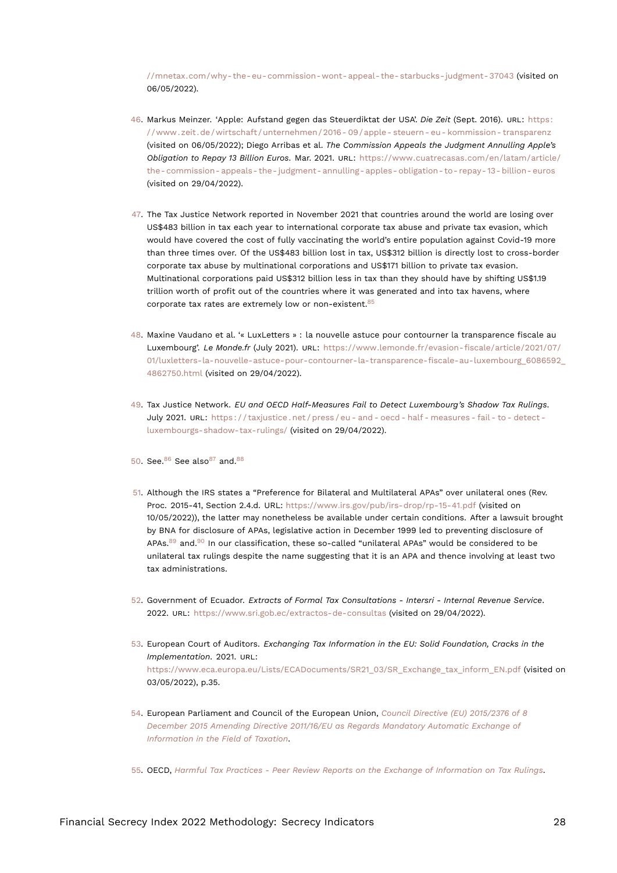<span id="page-27-16"></span>[//mnetax.com/why-the-eu-commission-wont-appeal-the-starbucks-judgment-37043](https://mnetax.com/why-the-eu-commission-wont-appeal-the-starbucks-judgment-37043) (visited on 06/05/2022).

- <span id="page-27-0"></span>[46.](#page-12-0) Markus Meinzer. 'Apple: Aufstand gegen das Steuerdiktat der USA'. *Die Zeit* (Sept. 2016). URL: [https:](https://www.zeit.de/wirtschaft/unternehmen/2016-09/apple-steuern-eu-kommission-transparenz) [//www.zeit.de/wirtschaft/unternehmen/2016- 09/apple- steuern- eu- kommission- transparenz](https://www.zeit.de/wirtschaft/unternehmen/2016-09/apple-steuern-eu-kommission-transparenz) (visited on 06/05/2022); Diego Arribas et al. *The Commission Appeals the Judgment Annulling Apple's Obligation to Repay 13 Billion Euros*. Mar. 2021. URL: [https://www.cuatrecasas.com/en/latam/article/](https://www.cuatrecasas.com/en/latam/article/the-commission-appeals-the-judgment-annulling-apples-obligation-to-repay-13-billion-euros) [the- commission- appeals- the- judgment- annulling- apples- obligation- to- repay- 13- billion- euros](https://www.cuatrecasas.com/en/latam/article/the-commission-appeals-the-judgment-annulling-apples-obligation-to-repay-13-billion-euros) (visited on 29/04/2022).
- <span id="page-27-1"></span>[47.](#page-12-1) The Tax Justice Network reported in November 2021 that countries around the world are losing over US\$483 billion in tax each year to international corporate tax abuse and private tax evasion, which would have covered the cost of fully vaccinating the world's entire population against Covid-19 more than three times over. Of the US\$483 billion lost in tax, US\$312 billion is directly lost to cross-border corporate tax abuse by multinational corporations and US\$171 billion to private tax evasion. Multinational corporations paid US\$312 billion less in tax than they should have by shifting US\$1.19 trillion worth of profit out of the countries where it was generated and into tax havens, where corporate tax rates are extremely low or non-existent.<sup>[85](#page-30-6)</sup>
- <span id="page-27-10"></span><span id="page-27-2"></span>[48.](#page-12-2) Maxine Vaudano et al. '« LuxLetters » : la nouvelle astuce pour contourner la transparence fiscale au Luxembourg'. *Le Monde.fr* (July 2021). URL: [https://www.lemonde.fr/evasion-fiscale/article/2021/07/](https://www.lemonde.fr/evasion-fiscale/article/2021/07/01/luxletters-la-nouvelle-astuce-pour-contourner-la-transparence-fiscale-au-luxembourg_6086592_4862750.html) [01/luxletters-la-nouvelle-astuce-pour-contourner-la-transparence-fiscale-au-luxembourg\\_6086592\\_](https://www.lemonde.fr/evasion-fiscale/article/2021/07/01/luxletters-la-nouvelle-astuce-pour-contourner-la-transparence-fiscale-au-luxembourg_6086592_4862750.html) [4862750.html](https://www.lemonde.fr/evasion-fiscale/article/2021/07/01/luxletters-la-nouvelle-astuce-pour-contourner-la-transparence-fiscale-au-luxembourg_6086592_4862750.html) (visited on 29/04/2022).
- <span id="page-27-3"></span>[49.](#page-12-3) Tax Justice Network. *EU and OECD Half-Measures Fail to Detect Luxembourg's Shadow Tax Rulings*. July 2021. URL: [https : / / taxjustice . net / press / eu - and - oecd - half - measures - fail - to - detect](https://taxjustice.net/press/eu-and-oecd-half-measures-fail-to-detect-luxembourgs-shadow-tax-rulings/)  [luxembourgs-shadow-tax-rulings/](https://taxjustice.net/press/eu-and-oecd-half-measures-fail-to-detect-luxembourgs-shadow-tax-rulings/) (visited on 29/04/2022).
- <span id="page-27-13"></span><span id="page-27-12"></span><span id="page-27-11"></span><span id="page-27-4"></span>[50.](#page-12-4) See.<sup>[86](#page-30-7)</sup> See also<sup>[87](#page-30-8)</sup> and.<sup>[88](#page-30-9)</sup>
- <span id="page-27-15"></span><span id="page-27-14"></span><span id="page-27-5"></span>[51.](#page-12-5) Although the IRS states a "Preference for Bilateral and Multilateral APAs" over unilateral ones (Rev. Proc. 2015-41, Section 2.4.d. URL: https://www*.*irs*.*[gov/pub/irs-drop/rp-15-41](https://www.irs.gov/pub/irs-drop/rp-15-41.pdf)*.*pdf (visited on 10/05/2022)), the latter may nonetheless be available under certain conditions. After a lawsuit brought by BNA for disclosure of APAs, legislative action in December 1999 led to preventing disclosure of APAs. $89$  and. $90$  In our classification, these so-called "unilateral APAs" would be considered to be unilateral tax rulings despite the name suggesting that it is an APA and thence involving at least two tax administrations.
- <span id="page-27-6"></span>[52.](#page-13-0) Government of Ecuador. *Extracts of Formal Tax Consultations - Intersri - Internal Revenue Service*. 2022. URL: <https://www.sri.gob.ec/extractos-de-consultas> (visited on 29/04/2022).
- <span id="page-27-7"></span>[53.](#page-13-1) European Court of Auditors. *Exchanging Tax Information in the EU: Solid Foundation, Cracks in the Implementation*. 2021. URL: [https://www.eca.europa.eu/Lists/ECADocuments/SR21\\_03/SR\\_Exchange\\_tax\\_inform\\_EN.pdf](https://www.eca.europa.eu/Lists/ECADocuments/SR21_03/SR_Exchange_tax_inform_EN.pdf) (visited on 03/05/2022), p.35.
- <span id="page-27-8"></span>[54.](#page-13-2) European Parliament and Council of the European Union, *[Council Directive \(EU\) 2015/2376 of 8](#page-23-8) [December 2015 Amending Directive 2011/16/EU as Regards Mandatory Automatic Exchange of](#page-23-8) [Information in the Field of Taxation](#page-23-8)*.

<span id="page-27-9"></span>[55.](#page-13-3) OECD, *[Harmful Tax Practices - Peer Review Reports on the Exchange of Information on Tax Rulings](#page-24-15)*.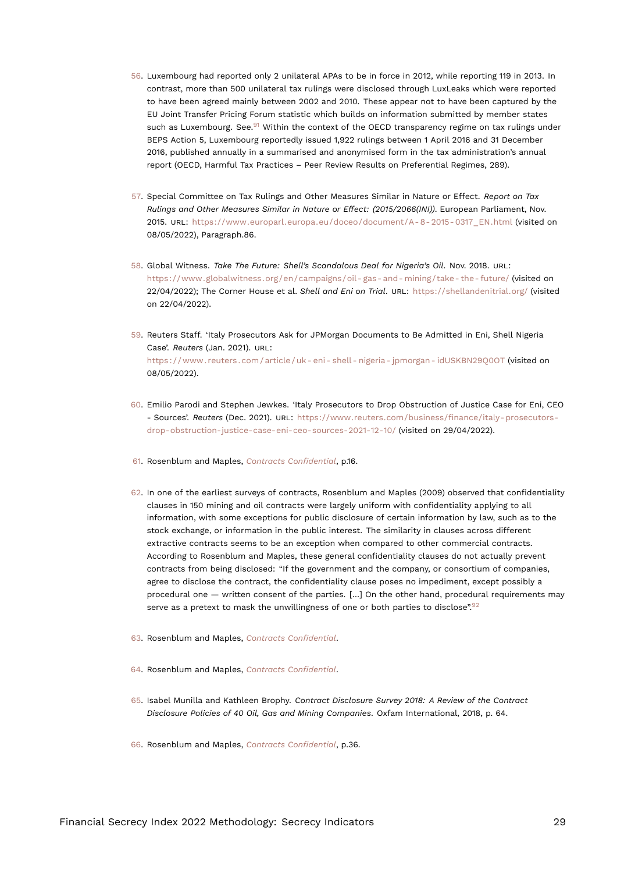- <span id="page-28-14"></span><span id="page-28-12"></span><span id="page-28-0"></span>[56.](#page-13-4) Luxembourg had reported only 2 unilateral APAs to be in force in 2012, while reporting 119 in 2013. In contrast, more than 500 unilateral tax rulings were disclosed through LuxLeaks which were reported to have been agreed mainly between 2002 and 2010. These appear not to have been captured by the EU Joint Transfer Pricing Forum statistic which builds on information submitted by member states such as Luxembourg. See. $91$  Within the context of the OECD transparency regime on tax rulings under BEPS Action 5, Luxembourg reportedly issued 1,922 rulings between 1 April 2016 and 31 December 2016, published annually in a summarised and anonymised form in the tax administration's annual report (OECD, Harmful Tax Practices – Peer Review Results on Preferential Regimes, 289).
- <span id="page-28-1"></span>[57.](#page-14-0) Special Committee on Tax Rulings and Other Measures Similar in Nature or Effect. *Report on Tax Rulings and Other Measures Similar in Nature or Effect: (2015/2066(INI))*. European Parliament, Nov. 2015. URL: https://www.europarl.europa.eu/doceo/document/A-8-2015-0317\_EN.html (visited on 08/05/2022), Paragraph.86.
- <span id="page-28-2"></span>[58.](#page-14-1) Global Witness. *Take The Future: Shell's Scandalous Deal for Nigeria's Oil*. Nov. 2018. URL: [https://www.globalwitness.org/en/campaigns/oil- gas- and- mining/take- the- future/](https://www.globalwitness.org/en/campaigns/oil-gas-and-mining/take-the-future/) (visited on 22/04/2022); The Corner House et al. *Shell and Eni on Trial*. URL: <https://shellandenitrial.org/> (visited on 22/04/2022).
- <span id="page-28-3"></span>[59.](#page-14-2) Reuters Staff. 'Italy Prosecutors Ask for JPMorgan Documents to Be Admitted in Eni, Shell Nigeria Case'. *Reuters* (Jan. 2021). URL: [https : / / www . reuters . com / article / uk - eni - shell - nigeria - jpmorgan - idUSKBN29Q0OT](https://www.reuters.com/article/uk-eni-shell-nigeria-jpmorgan-idUSKBN29Q0OT) (visited on 08/05/2022).
- <span id="page-28-4"></span>[60.](#page-14-3) Emilio Parodi and Stephen Jewkes. 'Italy Prosecutors to Drop Obstruction of Justice Case for Eni, CEO - Sources'. *Reuters* (Dec. 2021). URL: [https://www.reuters.com/business/finance/italy-prosecutors](https://www.reuters.com/business/finance/italy-prosecutors-drop-obstruction-justice-case-eni-ceo-sources-2021-12-10/)[drop-obstruction-justice-case-eni-ceo-sources-2021-12-10/](https://www.reuters.com/business/finance/italy-prosecutors-drop-obstruction-justice-case-eni-ceo-sources-2021-12-10/) (visited on 29/04/2022).
- <span id="page-28-5"></span>[61.](#page-14-4) Rosenblum and Maples, *[Contracts Confidential](#page-24-16)*, p.16.
- <span id="page-28-6"></span>[62.](#page-15-0) In one of the earliest surveys of contracts, Rosenblum and Maples (2009) observed that confidentiality clauses in 150 mining and oil contracts were largely uniform with confidentiality applying to all information, with some exceptions for public disclosure of certain information by law, such as to the stock exchange, or information in the public interest. The similarity in clauses across different extractive contracts seems to be an exception when compared to other commercial contracts. According to Rosenblum and Maples, these general confidentiality clauses do not actually prevent contracts from being disclosed: "If the government and the company, or consortium of companies, agree to disclose the contract, the confidentiality clause poses no impediment, except possibly a procedural one — written consent of the parties. […] On the other hand, procedural requirements may serve as a pretext to mask the unwillingness of one or both parties to disclose".<sup>[92](#page-30-13)</sup>
- <span id="page-28-13"></span><span id="page-28-7"></span>[63.](#page-15-1) Rosenblum and Maples, *[Contracts Confidential](#page-24-16)*.
- <span id="page-28-8"></span>[64.](#page-15-2) Rosenblum and Maples, *[Contracts Confidential](#page-24-16)*.
- <span id="page-28-11"></span><span id="page-28-9"></span>[65.](#page-15-3) Isabel Munilla and Kathleen Brophy. *Contract Disclosure Survey 2018: A Review of the Contract Disclosure Policies of 40 Oil, Gas and Mining Companies*. Oxfam International, 2018, p. 64.
- <span id="page-28-10"></span>[66.](#page-15-4) Rosenblum and Maples, *[Contracts Confidential](#page-24-16)*, p.36.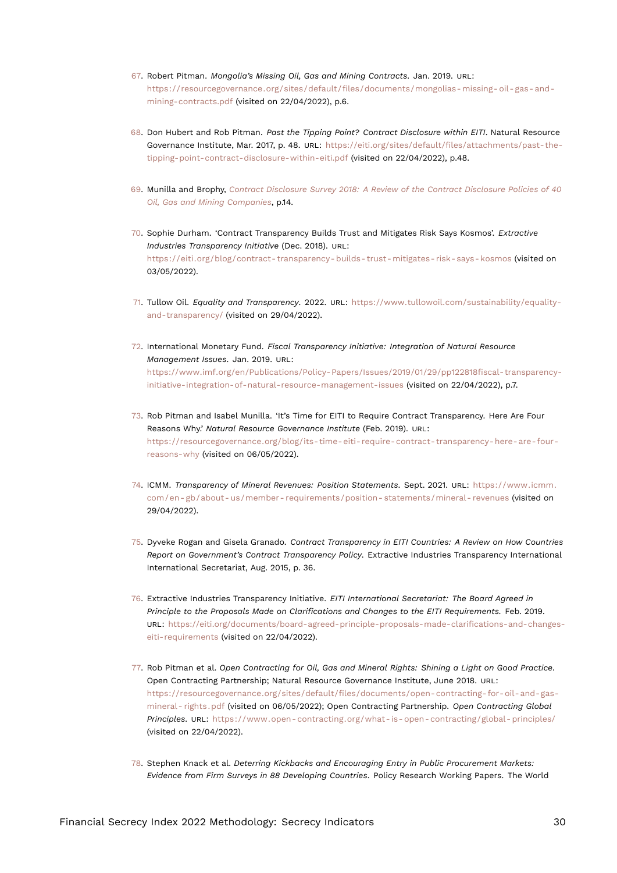- <span id="page-29-12"></span><span id="page-29-0"></span>[67.](#page-15-5) Robert Pitman. *Mongolia's Missing Oil, Gas and Mining Contracts*. Jan. 2019. URL: [https://resourcegovernance.org/sites/default/files/documents/mongolias- missing- oil- gas- and](https://resourcegovernance.org/sites/default/files/documents/mongolias-missing-oil-gas-and-mining-contracts.pdf)[mining-contracts.pdf](https://resourcegovernance.org/sites/default/files/documents/mongolias-missing-oil-gas-and-mining-contracts.pdf) (visited on 22/04/2022), p.6.
- <span id="page-29-1"></span>[68.](#page-15-6) Don Hubert and Rob Pitman. *Past the Tipping Point? Contract Disclosure within EITI*. Natural Resource Governance Institute, Mar. 2017, p. 48. URL: [https://eiti.org/sites/default/files/attachments/past-the](https://eiti.org/sites/default/files/attachments/past-the-tipping-point-contract-disclosure-within-eiti.pdf)[tipping-point-contract-disclosure-within-eiti.pdf](https://eiti.org/sites/default/files/attachments/past-the-tipping-point-contract-disclosure-within-eiti.pdf) (visited on 22/04/2022), p.48.
- <span id="page-29-2"></span>[69.](#page-16-0) Munilla and Brophy, *[Contract Disclosure Survey 2018: A Review of the Contract Disclosure Policies of 40](#page-28-11) [Oil, Gas and Mining Companies](#page-28-11)*, p.14.
- <span id="page-29-3"></span>[70.](#page-16-1) Sophie Durham. 'Contract Transparency Builds Trust and Mitigates Risk Says Kosmos'. *Extractive Industries Transparency Initiative* (Dec. 2018). URL: [https://eiti.org/blog/contract- transparency- builds- trust- mitigates- risk- says- kosmos](https://eiti.org/blog/contract-transparency-builds-trust-mitigates-risk-says-kosmos) (visited on 03/05/2022).
- <span id="page-29-4"></span>[71.](#page-16-2) Tullow Oil. *Equality and Transparency*. 2022. URL: [https://www.tullowoil.com/sustainability/equality](https://www.tullowoil.com/sustainability/equality-and-transparency/)[and-transparency/](https://www.tullowoil.com/sustainability/equality-and-transparency/) (visited on 29/04/2022).
- <span id="page-29-5"></span>[72.](#page-16-3) International Monetary Fund. *Fiscal Transparency Initiative: Integration of Natural Resource Management Issues*. Jan. 2019. URL: [https://www.imf.org/en/Publications/Policy-Papers/Issues/2019/01/29/pp122818fiscal-transparency](https://www.imf.org/en/Publications/Policy-Papers/Issues/2019/01/29/pp122818fiscal-transparency-initiative-integration-of-natural-resource-management-issues)[initiative-integration-of-natural-resource-management-issues](https://www.imf.org/en/Publications/Policy-Papers/Issues/2019/01/29/pp122818fiscal-transparency-initiative-integration-of-natural-resource-management-issues) (visited on 22/04/2022), p.7.
- <span id="page-29-6"></span>[73.](#page-16-4) Rob Pitman and Isabel Munilla. 'It's Time for EITI to Require Contract Transparency. Here Are Four Reasons Why.' *Natural Resource Governance Institute* (Feb. 2019). URL: [https://resourcegovernance.org/blog/its-time-eiti-require-contract-transparency-here-are-four](https://resourcegovernance.org/blog/its-time-eiti-require-contract-transparency-here-are-four-reasons-why)[reasons-why](https://resourcegovernance.org/blog/its-time-eiti-require-contract-transparency-here-are-four-reasons-why) (visited on 06/05/2022).
- <span id="page-29-7"></span>[74.](#page-16-5) ICMM. *Transparency of Mineral Revenues: Position Statements*. Sept. 2021. URL: [https://www.icmm.](https://www.icmm.com/en-gb/about-us/member-requirements/position-statements/mineral-revenues) [com/en- gb/about- us/member- requirements/position- statements/mineral- revenues](https://www.icmm.com/en-gb/about-us/member-requirements/position-statements/mineral-revenues) (visited on 29/04/2022).
- <span id="page-29-8"></span>[75.](#page-16-6) Dyveke Rogan and Gisela Granado. *Contract Transparency in EITI Countries: A Review on How Countries Report on Government's Contract Transparency Policy*. Extractive Industries Transparency International International Secretariat, Aug. 2015, p. 36.
- <span id="page-29-9"></span>[76.](#page-16-7) Extractive Industries Transparency Initiative. *EITI International Secretariat: The Board Agreed in Principle to the Proposals Made on Clarifications and Changes to the EITI Requirements.* Feb. 2019. URL: [https://eiti.org/documents/board-agreed-principle-proposals-made-clarifications-and-changes](https://eiti.org/documents/board-agreed-principle-proposals-made-clarifications-and-changes-eiti-requirements)[eiti-requirements](https://eiti.org/documents/board-agreed-principle-proposals-made-clarifications-and-changes-eiti-requirements) (visited on 22/04/2022).
- <span id="page-29-10"></span>[77.](#page-16-8) Rob Pitman et al. *Open Contracting for Oil, Gas and Mineral Rights: Shining a Light on Good Practice*. Open Contracting Partnership; Natural Resource Governance Institute, June 2018. URL: [https://resourcegovernance.org/sites/default/files/documents/open-contracting-for-oil-and-gas](https://resourcegovernance.org/sites/default/files/documents/open-contracting-for-oil-and-gas-mineral-rights.pdf)[mineral- rights.pdf](https://resourcegovernance.org/sites/default/files/documents/open-contracting-for-oil-and-gas-mineral-rights.pdf) (visited on 06/05/2022); Open Contracting Partnership. *Open Contracting Global Principles*. URL: [https://www.open- contracting.org/what- is- open- contracting/global- principles/](https://www.open-contracting.org/what-is-open-contracting/global-principles/) (visited on 22/04/2022).
- <span id="page-29-11"></span>[78.](#page-16-9) Stephen Knack et al. *Deterring Kickbacks and Encouraging Entry in Public Procurement Markets: Evidence from Firm Surveys in 88 Developing Countries*. Policy Research Working Papers. The World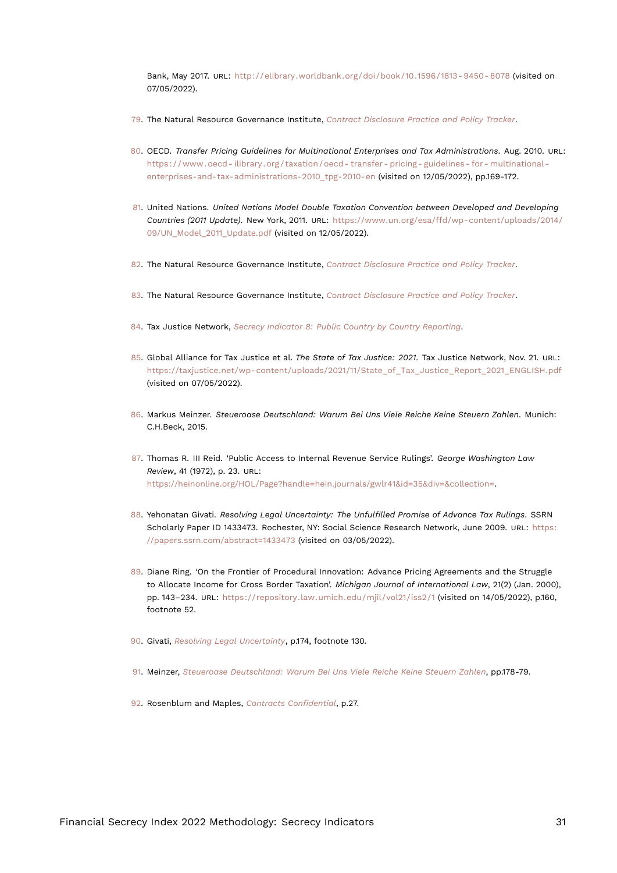<span id="page-30-16"></span>Bank, May 2017. URL: [http://elibrary.worldbank.org/doi/book/10.1596/1813- 9450- 8078](http://elibrary.worldbank.org/doi/book/10.1596/1813-9450-8078) (visited on 07/05/2022).

- <span id="page-30-0"></span>[79.](#page-23-9) The Natural Resource Governance Institute, *[Contract Disclosure Practice and Policy Tracker](#page-24-17)*.
- <span id="page-30-1"></span>[80.](#page-24-18) OECD. *Transfer Pricing Guidelines for Multinational Enterprises and Tax Administrations*. Aug. 2010. URL: [https : / / www . oecd - ilibrary . org / taxation / oecd - transfer - pricing - guidelines - for - multinational](https://www.oecd-ilibrary.org/taxation/oecd-transfer-pricing-guidelines-for-multinational-enterprises-and-tax-administrations-2010_tpg-2010-en)  [enterprises-and-tax-administrations-2010\\_tpg-2010-en](https://www.oecd-ilibrary.org/taxation/oecd-transfer-pricing-guidelines-for-multinational-enterprises-and-tax-administrations-2010_tpg-2010-en) (visited on 12/05/2022), pp.169-172.
- <span id="page-30-2"></span>[81.](#page-24-19) United Nations. *United Nations Model Double Taxation Convention between Developed and Developing Countries (2011 Update)*. New York, 2011. URL: [https://www.un.org/esa/ffd/wp-content/uploads/2014/](https://www.un.org/esa/ffd/wp-content/uploads/2014/09/UN_Model_2011_Update.pdf) [09/UN\\_Model\\_2011\\_Update.pdf](https://www.un.org/esa/ffd/wp-content/uploads/2014/09/UN_Model_2011_Update.pdf) (visited on 12/05/2022).
- <span id="page-30-3"></span>[82.](#page-24-20) The Natural Resource Governance Institute, *[Contract Disclosure Practice and Policy Tracker](#page-24-17)*.
- <span id="page-30-4"></span>[83.](#page-25-14) The Natural Resource Governance Institute, *[Contract Disclosure Practice and Policy Tracker](#page-24-17)*.
- <span id="page-30-5"></span>[84.](#page-25-15) Tax Justice Network, *[Secrecy Indicator 8: Public Country by Country Reporting](#page-25-16)*.
- <span id="page-30-6"></span>[85.](#page-27-10) Global Alliance for Tax Justice et al. *The State of Tax Justice: 2021*. Tax Justice Network, Nov. 21. URL: [https://taxjustice.net/wp-content/uploads/2021/11/State\\_of\\_Tax\\_Justice\\_Report\\_2021\\_ENGLISH.pdf](https://taxjustice.net/wp-content/uploads/2021/11/State_of_Tax_Justice_Report_2021_ENGLISH.pdf) (visited on 07/05/2022).
- <span id="page-30-15"></span><span id="page-30-7"></span>[86.](#page-27-11) Markus Meinzer. *Steueroase Deutschland: Warum Bei Uns Viele Reiche Keine Steuern Zahlen*. Munich: C.H.Beck, 2015.
- <span id="page-30-8"></span>[87.](#page-27-12) Thomas R. III Reid. 'Public Access to Internal Revenue Service Rulings'. *George Washington Law Review*, 41 (1972), p. 23. URL: <https://heinonline.org/HOL/Page?handle=hein.journals/gwlr41&id=35&div=&collection=>.
- <span id="page-30-14"></span><span id="page-30-9"></span>[88.](#page-27-13) Yehonatan Givati. *Resolving Legal Uncertainty: The Unfulfilled Promise of Advance Tax Rulings*. SSRN Scholarly Paper ID 1433473. Rochester, NY: Social Science Research Network, June 2009. URL: [https:](https://papers.ssrn.com/abstract=1433473) [//papers.ssrn.com/abstract=1433473](https://papers.ssrn.com/abstract=1433473) (visited on 03/05/2022).
- <span id="page-30-10"></span>[89.](#page-27-14) Diane Ring. 'On the Frontier of Procedural Innovation: Advance Pricing Agreements and the Struggle to Allocate Income for Cross Border Taxation'. *Michigan Journal of International Law*, 21(2) (Jan. 2000), pp. 143–234. URL: <https://repository.law.umich.edu/mjil/vol21/iss2/1> (visited on 14/05/2022), p.160, footnote 52.
- <span id="page-30-11"></span>[90.](#page-27-15) Givati, *[Resolving Legal Uncertainty](#page-30-14)*, p.174, footnote 130.
- <span id="page-30-12"></span>[91.](#page-28-12) Meinzer, *[Steueroase Deutschland: Warum Bei Uns Viele Reiche Keine Steuern Zahlen](#page-30-15)*, pp.178-79.
- <span id="page-30-13"></span>[92.](#page-28-13) Rosenblum and Maples, *[Contracts Confidential](#page-24-16)*, p.27.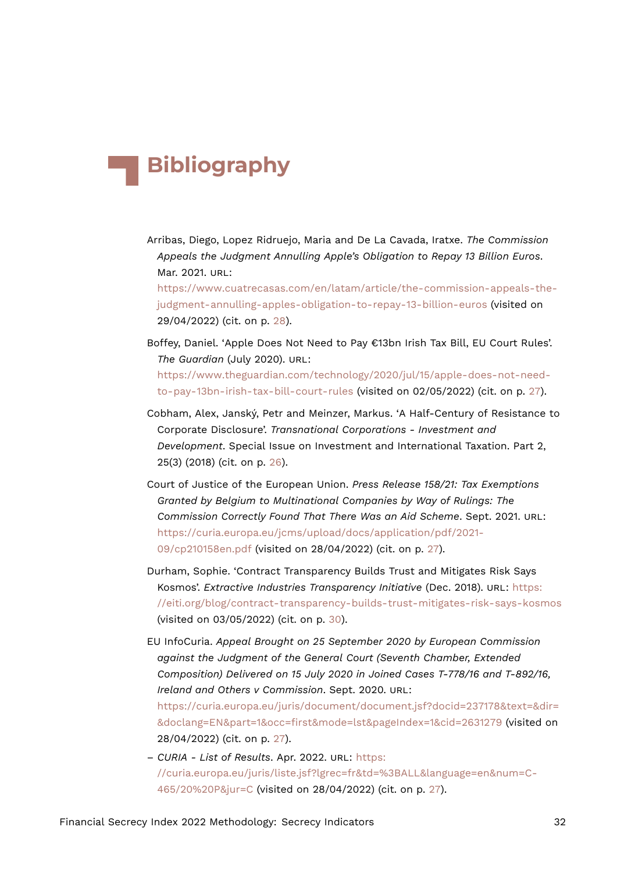## **Bibliography**

Arribas, Diego, Lopez Ridruejo, Maria and De La Cavada, Iratxe. *The Commission Appeals the Judgment Annulling Apple's Obligation to Repay 13 Billion Euros*. Mar. 2021. URL:

[https://www.cuatrecasas.com/en/latam/article/the-commission-appeals-the](https://www.cuatrecasas.com/en/latam/article/the-commission-appeals-the-judgment-annulling-apples-obligation-to-repay-13-billion-euros)[judgment-annulling-apples-obligation-to-repay-13-billion-euros](https://www.cuatrecasas.com/en/latam/article/the-commission-appeals-the-judgment-annulling-apples-obligation-to-repay-13-billion-euros) (visited on 29/04/2022) (cit. on p. [28\)](#page-27-16).

- Boffey, Daniel. 'Apple Does Not Need to Pay €13bn Irish Tax Bill, EU Court Rules'. *The Guardian* (July 2020). URL: [https://www.theguardian.com/technology/2020/jul/15/apple-does-not-need](https://www.theguardian.com/technology/2020/jul/15/apple-does-not-need-to-pay-13bn-irish-tax-bill-court-rules)[to-pay-13bn-irish-tax-bill-court-rules](https://www.theguardian.com/technology/2020/jul/15/apple-does-not-need-to-pay-13bn-irish-tax-bill-court-rules) (visited on 02/05/2022) (cit. on p. [27\)](#page-26-12).
- Cobham, Alex, Janský, Petr and Meinzer, Markus. 'A Half-Century of Resistance to Corporate Disclosure'. *Transnational Corporations - Investment and Development*. Special Issue on Investment and International Taxation. Part 2, 25(3) (2018) (cit. on p. [26\)](#page-25-17).
- Court of Justice of the European Union. *Press Release 158/21: Tax Exemptions Granted by Belgium to Multinational Companies by Way of Rulings: The Commission Correctly Found That There Was an Aid Scheme*. Sept. 2021. URL: [https://curia.europa.eu/jcms/upload/docs/application/pdf/2021-](https://curia.europa.eu/jcms/upload/docs/application/pdf/2021-09/cp210158en.pdf) [09/cp210158en.pdf](https://curia.europa.eu/jcms/upload/docs/application/pdf/2021-09/cp210158en.pdf) (visited on 28/04/2022) (cit. on p. [27\)](#page-26-12).
- Durham, Sophie. 'Contract Transparency Builds Trust and Mitigates Risk Says Kosmos'. *Extractive Industries Transparency Initiative* (Dec. 2018). URL: [https:](https://eiti.org/blog/contract-transparency-builds-trust-mitigates-risk-says-kosmos) [//eiti.org/blog/contract-transparency-builds-trust-mitigates-risk-says-kosmos](https://eiti.org/blog/contract-transparency-builds-trust-mitigates-risk-says-kosmos) (visited on 03/05/2022) (cit. on p. [30](#page-29-12)).
- EU InfoCuria. *Appeal Brought on 25 September 2020 by European Commission against the Judgment of the General Court (Seventh Chamber, Extended Composition) Delivered on 15 July 2020 in Joined Cases T-778/16 and T-892/16, Ireland and Others v Commission*. Sept. 2020. URL: [https://curia.europa.eu/juris/document/document.jsf?docid=237178&text=&dir=](https://curia.europa.eu/juris/document/document.jsf?docid=237178&text=&dir=&doclang=EN&part=1&occ=first&mode=lst&pageIndex=1&cid=2631279) [&doclang=EN&part=1&occ=first&mode=lst&pageIndex=1&cid=2631279](https://curia.europa.eu/juris/document/document.jsf?docid=237178&text=&dir=&doclang=EN&part=1&occ=first&mode=lst&pageIndex=1&cid=2631279) (visited on 28/04/2022) (cit. on p. [27](#page-26-12)).
- *CURIA List of Results*. Apr. 2022. URL: [https:](https://curia.europa.eu/juris/liste.jsf?lgrec=fr&td=%3BALL&language=en&num=C-465/20%20P&jur=C) [//curia.europa.eu/juris/liste.jsf?lgrec=fr&td=%3BALL&language=en&num=C-](https://curia.europa.eu/juris/liste.jsf?lgrec=fr&td=%3BALL&language=en&num=C-465/20%20P&jur=C)[465/20%20P&jur=C](https://curia.europa.eu/juris/liste.jsf?lgrec=fr&td=%3BALL&language=en&num=C-465/20%20P&jur=C) (visited on 28/04/2022) (cit. on p. [27](#page-26-12)).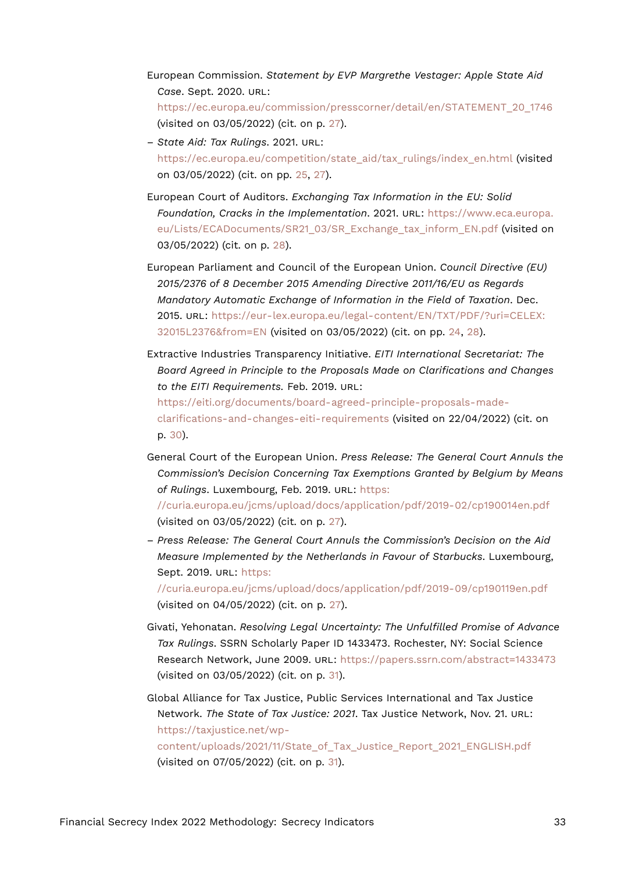- European Commission. *Statement by EVP Margrethe Vestager: Apple State Aid Case*. Sept. 2020. URL: [https://ec.europa.eu/commission/presscorner/detail/en/STATEMENT\\_20\\_1746](https://ec.europa.eu/commission/presscorner/detail/en/STATEMENT_20_1746) (visited on 03/05/2022) (cit. on p. [27\)](#page-26-12).
- *State Aid: Tax Rulings*. 2021. URL: [https://ec.europa.eu/competition/state\\_aid/tax\\_rulings/index\\_en.html](https://ec.europa.eu/competition/state_aid/tax_rulings/index_en.html) (visited on 03/05/2022) (cit. on pp. [25,](#page-24-21) [27](#page-26-12)).
- European Court of Auditors. *Exchanging Tax Information in the EU: Solid Foundation, Cracks in the Implementation*. 2021. URL: [https://www.eca.europa.](https://www.eca.europa.eu/Lists/ECADocuments/SR21_03/SR_Exchange_tax_inform_EN.pdf) [eu/Lists/ECADocuments/SR21\\_03/SR\\_Exchange\\_tax\\_inform\\_EN.pdf](https://www.eca.europa.eu/Lists/ECADocuments/SR21_03/SR_Exchange_tax_inform_EN.pdf) (visited on 03/05/2022) (cit. on p. [28](#page-27-16)).
- European Parliament and Council of the European Union. *Council Directive (EU) 2015/2376 of 8 December 2015 Amending Directive 2011/16/EU as Regards Mandatory Automatic Exchange of Information in the Field of Taxation*. Dec. 2015. URL: [https://eur-lex.europa.eu/legal-content/EN/TXT/PDF/?uri=CELEX:](https://eur-lex.europa.eu/legal-content/EN/TXT/PDF/?uri=CELEX:32015L2376&from=EN) [32015L2376&from=EN](https://eur-lex.europa.eu/legal-content/EN/TXT/PDF/?uri=CELEX:32015L2376&from=EN) (visited on 03/05/2022) (cit. on pp. [24,](#page-23-10) [28\)](#page-27-16).
- Extractive Industries Transparency Initiative. *EITI International Secretariat: The Board Agreed in Principle to the Proposals Made on Clarifications and Changes to the EITI Requirements.* Feb. 2019. URL:

[https://eiti.org/documents/board-agreed-principle-proposals-made](https://eiti.org/documents/board-agreed-principle-proposals-made-clarifications-and-changes-eiti-requirements)[clarifications-and-changes-eiti-requirements](https://eiti.org/documents/board-agreed-principle-proposals-made-clarifications-and-changes-eiti-requirements) (visited on 22/04/2022) (cit. on p. [30\)](#page-29-12).

General Court of the European Union. *Press Release: The General Court Annuls the Commission's Decision Concerning Tax Exemptions Granted by Belgium by Means of Rulings*. Luxembourg, Feb. 2019. URL: [https:](https://curia.europa.eu/jcms/upload/docs/application/pdf/2019-02/cp190014en.pdf)

[//curia.europa.eu/jcms/upload/docs/application/pdf/2019-02/cp190014en.pdf](https://curia.europa.eu/jcms/upload/docs/application/pdf/2019-02/cp190014en.pdf) (visited on 03/05/2022) (cit. on p. [27\)](#page-26-12).

– *Press Release: The General Court Annuls the Commission's Decision on the Aid Measure Implemented by the Netherlands in Favour of Starbucks*. Luxembourg, Sept. 2019. URL: [https:](https://curia.europa.eu/jcms/upload/docs/application/pdf/2019-09/cp190119en.pdf)

[//curia.europa.eu/jcms/upload/docs/application/pdf/2019-09/cp190119en.pdf](https://curia.europa.eu/jcms/upload/docs/application/pdf/2019-09/cp190119en.pdf) (visited on 04/05/2022) (cit. on p. [27](#page-26-12)).

Givati, Yehonatan. *Resolving Legal Uncertainty: The Unfulfilled Promise of Advance Tax Rulings*. SSRN Scholarly Paper ID 1433473. Rochester, NY: Social Science Research Network, June 2009. URL: <https://papers.ssrn.com/abstract=1433473> (visited on 03/05/2022) (cit. on p. [31](#page-30-16)).

Global Alliance for Tax Justice, Public Services International and Tax Justice Network. *The State of Tax Justice: 2021*. Tax Justice Network, Nov. 21. URL: [https://taxjustice.net/wp](https://taxjustice.net/wp-content/uploads/2021/11/State_of_Tax_Justice_Report_2021_ENGLISH.pdf)[content/uploads/2021/11/State\\_of\\_Tax\\_Justice\\_Report\\_2021\\_ENGLISH.pdf](https://taxjustice.net/wp-content/uploads/2021/11/State_of_Tax_Justice_Report_2021_ENGLISH.pdf)

(visited on 07/05/2022) (cit. on p. [31](#page-30-16)).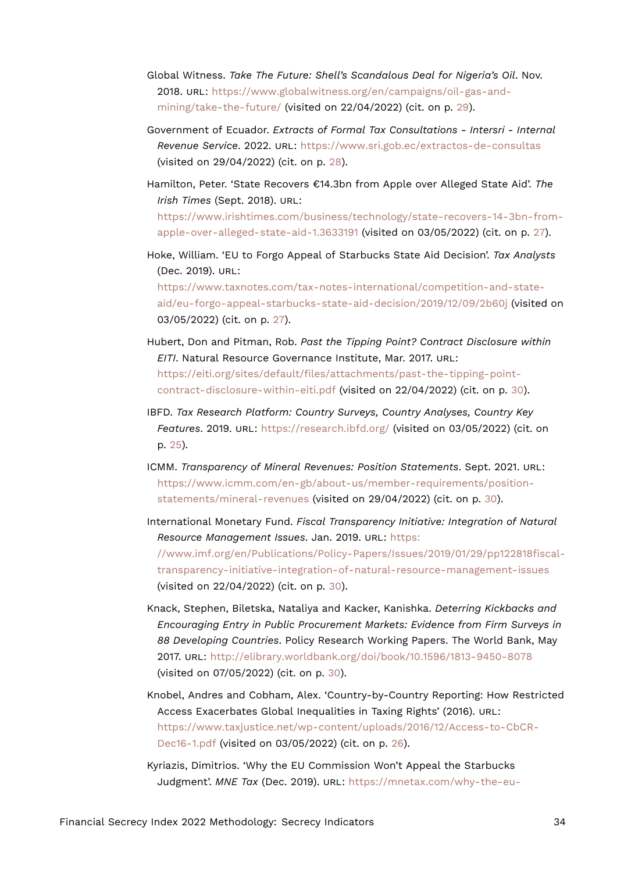- Global Witness. *Take The Future: Shell's Scandalous Deal for Nigeria's Oil*. Nov. 2018. URL: [https://www.globalwitness.org/en/campaigns/oil-gas-and](https://www.globalwitness.org/en/campaigns/oil-gas-and-mining/take-the-future/)[mining/take-the-future/](https://www.globalwitness.org/en/campaigns/oil-gas-and-mining/take-the-future/) (visited on 22/04/2022) (cit. on p. [29\)](#page-28-14).
- Government of Ecuador. *Extracts of Formal Tax Consultations Intersri Internal Revenue Service*. 2022. URL: <https://www.sri.gob.ec/extractos-de-consultas> (visited on 29/04/2022) (cit. on p. [28\)](#page-27-16).
- Hamilton, Peter. 'State Recovers €14.3bn from Apple over Alleged State Aid'. *The Irish Times* (Sept. 2018). URL: [https://www.irishtimes.com/business/technology/state-recovers-14-3bn-from](https://www.irishtimes.com/business/technology/state-recovers-14-3bn-from-apple-over-alleged-state-aid-1.3633191)[apple-over-alleged-state-aid-1.3633191](https://www.irishtimes.com/business/technology/state-recovers-14-3bn-from-apple-over-alleged-state-aid-1.3633191) (visited on 03/05/2022) (cit. on p. [27](#page-26-12)).
- Hoke, William. 'EU to Forgo Appeal of Starbucks State Aid Decision'. *Tax Analysts* (Dec. 2019). URL: [https://www.taxnotes.com/tax-notes-international/competition-and-state](https://www.taxnotes.com/tax-notes-international/competition-and-state-aid/eu-forgo-appeal-starbucks-state-aid-decision/2019/12/09/2b60j)[aid/eu-forgo-appeal-starbucks-state-aid-decision/2019/12/09/2b60j](https://www.taxnotes.com/tax-notes-international/competition-and-state-aid/eu-forgo-appeal-starbucks-state-aid-decision/2019/12/09/2b60j) (visited on 03/05/2022) (cit. on p. [27\)](#page-26-12).
- Hubert, Don and Pitman, Rob. *Past the Tipping Point? Contract Disclosure within EITI*. Natural Resource Governance Institute, Mar. 2017. URL: [https://eiti.org/sites/default/files/attachments/past-the-tipping-point](https://eiti.org/sites/default/files/attachments/past-the-tipping-point-contract-disclosure-within-eiti.pdf)[contract-disclosure-within-eiti.pdf](https://eiti.org/sites/default/files/attachments/past-the-tipping-point-contract-disclosure-within-eiti.pdf) (visited on 22/04/2022) (cit. on p. [30](#page-29-12)).
- IBFD. *Tax Research Platform: Country Surveys, Country Analyses, Country Key Features*. 2019. URL: <https://research.ibfd.org/> (visited on 03/05/2022) (cit. on p. [25](#page-24-21)).
- ICMM. *Transparency of Mineral Revenues: Position Statements*. Sept. 2021. URL: [https://www.icmm.com/en-gb/about-us/member-requirements/position](https://www.icmm.com/en-gb/about-us/member-requirements/position-statements/mineral-revenues)[statements/mineral-revenues](https://www.icmm.com/en-gb/about-us/member-requirements/position-statements/mineral-revenues) (visited on 29/04/2022) (cit. on p. [30\)](#page-29-12).
- International Monetary Fund. *Fiscal Transparency Initiative: Integration of Natural Resource Management Issues*. Jan. 2019. URL: [https:](https://www.imf.org/en/Publications/Policy-Papers/Issues/2019/01/29/pp122818fiscal-transparency-initiative-integration-of-natural-resource-management-issues)

[//www.imf.org/en/Publications/Policy-Papers/Issues/2019/01/29/pp122818fiscal](https://www.imf.org/en/Publications/Policy-Papers/Issues/2019/01/29/pp122818fiscal-transparency-initiative-integration-of-natural-resource-management-issues)[transparency-initiative-integration-of-natural-resource-management-issues](https://www.imf.org/en/Publications/Policy-Papers/Issues/2019/01/29/pp122818fiscal-transparency-initiative-integration-of-natural-resource-management-issues) (visited on 22/04/2022) (cit. on p. [30](#page-29-12)).

- Knack, Stephen, Biletska, Nataliya and Kacker, Kanishka. *Deterring Kickbacks and Encouraging Entry in Public Procurement Markets: Evidence from Firm Surveys in 88 Developing Countries*. Policy Research Working Papers. The World Bank, May 2017. URL: <http://elibrary.worldbank.org/doi/book/10.1596/1813-9450-8078> (visited on 07/05/2022) (cit. on p. [30\)](#page-29-12).
- Knobel, Andres and Cobham, Alex. 'Country-by-Country Reporting: How Restricted Access Exacerbates Global Inequalities in Taxing Rights' (2016). URL: [https://www.taxjustice.net/wp-content/uploads/2016/12/Access-to-CbCR-](https://www.taxjustice.net/wp-content/uploads/2016/12/Access-to-CbCR-Dec16-1.pdf)[Dec16-1.pdf](https://www.taxjustice.net/wp-content/uploads/2016/12/Access-to-CbCR-Dec16-1.pdf) (visited on 03/05/2022) (cit. on p. [26\)](#page-25-17).
- Kyriazis, Dimitrios. 'Why the EU Commission Won't Appeal the Starbucks Judgment'. *MNE Tax* (Dec. 2019). URL: [https://mnetax.com/why-the-eu-](https://mnetax.com/why-the-eu-commission-wont-appeal-the-starbucks-judgment-37043)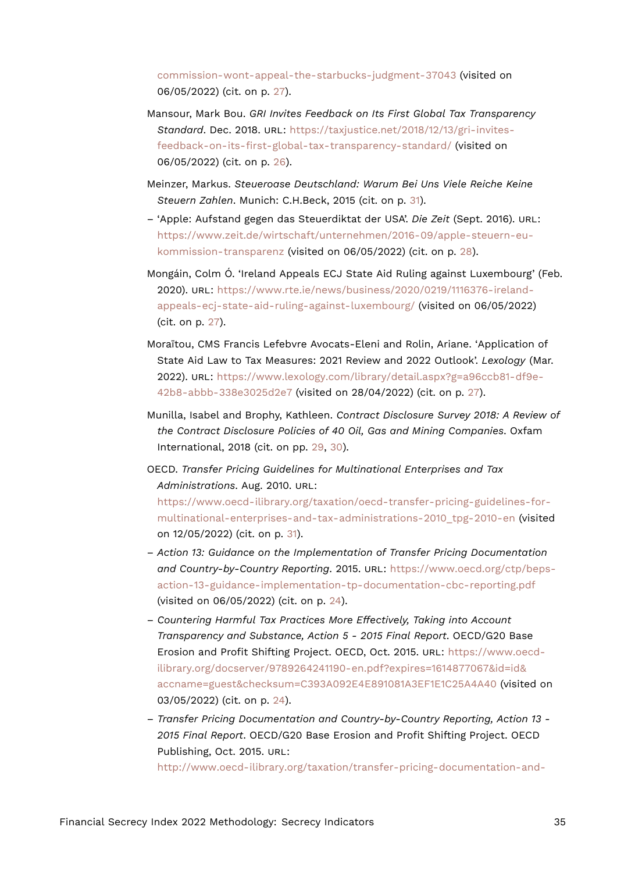[commission-wont-appeal-the-starbucks-judgment-37043](https://mnetax.com/why-the-eu-commission-wont-appeal-the-starbucks-judgment-37043) (visited on 06/05/2022) (cit. on p. [27](#page-26-12)).

- Mansour, Mark Bou. *GRI Invites Feedback on Its First Global Tax Transparency Standard*. Dec. 2018. URL: [https://taxjustice.net/2018/12/13/gri-invites](https://taxjustice.net/2018/12/13/gri-invites-feedback-on-its-first-global-tax-transparency-standard/)[feedback-on-its-first-global-tax-transparency-standard/](https://taxjustice.net/2018/12/13/gri-invites-feedback-on-its-first-global-tax-transparency-standard/) (visited on 06/05/2022) (cit. on p. [26\)](#page-25-17).
- Meinzer, Markus. *Steueroase Deutschland: Warum Bei Uns Viele Reiche Keine Steuern Zahlen*. Munich: C.H.Beck, 2015 (cit. on p. [31](#page-30-16)).
- 'Apple: Aufstand gegen das Steuerdiktat der USA'. *Die Zeit* (Sept. 2016). URL: [https://www.zeit.de/wirtschaft/unternehmen/2016-09/apple-steuern-eu](https://www.zeit.de/wirtschaft/unternehmen/2016-09/apple-steuern-eu-kommission-transparenz)[kommission-transparenz](https://www.zeit.de/wirtschaft/unternehmen/2016-09/apple-steuern-eu-kommission-transparenz) (visited on 06/05/2022) (cit. on p. [28\)](#page-27-16).
- Mongáin, Colm Ó. 'Ireland Appeals ECJ State Aid Ruling against Luxembourg' (Feb. 2020). URL: [https://www.rte.ie/news/business/2020/0219/1116376-ireland](https://www.rte.ie/news/business/2020/0219/1116376-ireland-appeals-ecj-state-aid-ruling-against-luxembourg/)[appeals-ecj-state-aid-ruling-against-luxembourg/](https://www.rte.ie/news/business/2020/0219/1116376-ireland-appeals-ecj-state-aid-ruling-against-luxembourg/) (visited on 06/05/2022) (cit. on p. [27\)](#page-26-12).
- Moraïtou, CMS Francis Lefebvre Avocats-Eleni and Rolin, Ariane. 'Application of State Aid Law to Tax Measures: 2021 Review and 2022 Outlook'. *Lexology* (Mar. 2022). URL: [https://www.lexology.com/library/detail.aspx?g=a96ccb81-df9e-](https://www.lexology.com/library/detail.aspx?g=a96ccb81-df9e-42b8-abbb-338e3025d2e7)[42b8-abbb-338e3025d2e7](https://www.lexology.com/library/detail.aspx?g=a96ccb81-df9e-42b8-abbb-338e3025d2e7) (visited on 28/04/2022) (cit. on p. [27\)](#page-26-12).
- Munilla, Isabel and Brophy, Kathleen. *Contract Disclosure Survey 2018: A Review of the Contract Disclosure Policies of 40 Oil, Gas and Mining Companies*. Oxfam International, 2018 (cit. on pp. [29,](#page-28-14) [30\)](#page-29-12).
- OECD. *Transfer Pricing Guidelines for Multinational Enterprises and Tax Administrations*. Aug. 2010. URL: [https://www.oecd-ilibrary.org/taxation/oecd-transfer-pricing-guidelines-for](https://www.oecd-ilibrary.org/taxation/oecd-transfer-pricing-guidelines-for-multinational-enterprises-and-tax-administrations-2010_tpg-2010-en)[multinational-enterprises-and-tax-administrations-2010\\_tpg-2010-en](https://www.oecd-ilibrary.org/taxation/oecd-transfer-pricing-guidelines-for-multinational-enterprises-and-tax-administrations-2010_tpg-2010-en) (visited on 12/05/2022) (cit. on p. [31\)](#page-30-16).
- *Action 13: Guidance on the Implementation of Transfer Pricing Documentation and Country-by-Country Reporting*. 2015. URL: [https://www.oecd.org/ctp/beps](https://www.oecd.org/ctp/beps-action-13-guidance-implementation-tp-documentation-cbc-reporting.pdf)[action-13-guidance-implementation-tp-documentation-cbc-reporting.pdf](https://www.oecd.org/ctp/beps-action-13-guidance-implementation-tp-documentation-cbc-reporting.pdf) (visited on 06/05/2022) (cit. on p. [24](#page-23-10)).
- *Countering Harmful Tax Practices More Effectively, Taking into Account Transparency and Substance, Action 5 - 2015 Final Report*. OECD/G20 Base Erosion and Profit Shifting Project. OECD, Oct. 2015. URL: [https://www.oecd](https://www.oecd-ilibrary.org/docserver/9789264241190-en.pdf?expires=1614877067&id=id&accname=guest&checksum=C393A092E4E891081A3EF1E1C25A4A40)[ilibrary.org/docserver/9789264241190-en.pdf?expires=1614877067&id=id&](https://www.oecd-ilibrary.org/docserver/9789264241190-en.pdf?expires=1614877067&id=id&accname=guest&checksum=C393A092E4E891081A3EF1E1C25A4A40) [accname=guest&checksum=C393A092E4E891081A3EF1E1C25A4A40](https://www.oecd-ilibrary.org/docserver/9789264241190-en.pdf?expires=1614877067&id=id&accname=guest&checksum=C393A092E4E891081A3EF1E1C25A4A40) (visited on 03/05/2022) (cit. on p. [24](#page-23-10)).
- *Transfer Pricing Documentation and Country-by-Country Reporting, Action 13 - 2015 Final Report*. OECD/G20 Base Erosion and Profit Shifting Project. OECD Publishing, Oct. 2015. URL:

[http://www.oecd-ilibrary.org/taxation/transfer-pricing-documentation-and-](http://www.oecd-ilibrary.org/taxation/transfer-pricing-documentation-and-country-by-country-reporting-action-13-2015-final-report_9789264241480-en)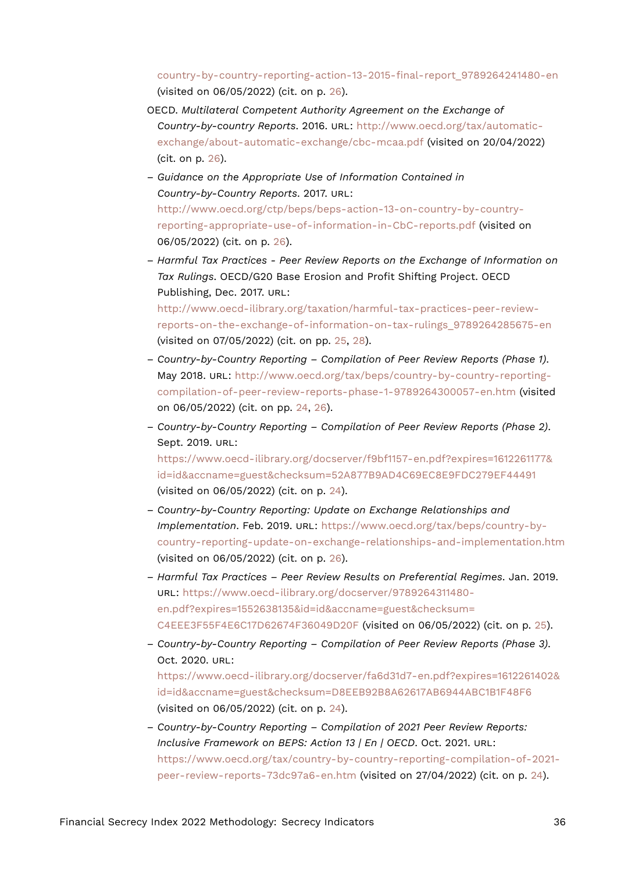[country-by-country-reporting-action-13-2015-final-report\\_9789264241480-en](http://www.oecd-ilibrary.org/taxation/transfer-pricing-documentation-and-country-by-country-reporting-action-13-2015-final-report_9789264241480-en) (visited on 06/05/2022) (cit. on p. [26\)](#page-25-17).

- OECD. *Multilateral Competent Authority Agreement on the Exchange of Country-by-country Reports*. 2016. URL: [http://www.oecd.org/tax/automatic](http://www.oecd.org/tax/automatic-exchange/about-automatic-exchange/cbc-mcaa.pdf)[exchange/about-automatic-exchange/cbc-mcaa.pdf](http://www.oecd.org/tax/automatic-exchange/about-automatic-exchange/cbc-mcaa.pdf) (visited on 20/04/2022) (cit. on p. [26\)](#page-25-17).
- *Guidance on the Appropriate Use of Information Contained in Country-by-Country Reports*. 2017. URL: [http://www.oecd.org/ctp/beps/beps-action-13-on-country-by-country](http://www.oecd.org/ctp/beps/beps-action-13-on-country-by-country-reporting-appropriate-use-of-information-in-CbC-reports.pdf)[reporting-appropriate-use-of-information-in-CbC-reports.pdf](http://www.oecd.org/ctp/beps/beps-action-13-on-country-by-country-reporting-appropriate-use-of-information-in-CbC-reports.pdf) (visited on 06/05/2022) (cit. on p. [26\)](#page-25-17).
- *Harmful Tax Practices Peer Review Reports on the Exchange of Information on Tax Rulings*. OECD/G20 Base Erosion and Profit Shifting Project. OECD Publishing, Dec. 2017. URL:

[http://www.oecd-ilibrary.org/taxation/harmful-tax-practices-peer-review](http://www.oecd-ilibrary.org/taxation/harmful-tax-practices-peer-review-reports-on-the-exchange-of-information-on-tax-rulings_9789264285675-en)[reports-on-the-exchange-of-information-on-tax-rulings\\_9789264285675-en](http://www.oecd-ilibrary.org/taxation/harmful-tax-practices-peer-review-reports-on-the-exchange-of-information-on-tax-rulings_9789264285675-en) (visited on 07/05/2022) (cit. on pp. [25](#page-24-21), [28](#page-27-16)).

- *Country-by-Country Reporting Compilation of Peer Review Reports (Phase 1)*. May 2018. URL: [http://www.oecd.org/tax/beps/country-by-country-reporting](http://www.oecd.org/tax/beps/country-by-country-reporting-compilation-of-peer-review-reports-phase-1-9789264300057-en.htm)[compilation-of-peer-review-reports-phase-1-9789264300057-en.htm](http://www.oecd.org/tax/beps/country-by-country-reporting-compilation-of-peer-review-reports-phase-1-9789264300057-en.htm) (visited on 06/05/2022) (cit. on pp. [24](#page-23-10), [26](#page-25-17)).
- *Country-by-Country Reporting Compilation of Peer Review Reports (Phase 2)*. Sept. 2019. URL:

[https://www.oecd-ilibrary.org/docserver/f9bf1157-en.pdf?expires=1612261177&](https://www.oecd-ilibrary.org/docserver/f9bf1157-en.pdf?expires=1612261177&id=id&accname=guest&checksum=52A877B9AD4C69EC8E9FDC279EF44491) [id=id&accname=guest&checksum=52A877B9AD4C69EC8E9FDC279EF44491](https://www.oecd-ilibrary.org/docserver/f9bf1157-en.pdf?expires=1612261177&id=id&accname=guest&checksum=52A877B9AD4C69EC8E9FDC279EF44491) (visited on 06/05/2022) (cit. on p. [24](#page-23-10)).

- *Country-by-Country Reporting: Update on Exchange Relationships and Implementation*. Feb. 2019. URL: [https://www.oecd.org/tax/beps/country-by](https://www.oecd.org/tax/beps/country-by-country-reporting-update-on-exchange-relationships-and-implementation.htm)[country-reporting-update-on-exchange-relationships-and-implementation.htm](https://www.oecd.org/tax/beps/country-by-country-reporting-update-on-exchange-relationships-and-implementation.htm) (visited on 06/05/2022) (cit. on p. [26\)](#page-25-17).
- *Harmful Tax Practices Peer Review Results on Preferential Regimes*. Jan. 2019. URL: [https://www.oecd-ilibrary.org/docserver/9789264311480](https://www.oecd-ilibrary.org/docserver/9789264311480-en.pdf?expires=1552638135&id=id&accname=guest&checksum=C4EEE3F55F4E6C17D62674F36049D20F) [en.pdf?expires=1552638135&id=id&accname=guest&checksum=](https://www.oecd-ilibrary.org/docserver/9789264311480-en.pdf?expires=1552638135&id=id&accname=guest&checksum=C4EEE3F55F4E6C17D62674F36049D20F) [C4EEE3F55F4E6C17D62674F36049D20F](https://www.oecd-ilibrary.org/docserver/9789264311480-en.pdf?expires=1552638135&id=id&accname=guest&checksum=C4EEE3F55F4E6C17D62674F36049D20F) (visited on 06/05/2022) (cit. on p. [25\)](#page-24-21).
- *Country-by-Country Reporting Compilation of Peer Review Reports (Phase 3)*. Oct. 2020. URL: [https://www.oecd-ilibrary.org/docserver/fa6d31d7-en.pdf?expires=1612261402&](https://www.oecd-ilibrary.org/docserver/fa6d31d7-en.pdf?expires=1612261402&id=id&accname=guest&checksum=D8EEB92B8A62617AB6944ABC1B1F48F6)

[id=id&accname=guest&checksum=D8EEB92B8A62617AB6944ABC1B1F48F6](https://www.oecd-ilibrary.org/docserver/fa6d31d7-en.pdf?expires=1612261402&id=id&accname=guest&checksum=D8EEB92B8A62617AB6944ABC1B1F48F6) (visited on 06/05/2022) (cit. on p. [24](#page-23-10)).

– *Country-by-Country Reporting – Compilation of 2021 Peer Review Reports: Inclusive Framework on BEPS: Action 13 | En | OECD*. Oct. 2021. URL: [https://www.oecd.org/tax/country-by-country-reporting-compilation-of-2021](https://www.oecd.org/tax/country-by-country-reporting-compilation-of-2021-peer-review-reports-73dc97a6-en.htm) [peer-review-reports-73dc97a6-en.htm](https://www.oecd.org/tax/country-by-country-reporting-compilation-of-2021-peer-review-reports-73dc97a6-en.htm) (visited on 27/04/2022) (cit. on p. [24\)](#page-23-10).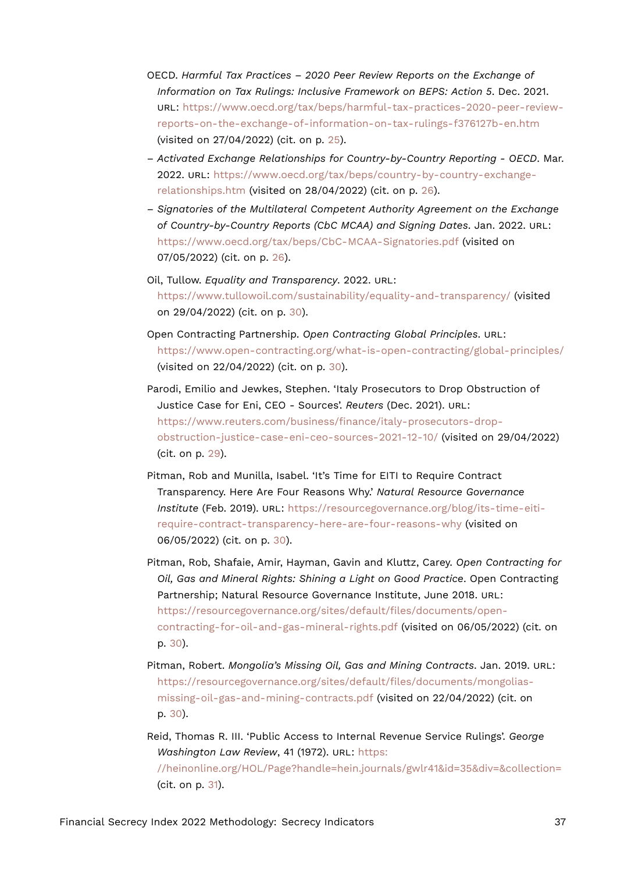- OECD. *Harmful Tax Practices 2020 Peer Review Reports on the Exchange of Information on Tax Rulings: Inclusive Framework on BEPS: Action 5*. Dec. 2021. URL: [https://www.oecd.org/tax/beps/harmful-tax-practices-2020-peer-review](https://www.oecd.org/tax/beps/harmful-tax-practices-2020-peer-review-reports-on-the-exchange-of-information-on-tax-rulings-f376127b-en.htm)[reports-on-the-exchange-of-information-on-tax-rulings-f376127b-en.htm](https://www.oecd.org/tax/beps/harmful-tax-practices-2020-peer-review-reports-on-the-exchange-of-information-on-tax-rulings-f376127b-en.htm) (visited on 27/04/2022) (cit. on p. [25](#page-24-21)).
- *Activated Exchange Relationships for Country-by-Country Reporting OECD*. Mar. 2022. URL: [https://www.oecd.org/tax/beps/country-by-country-exchange](https://www.oecd.org/tax/beps/country-by-country-exchange-relationships.htm)[relationships.htm](https://www.oecd.org/tax/beps/country-by-country-exchange-relationships.htm) (visited on 28/04/2022) (cit. on p. [26\)](#page-25-17).
- *Signatories of the Multilateral Competent Authority Agreement on the Exchange of Country-by-Country Reports (CbC MCAA) and Signing Dates*. Jan. 2022. URL: <https://www.oecd.org/tax/beps/CbC-MCAA-Signatories.pdf> (visited on 07/05/2022) (cit. on p. [26\)](#page-25-17).
- Oil, Tullow. *Equality and Transparency*. 2022. URL: <https://www.tullowoil.com/sustainability/equality-and-transparency/> (visited on 29/04/2022) (cit. on p. [30](#page-29-12)).
- Open Contracting Partnership. *Open Contracting Global Principles*. URL: <https://www.open-contracting.org/what-is-open-contracting/global-principles/> (visited on 22/04/2022) (cit. on p. [30](#page-29-12)).
- Parodi, Emilio and Jewkes, Stephen. 'Italy Prosecutors to Drop Obstruction of Justice Case for Eni, CEO - Sources'. *Reuters* (Dec. 2021). URL: [https://www.reuters.com/business/finance/italy-prosecutors-drop](https://www.reuters.com/business/finance/italy-prosecutors-drop-obstruction-justice-case-eni-ceo-sources-2021-12-10/)[obstruction-justice-case-eni-ceo-sources-2021-12-10/](https://www.reuters.com/business/finance/italy-prosecutors-drop-obstruction-justice-case-eni-ceo-sources-2021-12-10/) (visited on 29/04/2022) (cit. on p. [29\)](#page-28-14).
- Pitman, Rob and Munilla, Isabel. 'It's Time for EITI to Require Contract Transparency. Here Are Four Reasons Why.' *Natural Resource Governance Institute* (Feb. 2019). URL: [https://resourcegovernance.org/blog/its-time-eiti](https://resourcegovernance.org/blog/its-time-eiti-require-contract-transparency-here-are-four-reasons-why)[require-contract-transparency-here-are-four-reasons-why](https://resourcegovernance.org/blog/its-time-eiti-require-contract-transparency-here-are-four-reasons-why) (visited on 06/05/2022) (cit. on p. [30\)](#page-29-12).
- Pitman, Rob, Shafaie, Amir, Hayman, Gavin and Kluttz, Carey. *Open Contracting for Oil, Gas and Mineral Rights: Shining a Light on Good Practice*. Open Contracting Partnership; Natural Resource Governance Institute, June 2018. URL: [https://resourcegovernance.org/sites/default/files/documents/open](https://resourcegovernance.org/sites/default/files/documents/open-contracting-for-oil-and-gas-mineral-rights.pdf)[contracting-for-oil-and-gas-mineral-rights.pdf](https://resourcegovernance.org/sites/default/files/documents/open-contracting-for-oil-and-gas-mineral-rights.pdf) (visited on 06/05/2022) (cit. on p. [30\)](#page-29-12).
- Pitman, Robert. *Mongolia's Missing Oil, Gas and Mining Contracts*. Jan. 2019. URL: [https://resourcegovernance.org/sites/default/files/documents/mongolias](https://resourcegovernance.org/sites/default/files/documents/mongolias-missing-oil-gas-and-mining-contracts.pdf)[missing-oil-gas-and-mining-contracts.pdf](https://resourcegovernance.org/sites/default/files/documents/mongolias-missing-oil-gas-and-mining-contracts.pdf) (visited on 22/04/2022) (cit. on p. [30\)](#page-29-12).
- Reid, Thomas R. III. 'Public Access to Internal Revenue Service Rulings'. *George Washington Law Review*, 41 (1972). URL: [https:](https://heinonline.org/HOL/Page?handle=hein.journals/gwlr41&id=35&div=&collection=) [//heinonline.org/HOL/Page?handle=hein.journals/gwlr41&id=35&div=&collection=](https://heinonline.org/HOL/Page?handle=hein.journals/gwlr41&id=35&div=&collection=) (cit. on p. [31](#page-30-16)).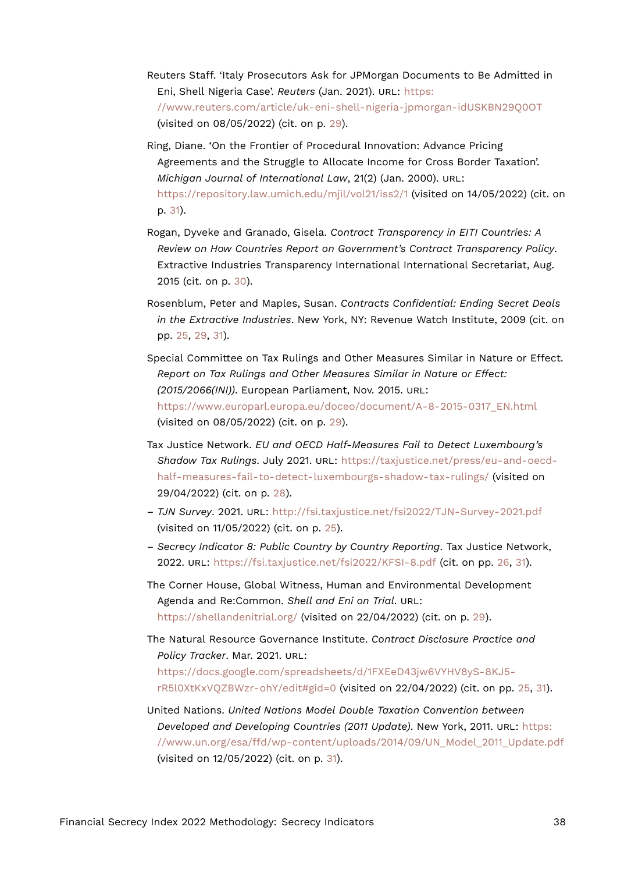- Reuters Staff. 'Italy Prosecutors Ask for JPMorgan Documents to Be Admitted in Eni, Shell Nigeria Case'. *Reuters* (Jan. 2021). URL: [https:](https://www.reuters.com/article/uk-eni-shell-nigeria-jpmorgan-idUSKBN29Q0OT) [//www.reuters.com/article/uk-eni-shell-nigeria-jpmorgan-idUSKBN29Q0OT](https://www.reuters.com/article/uk-eni-shell-nigeria-jpmorgan-idUSKBN29Q0OT) (visited on 08/05/2022) (cit. on p. [29\)](#page-28-14).
- Ring, Diane. 'On the Frontier of Procedural Innovation: Advance Pricing Agreements and the Struggle to Allocate Income for Cross Border Taxation'. *Michigan Journal of International Law*, 21(2) (Jan. 2000). URL: <https://repository.law.umich.edu/mjil/vol21/iss2/1> (visited on 14/05/2022) (cit. on p. [31](#page-30-16)).
- Rogan, Dyveke and Granado, Gisela. *Contract Transparency in EITI Countries: A Review on How Countries Report on Government's Contract Transparency Policy*. Extractive Industries Transparency International International Secretariat, Aug. 2015 (cit. on p. [30\)](#page-29-12).
- Rosenblum, Peter and Maples, Susan. *Contracts Confidential: Ending Secret Deals in the Extractive Industries*. New York, NY: Revenue Watch Institute, 2009 (cit. on pp. [25,](#page-24-21) [29,](#page-28-14) [31](#page-30-16)).
- Special Committee on Tax Rulings and Other Measures Similar in Nature or Effect. *Report on Tax Rulings and Other Measures Similar in Nature or Effect: (2015/2066(INI))*. European Parliament, Nov. 2015. URL: [https://www.europarl.europa.eu/doceo/document/A-8-2015-0317\\_EN.html](https://www.europarl.europa.eu/doceo/document/A-8-2015-0317_EN.html) (visited on 08/05/2022) (cit. on p. [29\)](#page-28-14).
- Tax Justice Network. *EU and OECD Half-Measures Fail to Detect Luxembourg's Shadow Tax Rulings*. July 2021. URL: [https://taxjustice.net/press/eu-and-oecd](https://taxjustice.net/press/eu-and-oecd-half-measures-fail-to-detect-luxembourgs-shadow-tax-rulings/)[half-measures-fail-to-detect-luxembourgs-shadow-tax-rulings/](https://taxjustice.net/press/eu-and-oecd-half-measures-fail-to-detect-luxembourgs-shadow-tax-rulings/) (visited on 29/04/2022) (cit. on p. [28\)](#page-27-16).
- *TJN Survey*. 2021. URL: <http://fsi.taxjustice.net/fsi2022/TJN-Survey-2021.pdf> (visited on 11/05/2022) (cit. on p. [25\)](#page-24-21).
- *Secrecy Indicator 8: Public Country by Country Reporting*. Tax Justice Network, 2022. URL: <https://fsi.taxjustice.net/fsi2022/KFSI-8.pdf> (cit. on pp. [26,](#page-25-17) [31](#page-30-16)).
- The Corner House, Global Witness, Human and Environmental Development Agenda and Re:Common. *Shell and Eni on Trial*. URL: <https://shellandenitrial.org/> (visited on 22/04/2022) (cit. on p. [29](#page-28-14)).

The Natural Resource Governance Institute. *Contract Disclosure Practice and Policy Tracker*. Mar. 2021. URL: [https://docs.google.com/spreadsheets/d/1FXEeD43jw6VYHV8yS-8KJ5-](https://docs.google.com/spreadsheets/d/1FXEeD43jw6VYHV8yS-8KJ5-rR5l0XtKxVQZBWzr-ohY/edit#gid=0)

[rR5l0XtKxVQZBWzr-ohY/edit#gid=0](https://docs.google.com/spreadsheets/d/1FXEeD43jw6VYHV8yS-8KJ5-rR5l0XtKxVQZBWzr-ohY/edit#gid=0) (visited on 22/04/2022) (cit. on pp. [25](#page-24-21), [31](#page-30-16)).

United Nations. *United Nations Model Double Taxation Convention between Developed and Developing Countries (2011 Update)*. New York, 2011. URL: [https:](https://www.un.org/esa/ffd/wp-content/uploads/2014/09/UN_Model_2011_Update.pdf) [//www.un.org/esa/ffd/wp-content/uploads/2014/09/UN\\_Model\\_2011\\_Update.pdf](https://www.un.org/esa/ffd/wp-content/uploads/2014/09/UN_Model_2011_Update.pdf) (visited on 12/05/2022) (cit. on p. [31\)](#page-30-16).